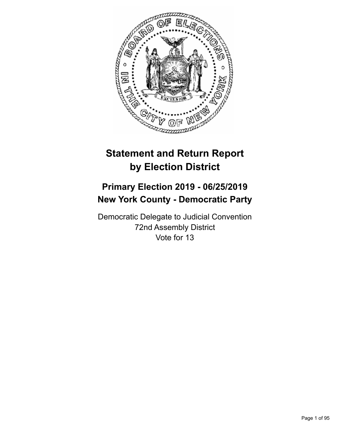

# **Statement and Return Report by Election District**

## **Primary Election 2019 - 06/25/2019 New York County - Democratic Party**

Democratic Delegate to Judicial Convention 72nd Assembly District Vote for 13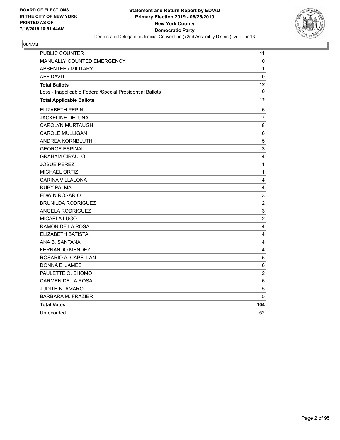

| PUBLIC COUNTER                                           | 11                      |
|----------------------------------------------------------|-------------------------|
| MANUALLY COUNTED EMERGENCY                               | 0                       |
| <b>ABSENTEE / MILITARY</b>                               | 1                       |
| <b>AFFIDAVIT</b>                                         | $\mathbf 0$             |
| <b>Total Ballots</b>                                     | 12                      |
| Less - Inapplicable Federal/Special Presidential Ballots | $\mathbf{0}$            |
| <b>Total Applicable Ballots</b>                          | 12                      |
| <b>ELIZABETH PEPIN</b>                                   | 6                       |
| JACKELINE DELUNA                                         | 7                       |
| <b>CAROLYN MURTAUGH</b>                                  | 8                       |
| <b>CAROLE MULLIGAN</b>                                   | 6                       |
| ANDREA KORNBLUTH                                         | 5                       |
| <b>GEORGE ESPINAL</b>                                    | 3                       |
| <b>GRAHAM CIRAULO</b>                                    | $\overline{\mathbf{4}}$ |
| <b>JOSUE PEREZ</b>                                       | $\mathbf{1}$            |
| <b>MICHAEL ORTIZ</b>                                     | $\mathbf{1}$            |
| <b>CARINA VILLALONA</b>                                  | 4                       |
| <b>RUBY PALMA</b>                                        | 4                       |
| EDWIN ROSARIO                                            | 3                       |
| <b>BRUNILDA RODRIGUEZ</b>                                | $\overline{c}$          |
| <b>ANGELA RODRIGUEZ</b>                                  | 3                       |
| MICAELA LUGO                                             | $\overline{2}$          |
| RAMON DE LA ROSA                                         | $\overline{4}$          |
| ELIZABETH BATISTA                                        | 4                       |
| ANA B. SANTANA                                           | $\overline{4}$          |
| <b>FERNANDO MENDEZ</b>                                   | $\overline{\mathbf{4}}$ |
| ROSARIO A. CAPELLAN                                      | $\mathbf 5$             |
| DONNA E. JAMES                                           | 6                       |
| PAULETTE O. SHOMO                                        | $\overline{c}$          |
| CARMEN DE LA ROSA                                        | 6                       |
| <b>JUDITH N. AMARO</b>                                   | 5                       |
| <b>BARBARA M. FRAZIER</b>                                | 5                       |
| <b>Total Votes</b>                                       | 104                     |
| Unrecorded                                               | 52                      |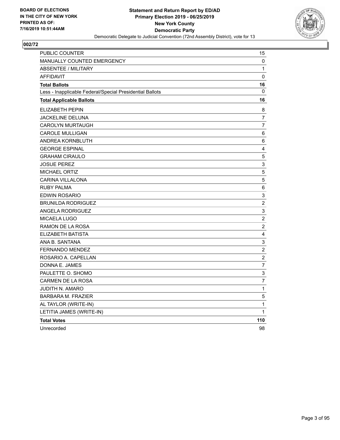

| PUBLIC COUNTER                                           | 15               |
|----------------------------------------------------------|------------------|
| <b>MANUALLY COUNTED EMERGENCY</b>                        | 0                |
| <b>ABSENTEE / MILITARY</b>                               | $\mathbf{1}$     |
| <b>AFFIDAVIT</b>                                         | 0                |
| <b>Total Ballots</b>                                     | 16               |
| Less - Inapplicable Federal/Special Presidential Ballots | 0                |
| <b>Total Applicable Ballots</b>                          | 16               |
| <b>ELIZABETH PEPIN</b>                                   | 8                |
| JACKELINE DELUNA                                         | $\overline{7}$   |
| <b>CAROLYN MURTAUGH</b>                                  | $\overline{7}$   |
| <b>CAROLE MULLIGAN</b>                                   | 6                |
| ANDREA KORNBLUTH                                         | $\,6$            |
| <b>GEORGE ESPINAL</b>                                    | 4                |
| <b>GRAHAM CIRAULO</b>                                    | $\mathbf 5$      |
| <b>JOSUE PEREZ</b>                                       | 3                |
| <b>MICHAEL ORTIZ</b>                                     | 5                |
| <b>CARINA VILLALONA</b>                                  | 5                |
| <b>RUBY PALMA</b>                                        | 6                |
| <b>EDWIN ROSARIO</b>                                     | 3                |
| <b>BRUNILDA RODRIGUEZ</b>                                | $\overline{c}$   |
| <b>ANGELA RODRIGUEZ</b>                                  | 3                |
| MICAELA LUGO                                             | $\boldsymbol{2}$ |
| RAMON DE LA ROSA                                         | $\boldsymbol{2}$ |
| ELIZABETH BATISTA                                        | 4                |
| ANA B. SANTANA                                           | 3                |
| <b>FERNANDO MENDEZ</b>                                   | $\overline{c}$   |
| ROSARIO A. CAPELLAN                                      | $\overline{c}$   |
| DONNA E. JAMES                                           | $\overline{7}$   |
| PAULETTE O. SHOMO                                        | 3                |
| CARMEN DE LA ROSA                                        | $\overline{7}$   |
| <b>JUDITH N. AMARO</b>                                   | $\mathbf{1}$     |
| <b>BARBARA M. FRAZIER</b>                                | $\mathbf 5$      |
| AL TAYLOR (WRITE-IN)                                     | $\mathbf{1}$     |
| LETITIA JAMES (WRITE-IN)                                 | $\mathbf{1}$     |
| <b>Total Votes</b>                                       | 110              |
| Unrecorded                                               | 98               |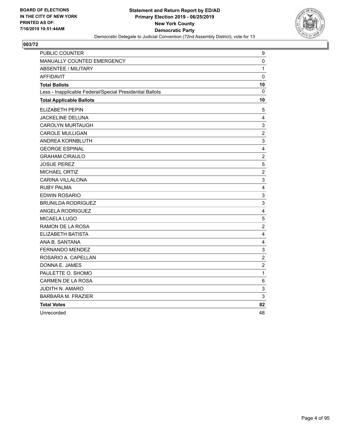

| PUBLIC COUNTER                                           | 9                       |
|----------------------------------------------------------|-------------------------|
| <b>MANUALLY COUNTED EMERGENCY</b>                        | $\pmb{0}$               |
| <b>ABSENTEE / MILITARY</b>                               | $\mathbf{1}$            |
| <b>AFFIDAVIT</b>                                         | 0                       |
| <b>Total Ballots</b>                                     | 10                      |
| Less - Inapplicable Federal/Special Presidential Ballots | $\mathbf{0}$            |
| <b>Total Applicable Ballots</b>                          | 10                      |
| ELIZABETH PEPIN                                          | $\,$ 5 $\,$             |
| JACKELINE DELUNA                                         | 4                       |
| <b>CAROLYN MURTAUGH</b>                                  | 3                       |
| <b>CAROLE MULLIGAN</b>                                   | $\overline{c}$          |
| ANDREA KORNBLUTH                                         | 3                       |
| <b>GEORGE ESPINAL</b>                                    | 4                       |
| <b>GRAHAM CIRAULO</b>                                    | $\boldsymbol{2}$        |
| <b>JOSUE PEREZ</b>                                       | 5                       |
| <b>MICHAEL ORTIZ</b>                                     | $\overline{c}$          |
| <b>CARINA VILLALONA</b>                                  | 3                       |
| <b>RUBY PALMA</b>                                        | 4                       |
| EDWIN ROSARIO                                            | 3                       |
| <b>BRUNILDA RODRIGUEZ</b>                                | 3                       |
| <b>ANGELA RODRIGUEZ</b>                                  | $\overline{\mathbf{4}}$ |
| <b>MICAELA LUGO</b>                                      | $\sqrt{5}$              |
| RAMON DE LA ROSA                                         | $\sqrt{2}$              |
| ELIZABETH BATISTA                                        | 4                       |
| ANA B. SANTANA                                           | $\overline{\mathbf{4}}$ |
| FERNANDO MENDEZ                                          | $\mathsf 3$             |
| ROSARIO A. CAPELLAN                                      | $\boldsymbol{2}$        |
| DONNA E. JAMES                                           | $\overline{2}$          |
| PAULETTE O. SHOMO                                        | $\mathbf 1$             |
| <b>CARMEN DE LA ROSA</b>                                 | 6                       |
| JUDITH N. AMARO                                          | 3                       |
| <b>BARBARA M. FRAZIER</b>                                | 3                       |
| <b>Total Votes</b>                                       | 82                      |
| Unrecorded                                               | 48                      |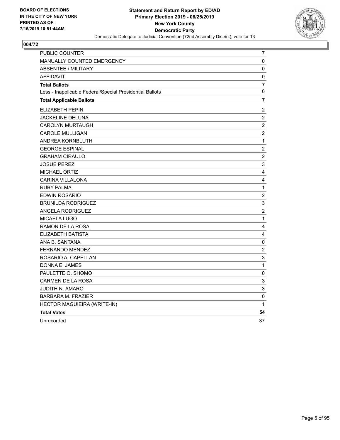

| PUBLIC COUNTER                                           | 7                         |
|----------------------------------------------------------|---------------------------|
| <b>MANUALLY COUNTED EMERGENCY</b>                        | 0                         |
| <b>ABSENTEE / MILITARY</b>                               | 0                         |
| <b>AFFIDAVIT</b>                                         | 0                         |
| <b>Total Ballots</b>                                     | $\overline{7}$            |
| Less - Inapplicable Federal/Special Presidential Ballots | 0                         |
| <b>Total Applicable Ballots</b>                          | $\overline{7}$            |
| <b>ELIZABETH PEPIN</b>                                   | 2                         |
| JACKELINE DELUNA                                         | $\overline{c}$            |
| <b>CAROLYN MURTAUGH</b>                                  | $\overline{c}$            |
| <b>CAROLE MULLIGAN</b>                                   | $\overline{c}$            |
| ANDREA KORNBLUTH                                         | $\mathbf 1$               |
| <b>GEORGE ESPINAL</b>                                    | $\boldsymbol{2}$          |
| <b>GRAHAM CIRAULO</b>                                    | $\overline{c}$            |
| <b>JOSUE PEREZ</b>                                       | 3                         |
| <b>MICHAEL ORTIZ</b>                                     | $\overline{4}$            |
| CARINA VILLALONA                                         | 4                         |
| <b>RUBY PALMA</b>                                        | $\mathbf 1$               |
| EDWIN ROSARIO                                            | $\overline{c}$            |
| <b>BRUNILDA RODRIGUEZ</b>                                | $\ensuremath{\mathsf{3}}$ |
| ANGELA RODRIGUEZ                                         | $\overline{c}$            |
| MICAELA LUGO                                             | $\mathbf{1}$              |
| RAMON DE LA ROSA                                         | 4                         |
| ELIZABETH BATISTA                                        | $\overline{\mathbf{4}}$   |
| ANA B. SANTANA                                           | $\pmb{0}$                 |
| <b>FERNANDO MENDEZ</b>                                   | $\sqrt{2}$                |
| ROSARIO A. CAPELLAN                                      | 3                         |
| DONNA E. JAMES                                           | $\mathbf 1$               |
| PAULETTE O. SHOMO                                        | 0                         |
| CARMEN DE LA ROSA                                        | $\ensuremath{\mathsf{3}}$ |
| JUDITH N. AMARO                                          | 3                         |
| <b>BARBARA M. FRAZIER</b>                                | 0                         |
| HECTOR MAGUIEIRA (WRITE-IN)                              | 1                         |
| <b>Total Votes</b>                                       | 54                        |
| Unrecorded                                               | 37                        |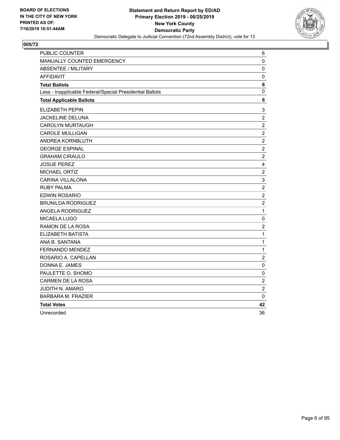

| PUBLIC COUNTER                                           | 6                       |
|----------------------------------------------------------|-------------------------|
| MANUALLY COUNTED EMERGENCY                               | 0                       |
| <b>ABSENTEE / MILITARY</b>                               | 0                       |
| <b>AFFIDAVIT</b>                                         | 0                       |
| <b>Total Ballots</b>                                     | 6                       |
| Less - Inapplicable Federal/Special Presidential Ballots | 0                       |
| <b>Total Applicable Ballots</b>                          | 6                       |
| <b>ELIZABETH PEPIN</b>                                   | 3                       |
| JACKELINE DELUNA                                         | $\overline{2}$          |
| <b>CAROLYN MURTAUGH</b>                                  | $\overline{c}$          |
| <b>CAROLE MULLIGAN</b>                                   | $\overline{c}$          |
| ANDREA KORNBLUTH                                         | $\overline{2}$          |
| <b>GEORGE ESPINAL</b>                                    | $\overline{\mathbf{c}}$ |
| <b>GRAHAM CIRAULO</b>                                    | $\overline{c}$          |
| <b>JOSUE PEREZ</b>                                       | $\overline{\mathbf{4}}$ |
| <b>MICHAEL ORTIZ</b>                                     | $\overline{c}$          |
| CARINA VILLALONA                                         | $\mathsf 3$             |
| <b>RUBY PALMA</b>                                        | $\overline{2}$          |
| EDWIN ROSARIO                                            | $\overline{c}$          |
| <b>BRUNILDA RODRIGUEZ</b>                                | $\overline{c}$          |
| <b>ANGELA RODRIGUEZ</b>                                  | $\mathbf{1}$            |
| <b>MICAELA LUGO</b>                                      | $\mathbf 0$             |
| RAMON DE LA ROSA                                         | $\overline{c}$          |
| ELIZABETH BATISTA                                        | $\mathbf{1}$            |
| ANA B. SANTANA                                           | $\mathbf{1}$            |
| <b>FERNANDO MENDEZ</b>                                   | $\mathbf 1$             |
| ROSARIO A. CAPELLAN                                      | $\overline{c}$          |
| DONNA E. JAMES                                           | 0                       |
| PAULETTE O. SHOMO                                        | 0                       |
| <b>CARMEN DE LA ROSA</b>                                 | $\overline{c}$          |
| <b>JUDITH N. AMARO</b>                                   | $\overline{2}$          |
| <b>BARBARA M. FRAZIER</b>                                | 0                       |
| <b>Total Votes</b>                                       | 42                      |
| Unrecorded                                               | 36                      |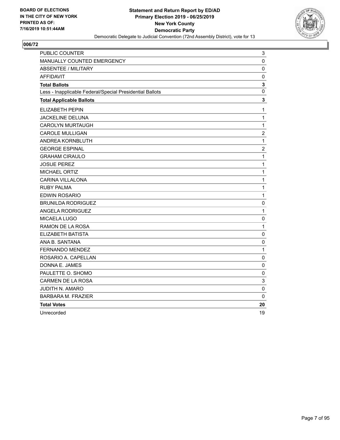

| PUBLIC COUNTER                                           | 3                |
|----------------------------------------------------------|------------------|
| <b>MANUALLY COUNTED EMERGENCY</b>                        | 0                |
| <b>ABSENTEE / MILITARY</b>                               | 0                |
| <b>AFFIDAVIT</b>                                         | 0                |
| <b>Total Ballots</b>                                     | $\mathbf 3$      |
| Less - Inapplicable Federal/Special Presidential Ballots | 0                |
| <b>Total Applicable Ballots</b>                          | 3                |
| <b>ELIZABETH PEPIN</b>                                   | 1                |
| JACKELINE DELUNA                                         | 1                |
| <b>CAROLYN MURTAUGH</b>                                  | $\mathbf{1}$     |
| <b>CAROLE MULLIGAN</b>                                   | $\overline{c}$   |
| ANDREA KORNBLUTH                                         | $\mathbf{1}$     |
| <b>GEORGE ESPINAL</b>                                    | $\boldsymbol{2}$ |
| <b>GRAHAM CIRAULO</b>                                    | $\mathbf{1}$     |
| <b>JOSUE PEREZ</b>                                       | $\mathbf{1}$     |
| <b>MICHAEL ORTIZ</b>                                     | $\mathbf{1}$     |
| <b>CARINA VILLALONA</b>                                  | 1                |
| <b>RUBY PALMA</b>                                        | $\mathbf 1$      |
| <b>EDWIN ROSARIO</b>                                     | $\mathbf{1}$     |
| <b>BRUNILDA RODRIGUEZ</b>                                | $\pmb{0}$        |
| <b>ANGELA RODRIGUEZ</b>                                  | 1                |
| <b>MICAELA LUGO</b>                                      | $\pmb{0}$        |
| RAMON DE LA ROSA                                         | $\mathbf{1}$     |
| ELIZABETH BATISTA                                        | 0                |
| ANA B. SANTANA                                           | $\pmb{0}$        |
| <b>FERNANDO MENDEZ</b>                                   | $\mathbf 1$      |
| ROSARIO A. CAPELLAN                                      | 0                |
| DONNA E. JAMES                                           | 0                |
| PAULETTE O. SHOMO                                        | 0                |
| <b>CARMEN DE LA ROSA</b>                                 | 3                |
| JUDITH N. AMARO                                          | $\pmb{0}$        |
| <b>BARBARA M. FRAZIER</b>                                | 0                |
| <b>Total Votes</b>                                       | 20               |
| Unrecorded                                               | 19               |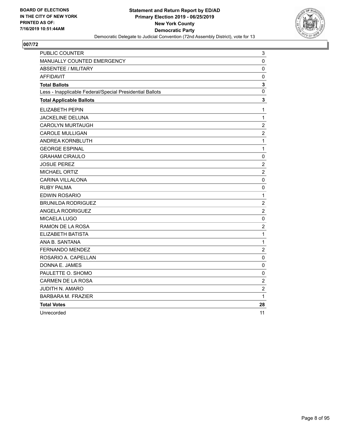

| PUBLIC COUNTER                                           | 3                |
|----------------------------------------------------------|------------------|
| MANUALLY COUNTED EMERGENCY                               | 0                |
| <b>ABSENTEE / MILITARY</b>                               | 0                |
| <b>AFFIDAVIT</b>                                         | 0                |
| <b>Total Ballots</b>                                     | 3                |
| Less - Inapplicable Federal/Special Presidential Ballots | $\mathbf 0$      |
| <b>Total Applicable Ballots</b>                          | 3                |
| ELIZABETH PEPIN                                          | $\mathbf 1$      |
| JACKELINE DELUNA                                         | $\mathbf{1}$     |
| CAROLYN MURTAUGH                                         | $\overline{c}$   |
| <b>CAROLE MULLIGAN</b>                                   | $\overline{c}$   |
| ANDREA KORNBLUTH                                         | $\mathbf{1}$     |
| <b>GEORGE ESPINAL</b>                                    | $\mathbf 1$      |
| <b>GRAHAM CIRAULO</b>                                    | 0                |
| <b>JOSUE PEREZ</b>                                       | $\overline{c}$   |
| <b>MICHAEL ORTIZ</b>                                     | $\overline{c}$   |
| <b>CARINA VILLALONA</b>                                  | $\pmb{0}$        |
| <b>RUBY PALMA</b>                                        | 0                |
| <b>EDWIN ROSARIO</b>                                     | $\mathbf{1}$     |
| <b>BRUNILDA RODRIGUEZ</b>                                | $\overline{c}$   |
| <b>ANGELA RODRIGUEZ</b>                                  | $\overline{c}$   |
| MICAELA LUGO                                             | $\pmb{0}$        |
| RAMON DE LA ROSA                                         | $\overline{c}$   |
| ELIZABETH BATISTA                                        | 1                |
| ANA B. SANTANA                                           | $\mathbf{1}$     |
| FERNANDO MENDEZ                                          | $\overline{c}$   |
| ROSARIO A. CAPELLAN                                      | $\pmb{0}$        |
| DONNA E. JAMES                                           | 0                |
| PAULETTE O. SHOMO                                        | 0                |
| <b>CARMEN DE LA ROSA</b>                                 | $\boldsymbol{2}$ |
| <b>JUDITH N. AMARO</b>                                   | $\overline{2}$   |
| <b>BARBARA M. FRAZIER</b>                                | 1                |
| <b>Total Votes</b>                                       | 28               |
| Unrecorded                                               | 11               |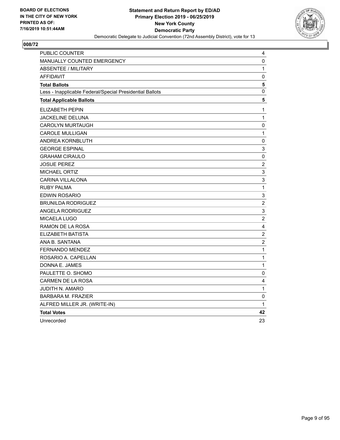

| PUBLIC COUNTER                                           | 4                         |
|----------------------------------------------------------|---------------------------|
| <b>MANUALLY COUNTED EMERGENCY</b>                        | 0                         |
| <b>ABSENTEE / MILITARY</b>                               | 1                         |
| <b>AFFIDAVIT</b>                                         | 0                         |
| <b>Total Ballots</b>                                     | 5                         |
| Less - Inapplicable Federal/Special Presidential Ballots | 0                         |
| <b>Total Applicable Ballots</b>                          | 5                         |
| <b>ELIZABETH PEPIN</b>                                   | 1                         |
| <b>JACKELINE DELUNA</b>                                  | 1                         |
| <b>CAROLYN MURTAUGH</b>                                  | 0                         |
| <b>CAROLE MULLIGAN</b>                                   | $\mathbf 1$               |
| ANDREA KORNBLUTH                                         | 0                         |
| <b>GEORGE ESPINAL</b>                                    | 3                         |
| <b>GRAHAM CIRAULO</b>                                    | 0                         |
| <b>JOSUE PEREZ</b>                                       | $\overline{c}$            |
| <b>MICHAEL ORTIZ</b>                                     | $\ensuremath{\mathsf{3}}$ |
| <b>CARINA VILLALONA</b>                                  | 3                         |
| <b>RUBY PALMA</b>                                        | 1                         |
| EDWIN ROSARIO                                            | 3                         |
| <b>BRUNILDA RODRIGUEZ</b>                                | $\overline{c}$            |
| <b>ANGELA RODRIGUEZ</b>                                  | $\mathsf 3$               |
| MICAELA LUGO                                             | $\overline{c}$            |
| RAMON DE LA ROSA                                         | $\overline{\mathbf{4}}$   |
| ELIZABETH BATISTA                                        | $\overline{2}$            |
| ANA B. SANTANA                                           | $\overline{c}$            |
| <b>FERNANDO MENDEZ</b>                                   | $\mathbf 1$               |
| ROSARIO A. CAPELLAN                                      | $\mathbf 1$               |
| DONNA E. JAMES                                           | $\mathbf 1$               |
| PAULETTE O. SHOMO                                        | $\pmb{0}$                 |
| CARMEN DE LA ROSA                                        | 4                         |
| <b>JUDITH N. AMARO</b>                                   | 1                         |
| <b>BARBARA M. FRAZIER</b>                                | 0                         |
| ALFRED MILLER JR. (WRITE-IN)                             | 1                         |
| <b>Total Votes</b>                                       | 42                        |
| Unrecorded                                               | 23                        |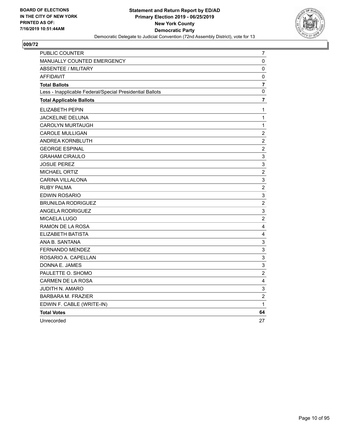

| PUBLIC COUNTER                                           | 7                         |
|----------------------------------------------------------|---------------------------|
| MANUALLY COUNTED EMERGENCY                               | 0                         |
| <b>ABSENTEE / MILITARY</b>                               | 0                         |
| <b>AFFIDAVIT</b>                                         | 0                         |
| <b>Total Ballots</b>                                     | $\overline{7}$            |
| Less - Inapplicable Federal/Special Presidential Ballots | 0                         |
| <b>Total Applicable Ballots</b>                          | $\overline{7}$            |
| <b>ELIZABETH PEPIN</b>                                   | 1                         |
| JACKELINE DELUNA                                         | 1                         |
| <b>CAROLYN MURTAUGH</b>                                  | 1                         |
| <b>CAROLE MULLIGAN</b>                                   | $\boldsymbol{2}$          |
| ANDREA KORNBLUTH                                         | $\overline{c}$            |
| <b>GEORGE ESPINAL</b>                                    | $\overline{c}$            |
| <b>GRAHAM CIRAULO</b>                                    | 3                         |
| <b>JOSUE PEREZ</b>                                       | $\ensuremath{\mathsf{3}}$ |
| <b>MICHAEL ORTIZ</b>                                     | $\overline{c}$            |
| CARINA VILLALONA                                         | 3                         |
| <b>RUBY PALMA</b>                                        | $\boldsymbol{2}$          |
| EDWIN ROSARIO                                            | 3                         |
| <b>BRUNILDA RODRIGUEZ</b>                                | $\overline{c}$            |
| ANGELA RODRIGUEZ                                         | 3                         |
| MICAELA LUGO                                             | $\overline{c}$            |
| RAMON DE LA ROSA                                         | $\overline{\mathbf{4}}$   |
| ELIZABETH BATISTA                                        | 4                         |
| ANA B. SANTANA                                           | 3                         |
| <b>FERNANDO MENDEZ</b>                                   | 3                         |
| ROSARIO A. CAPELLAN                                      | 3                         |
| DONNA E. JAMES                                           | 3                         |
| PAULETTE O. SHOMO                                        | $\overline{c}$            |
| CARMEN DE LA ROSA                                        | 4                         |
| JUDITH N. AMARO                                          | 3                         |
| <b>BARBARA M. FRAZIER</b>                                | $\overline{c}$            |
| EDWIN F. CABLE (WRITE-IN)                                | $\mathbf{1}$              |
| <b>Total Votes</b>                                       | 64                        |
| Unrecorded                                               | 27                        |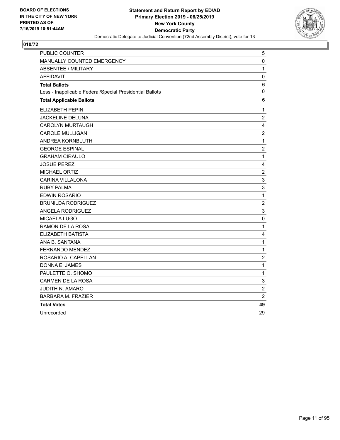

| PUBLIC COUNTER                                           | 5                       |
|----------------------------------------------------------|-------------------------|
| MANUALLY COUNTED EMERGENCY                               | $\pmb{0}$               |
| <b>ABSENTEE / MILITARY</b>                               | 1                       |
| <b>AFFIDAVIT</b>                                         | 0                       |
| <b>Total Ballots</b>                                     | 6                       |
| Less - Inapplicable Federal/Special Presidential Ballots | 0                       |
| <b>Total Applicable Ballots</b>                          | 6                       |
| <b>ELIZABETH PEPIN</b>                                   | 1                       |
| JACKELINE DELUNA                                         | $\overline{2}$          |
| <b>CAROLYN MURTAUGH</b>                                  | 4                       |
| <b>CAROLE MULLIGAN</b>                                   | $\overline{c}$          |
| ANDREA KORNBLUTH                                         | $\mathbf{1}$            |
| <b>GEORGE ESPINAL</b>                                    | $\overline{c}$          |
| <b>GRAHAM CIRAULO</b>                                    | $\mathbf{1}$            |
| <b>JOSUE PEREZ</b>                                       | $\overline{\mathbf{4}}$ |
| MICHAEL ORTIZ                                            | $\overline{c}$          |
| <b>CARINA VILLALONA</b>                                  | 3                       |
| <b>RUBY PALMA</b>                                        | 3                       |
| <b>EDWIN ROSARIO</b>                                     | $\mathbf{1}$            |
| <b>BRUNILDA RODRIGUEZ</b>                                | $\boldsymbol{2}$        |
| ANGELA RODRIGUEZ                                         | 3                       |
| MICAELA LUGO                                             | $\pmb{0}$               |
| RAMON DE LA ROSA                                         | $\mathbf{1}$            |
| ELIZABETH BATISTA                                        | 4                       |
| ANA B. SANTANA                                           | $\mathbf 1$             |
| <b>FERNANDO MENDEZ</b>                                   | $\mathbf 1$             |
| ROSARIO A. CAPELLAN                                      | $\overline{c}$          |
| DONNA E. JAMES                                           | $\mathbf{1}$            |
| PAULETTE O. SHOMO                                        | $\mathbf{1}$            |
| <b>CARMEN DE LA ROSA</b>                                 | 3                       |
| <b>JUDITH N. AMARO</b>                                   | $\overline{c}$          |
| <b>BARBARA M. FRAZIER</b>                                | $\overline{c}$          |
| <b>Total Votes</b>                                       | 49                      |
| Unrecorded                                               | 29                      |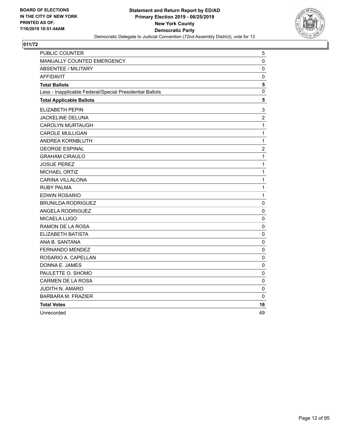

| <b>PUBLIC COUNTER</b>                                    | 5              |
|----------------------------------------------------------|----------------|
| MANUALLY COUNTED EMERGENCY                               | 0              |
| <b>ABSENTEE / MILITARY</b>                               | 0              |
| <b>AFFIDAVIT</b>                                         | $\pmb{0}$      |
| <b>Total Ballots</b>                                     | 5              |
| Less - Inapplicable Federal/Special Presidential Ballots | $\mathbf 0$    |
| <b>Total Applicable Ballots</b>                          | 5              |
| ELIZABETH PEPIN                                          | 3              |
| <b>JACKELINE DELUNA</b>                                  | $\overline{c}$ |
| <b>CAROLYN MURTAUGH</b>                                  | $\mathbf 1$    |
| <b>CAROLE MULLIGAN</b>                                   | 1              |
| ANDREA KORNBLUTH                                         | $\mathbf 1$    |
| <b>GEORGE ESPINAL</b>                                    | $\overline{c}$ |
| <b>GRAHAM CIRAULO</b>                                    | $\mathbf 1$    |
| <b>JOSUE PEREZ</b>                                       | $\mathbf{1}$   |
| MICHAEL ORTIZ                                            | 1              |
| CARINA VILLALONA                                         | 1              |
| <b>RUBY PALMA</b>                                        | $\mathbf{1}$   |
| <b>EDWIN ROSARIO</b>                                     | 1              |
| <b>BRUNILDA RODRIGUEZ</b>                                | $\pmb{0}$      |
| <b>ANGELA RODRIGUEZ</b>                                  | 0              |
| MICAELA LUGO                                             | 0              |
| RAMON DE LA ROSA                                         | 0              |
| ELIZABETH BATISTA                                        | $\pmb{0}$      |
| ANA B. SANTANA                                           | $\pmb{0}$      |
| <b>FERNANDO MENDEZ</b>                                   | 0              |
| ROSARIO A. CAPELLAN                                      | 0              |
| DONNA E. JAMES                                           | $\mathbf 0$    |
| PAULETTE O. SHOMO                                        | 0              |
| CARMEN DE LA ROSA                                        | 0              |
| JUDITH N. AMARO                                          | 0              |
| <b>BARBARA M. FRAZIER</b>                                | 0              |
| <b>Total Votes</b>                                       | 16             |
| Unrecorded                                               | 49             |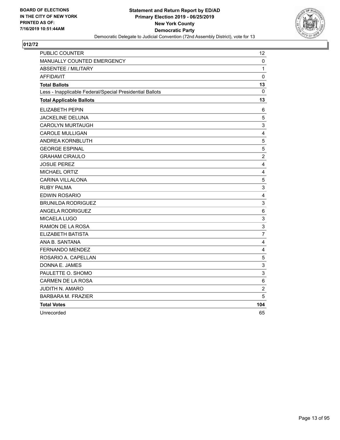

| <b>PUBLIC COUNTER</b>                                    | $12 \overline{ }$         |
|----------------------------------------------------------|---------------------------|
| MANUALLY COUNTED EMERGENCY                               | 0                         |
| <b>ABSENTEE / MILITARY</b>                               | 1                         |
| <b>AFFIDAVIT</b>                                         | 0                         |
| <b>Total Ballots</b>                                     | 13                        |
| Less - Inapplicable Federal/Special Presidential Ballots | $\mathbf{0}$              |
| <b>Total Applicable Ballots</b>                          | 13                        |
| <b>ELIZABETH PEPIN</b>                                   | 6                         |
| JACKELINE DELUNA                                         | 5                         |
| <b>CAROLYN MURTAUGH</b>                                  | 3                         |
| <b>CAROLE MULLIGAN</b>                                   | 4                         |
| ANDREA KORNBLUTH                                         | 5                         |
| <b>GEORGE ESPINAL</b>                                    | 5                         |
| <b>GRAHAM CIRAULO</b>                                    | $\overline{c}$            |
| <b>JOSUE PEREZ</b>                                       | $\overline{4}$            |
| <b>MICHAEL ORTIZ</b>                                     | 4                         |
| <b>CARINA VILLALONA</b>                                  | 5                         |
| <b>RUBY PALMA</b>                                        | 3                         |
| EDWIN ROSARIO                                            | $\overline{\mathbf{4}}$   |
| <b>BRUNILDA RODRIGUEZ</b>                                | 3                         |
| ANGELA RODRIGUEZ                                         | 6                         |
| MICAELA LUGO                                             | $\ensuremath{\mathsf{3}}$ |
| RAMON DE LA ROSA                                         | 3                         |
| ELIZABETH BATISTA                                        | $\overline{7}$            |
| ANA B. SANTANA                                           | $\overline{\mathbf{4}}$   |
| <b>FERNANDO MENDEZ</b>                                   | $\overline{4}$            |
| ROSARIO A. CAPELLAN                                      | $\sqrt{5}$                |
| DONNA E. JAMES                                           | 3                         |
| PAULETTE O. SHOMO                                        | 3                         |
| CARMEN DE LA ROSA                                        | 6                         |
| <b>JUDITH N. AMARO</b>                                   | $\overline{c}$            |
| <b>BARBARA M. FRAZIER</b>                                | 5                         |
| <b>Total Votes</b>                                       | 104                       |
| Unrecorded                                               | 65                        |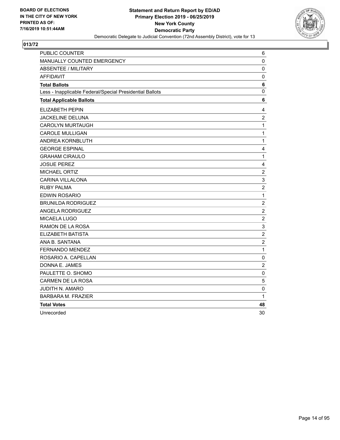

| PUBLIC COUNTER                                           | 6                         |
|----------------------------------------------------------|---------------------------|
| MANUALLY COUNTED EMERGENCY                               | $\pmb{0}$                 |
| <b>ABSENTEE / MILITARY</b>                               | 0                         |
| <b>AFFIDAVIT</b>                                         | 0                         |
| <b>Total Ballots</b>                                     | 6                         |
| Less - Inapplicable Federal/Special Presidential Ballots | 0                         |
| <b>Total Applicable Ballots</b>                          | 6                         |
| <b>ELIZABETH PEPIN</b>                                   | 4                         |
| JACKELINE DELUNA                                         | $\overline{2}$            |
| CAROLYN MURTAUGH                                         | $\mathbf{1}$              |
| <b>CAROLE MULLIGAN</b>                                   | $\mathbf 1$               |
| ANDREA KORNBLUTH                                         | 1                         |
| <b>GEORGE ESPINAL</b>                                    | 4                         |
| <b>GRAHAM CIRAULO</b>                                    | $\mathbf{1}$              |
| <b>JOSUE PEREZ</b>                                       | $\overline{4}$            |
| <b>MICHAEL ORTIZ</b>                                     | $\overline{c}$            |
| <b>CARINA VILLALONA</b>                                  | $\ensuremath{\mathsf{3}}$ |
| <b>RUBY PALMA</b>                                        | $\boldsymbol{2}$          |
| <b>EDWIN ROSARIO</b>                                     | $\mathbf{1}$              |
| <b>BRUNILDA RODRIGUEZ</b>                                | $\overline{c}$            |
| <b>ANGELA RODRIGUEZ</b>                                  | $\overline{c}$            |
| MICAELA LUGO                                             | $\overline{2}$            |
| RAMON DE LA ROSA                                         | 3                         |
| ELIZABETH BATISTA                                        | $\sqrt{2}$                |
| ANA B. SANTANA                                           | $\overline{c}$            |
| FERNANDO MENDEZ                                          | $\mathbf{1}$              |
| ROSARIO A. CAPELLAN                                      | $\pmb{0}$                 |
| DONNA E. JAMES                                           | $\overline{2}$            |
| PAULETTE O. SHOMO                                        | 0                         |
| <b>CARMEN DE LA ROSA</b>                                 | $\sqrt{5}$                |
| <b>JUDITH N. AMARO</b>                                   | $\mathbf 0$               |
| <b>BARBARA M. FRAZIER</b>                                | 1                         |
| <b>Total Votes</b>                                       | 48                        |
| Unrecorded                                               | 30                        |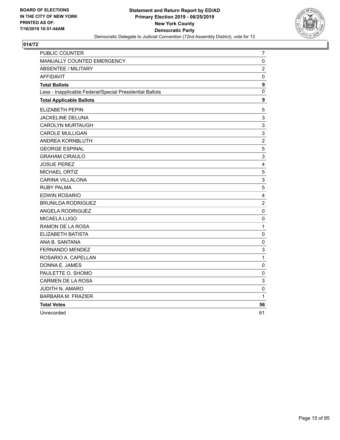

| PUBLIC COUNTER                                           | $\overline{7}$            |
|----------------------------------------------------------|---------------------------|
| MANUALLY COUNTED EMERGENCY                               | 0                         |
| <b>ABSENTEE / MILITARY</b>                               | $\overline{2}$            |
| <b>AFFIDAVIT</b>                                         | $\pmb{0}$                 |
| <b>Total Ballots</b>                                     | 9                         |
| Less - Inapplicable Federal/Special Presidential Ballots | 0                         |
| <b>Total Applicable Ballots</b>                          | 9                         |
| <b>ELIZABETH PEPIN</b>                                   | 5                         |
| JACKELINE DELUNA                                         | 3                         |
| <b>CAROLYN MURTAUGH</b>                                  | 3                         |
| <b>CAROLE MULLIGAN</b>                                   | $\ensuremath{\mathsf{3}}$ |
| ANDREA KORNBLUTH                                         | $\overline{2}$            |
| <b>GEORGE ESPINAL</b>                                    | $\sqrt{5}$                |
| <b>GRAHAM CIRAULO</b>                                    | 3                         |
| <b>JOSUE PEREZ</b>                                       | $\overline{4}$            |
| <b>MICHAEL ORTIZ</b>                                     | $\sqrt{5}$                |
| <b>CARINA VILLALONA</b>                                  | 3                         |
| <b>RUBY PALMA</b>                                        | 5                         |
| EDWIN ROSARIO                                            | $\overline{\mathbf{4}}$   |
| <b>BRUNILDA RODRIGUEZ</b>                                | $\overline{c}$            |
| <b>ANGELA RODRIGUEZ</b>                                  | 0                         |
| MICAELA LUGO                                             | 0                         |
| RAMON DE LA ROSA                                         | $\mathbf{1}$              |
| ELIZABETH BATISTA                                        | 0                         |
| ANA B. SANTANA                                           | 0                         |
| <b>FERNANDO MENDEZ</b>                                   | 3                         |
| ROSARIO A. CAPELLAN                                      | $\mathbf 1$               |
| DONNA E. JAMES                                           | 0                         |
| PAULETTE O. SHOMO                                        | 0                         |
| CARMEN DE LA ROSA                                        | 3                         |
| <b>JUDITH N. AMARO</b>                                   | $\mathbf 0$               |
| <b>BARBARA M. FRAZIER</b>                                | 1                         |
| <b>Total Votes</b>                                       | 56                        |
| Unrecorded                                               | 61                        |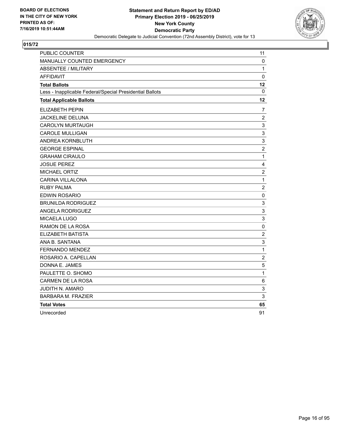

| <b>PUBLIC COUNTER</b>                                    | 11                        |
|----------------------------------------------------------|---------------------------|
| MANUALLY COUNTED EMERGENCY                               | 0                         |
| <b>ABSENTEE / MILITARY</b>                               | 1                         |
| <b>AFFIDAVIT</b>                                         | $\mathbf 0$               |
| <b>Total Ballots</b>                                     | 12                        |
| Less - Inapplicable Federal/Special Presidential Ballots | $\mathbf{0}$              |
| <b>Total Applicable Ballots</b>                          | 12                        |
| <b>ELIZABETH PEPIN</b>                                   | 7                         |
| JACKELINE DELUNA                                         | $\overline{2}$            |
| <b>CAROLYN MURTAUGH</b>                                  | 3                         |
| <b>CAROLE MULLIGAN</b>                                   | $\ensuremath{\mathsf{3}}$ |
| ANDREA KORNBLUTH                                         | 3                         |
| <b>GEORGE ESPINAL</b>                                    | $\overline{c}$            |
| <b>GRAHAM CIRAULO</b>                                    | 1                         |
| <b>JOSUE PEREZ</b>                                       | $\overline{\mathbf{4}}$   |
| <b>MICHAEL ORTIZ</b>                                     | $\overline{c}$            |
| <b>CARINA VILLALONA</b>                                  | 1                         |
| <b>RUBY PALMA</b>                                        | $\overline{c}$            |
| EDWIN ROSARIO                                            | $\mathbf 0$               |
| <b>BRUNILDA RODRIGUEZ</b>                                | 3                         |
| <b>ANGELA RODRIGUEZ</b>                                  | 3                         |
| MICAELA LUGO                                             | $\mathsf 3$               |
| RAMON DE LA ROSA                                         | $\pmb{0}$                 |
| ELIZABETH BATISTA                                        | $\overline{2}$            |
| ANA B. SANTANA                                           | $\ensuremath{\mathsf{3}}$ |
| <b>FERNANDO MENDEZ</b>                                   | $\mathbf{1}$              |
| ROSARIO A. CAPELLAN                                      | $\overline{c}$            |
| DONNA E. JAMES                                           | 5                         |
| PAULETTE O. SHOMO                                        | 1                         |
| CARMEN DE LA ROSA                                        | 6                         |
| <b>JUDITH N. AMARO</b>                                   | 3                         |
| <b>BARBARA M. FRAZIER</b>                                | 3                         |
| <b>Total Votes</b>                                       | 65                        |
| Unrecorded                                               | 91                        |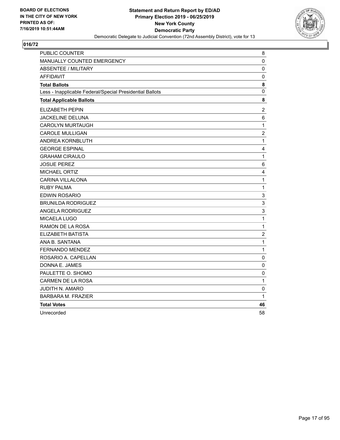

| PUBLIC COUNTER                                           | 8                |
|----------------------------------------------------------|------------------|
| MANUALLY COUNTED EMERGENCY                               | $\pmb{0}$        |
| <b>ABSENTEE / MILITARY</b>                               | 0                |
| <b>AFFIDAVIT</b>                                         | 0                |
| <b>Total Ballots</b>                                     | 8                |
| Less - Inapplicable Federal/Special Presidential Ballots | 0                |
| <b>Total Applicable Ballots</b>                          | 8                |
| <b>ELIZABETH PEPIN</b>                                   | $\boldsymbol{2}$ |
| JACKELINE DELUNA                                         | 6                |
| CAROLYN MURTAUGH                                         | $\mathbf{1}$     |
| <b>CAROLE MULLIGAN</b>                                   | $\overline{c}$   |
| ANDREA KORNBLUTH                                         | 1                |
| <b>GEORGE ESPINAL</b>                                    | 4                |
| <b>GRAHAM CIRAULO</b>                                    | $\mathbf{1}$     |
| <b>JOSUE PEREZ</b>                                       | 6                |
| <b>MICHAEL ORTIZ</b>                                     | 4                |
| <b>CARINA VILLALONA</b>                                  | 1                |
| <b>RUBY PALMA</b>                                        | $\mathbf 1$      |
| <b>EDWIN ROSARIO</b>                                     | 3                |
| <b>BRUNILDA RODRIGUEZ</b>                                | 3                |
| <b>ANGELA RODRIGUEZ</b>                                  | 3                |
| MICAELA LUGO                                             | $\mathbf 1$      |
| RAMON DE LA ROSA                                         | $\mathbf 1$      |
| ELIZABETH BATISTA                                        | $\sqrt{2}$       |
| ANA B. SANTANA                                           | $\mathbf 1$      |
| FERNANDO MENDEZ                                          | $\mathbf{1}$     |
| ROSARIO A. CAPELLAN                                      | $\pmb{0}$        |
| DONNA E. JAMES                                           | 0                |
| PAULETTE O. SHOMO                                        | 0                |
| <b>CARMEN DE LA ROSA</b>                                 | $\mathbf 1$      |
| <b>JUDITH N. AMARO</b>                                   | $\mathbf 0$      |
| <b>BARBARA M. FRAZIER</b>                                | 1                |
| <b>Total Votes</b>                                       | 46               |
| Unrecorded                                               | 58               |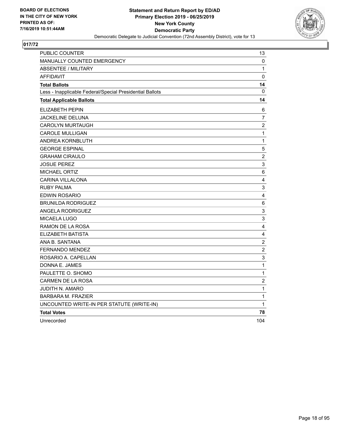

| PUBLIC COUNTER                                           | 13                        |
|----------------------------------------------------------|---------------------------|
| <b>MANUALLY COUNTED EMERGENCY</b>                        | 0                         |
| <b>ABSENTEE / MILITARY</b>                               | 1                         |
| AFFIDAVIT                                                | 0                         |
| <b>Total Ballots</b>                                     | 14                        |
| Less - Inapplicable Federal/Special Presidential Ballots | 0                         |
| <b>Total Applicable Ballots</b>                          | 14                        |
| <b>ELIZABETH PEPIN</b>                                   | 6                         |
| JACKELINE DELUNA                                         | 7                         |
| <b>CAROLYN MURTAUGH</b>                                  | $\sqrt{2}$                |
| <b>CAROLE MULLIGAN</b>                                   | $\mathbf 1$               |
| ANDREA KORNBLUTH                                         | $\mathbf 1$               |
| <b>GEORGE ESPINAL</b>                                    | 5                         |
| <b>GRAHAM CIRAULO</b>                                    | $\boldsymbol{2}$          |
| <b>JOSUE PEREZ</b>                                       | 3                         |
| <b>MICHAEL ORTIZ</b>                                     | $\,6\,$                   |
| <b>CARINA VILLALONA</b>                                  | 4                         |
| <b>RUBY PALMA</b>                                        | $\mathsf 3$               |
| EDWIN ROSARIO                                            | $\overline{\mathbf{4}}$   |
| <b>BRUNILDA RODRIGUEZ</b>                                | $\,6\,$                   |
| ANGELA RODRIGUEZ                                         | $\mathsf 3$               |
| MICAELA LUGO                                             | $\ensuremath{\mathsf{3}}$ |
| RAMON DE LA ROSA                                         | $\overline{\mathbf{4}}$   |
| ELIZABETH BATISTA                                        | 4                         |
| ANA B. SANTANA                                           | $\overline{c}$            |
| <b>FERNANDO MENDEZ</b>                                   | $\overline{c}$            |
| ROSARIO A. CAPELLAN                                      | 3                         |
| DONNA E. JAMES                                           | $\mathbf{1}$              |
| PAULETTE O. SHOMO                                        | $\mathbf 1$               |
| <b>CARMEN DE LA ROSA</b>                                 | $\sqrt{2}$                |
| JUDITH N. AMARO                                          | $\mathbf 1$               |
| <b>BARBARA M. FRAZIER</b>                                | 1                         |
| UNCOUNTED WRITE-IN PER STATUTE (WRITE-IN)                | 1                         |
| <b>Total Votes</b>                                       | 78                        |
| Unrecorded                                               | 104                       |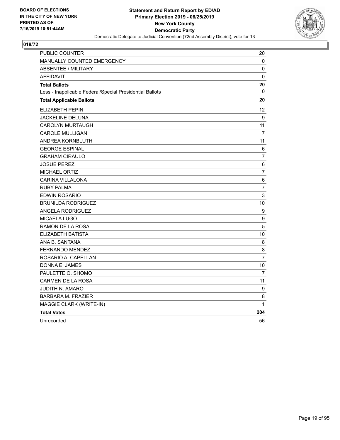

| PUBLIC COUNTER                                           | 20                       |
|----------------------------------------------------------|--------------------------|
| <b>MANUALLY COUNTED EMERGENCY</b>                        | 0                        |
| ABSENTEE / MILITARY                                      | 0                        |
| <b>AFFIDAVIT</b>                                         | 0                        |
| <b>Total Ballots</b>                                     | 20                       |
| Less - Inapplicable Federal/Special Presidential Ballots | $\mathbf{0}$             |
| <b>Total Applicable Ballots</b>                          | 20                       |
| <b>ELIZABETH PEPIN</b>                                   | 12                       |
| JACKELINE DELUNA                                         | 9                        |
| <b>CAROLYN MURTAUGH</b>                                  | 11                       |
| <b>CAROLE MULLIGAN</b>                                   | 7                        |
| ANDREA KORNBLUTH                                         | 11                       |
| <b>GEORGE ESPINAL</b>                                    | 6                        |
| <b>GRAHAM CIRAULO</b>                                    | $\overline{7}$           |
| <b>JOSUE PEREZ</b>                                       | $\,6$                    |
| <b>MICHAEL ORTIZ</b>                                     | 7                        |
| <b>CARINA VILLALONA</b>                                  | $6\phantom{1}6$          |
| RUBY PALMA                                               | $\overline{\mathcal{I}}$ |
| <b>EDWIN ROSARIO</b>                                     | 3                        |
| <b>BRUNILDA RODRIGUEZ</b>                                | 10                       |
| <b>ANGELA RODRIGUEZ</b>                                  | $\boldsymbol{9}$         |
| MICAELA LUGO                                             | $\boldsymbol{9}$         |
| RAMON DE LA ROSA                                         | 5                        |
| ELIZABETH BATISTA                                        | 10                       |
| ANA B. SANTANA                                           | 8                        |
| <b>FERNANDO MENDEZ</b>                                   | 8                        |
| ROSARIO A. CAPELLAN                                      | 7                        |
| DONNA E. JAMES                                           | 10                       |
| PAULETTE O. SHOMO                                        | $\overline{7}$           |
| <b>CARMEN DE LA ROSA</b>                                 | 11                       |
| <b>JUDITH N. AMARO</b>                                   | 9                        |
| <b>BARBARA M. FRAZIER</b>                                | 8                        |
| MAGGIE CLARK (WRITE-IN)                                  | $\mathbf 1$              |
| <b>Total Votes</b>                                       | 204                      |
| Unrecorded                                               | 56                       |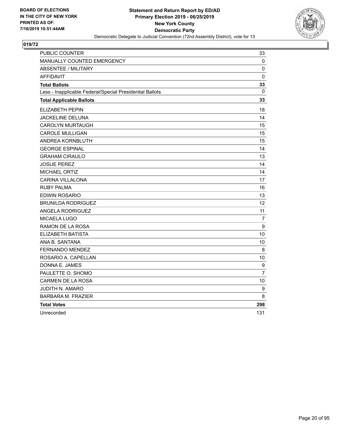

| <b>PUBLIC COUNTER</b>                                    | 33             |
|----------------------------------------------------------|----------------|
| <b>MANUALLY COUNTED EMERGENCY</b>                        | 0              |
| <b>ABSENTEE / MILITARY</b>                               | 0              |
| <b>AFFIDAVIT</b>                                         | 0              |
| <b>Total Ballots</b>                                     | 33             |
| Less - Inapplicable Federal/Special Presidential Ballots | 0              |
| <b>Total Applicable Ballots</b>                          | 33             |
| <b>ELIZABETH PEPIN</b>                                   | 18             |
| JACKELINE DELUNA                                         | 14             |
| <b>CAROLYN MURTAUGH</b>                                  | 15             |
| <b>CAROLE MULLIGAN</b>                                   | 15             |
| ANDREA KORNBLUTH                                         | 15             |
| <b>GEORGE ESPINAL</b>                                    | 14             |
| <b>GRAHAM CIRAULO</b>                                    | 13             |
| <b>JOSUE PEREZ</b>                                       | 14             |
| <b>MICHAEL ORTIZ</b>                                     | 14             |
| <b>CARINA VILLALONA</b>                                  | 17             |
| <b>RUBY PALMA</b>                                        | 16             |
| EDWIN ROSARIO                                            | 13             |
| <b>BRUNILDA RODRIGUEZ</b>                                | 12             |
| ANGELA RODRIGUEZ                                         | 11             |
| <b>MICAELA LUGO</b>                                      | $\overline{7}$ |
| RAMON DE LA ROSA                                         | 9              |
| ELIZABETH BATISTA                                        | 10             |
| ANA B. SANTANA                                           | 10             |
| <b>FERNANDO MENDEZ</b>                                   | 8              |
| ROSARIO A. CAPELLAN                                      | 10             |
| DONNA E. JAMES                                           | 9              |
| PAULETTE O. SHOMO                                        | $\overline{7}$ |
| CARMEN DE LA ROSA                                        | 10             |
| <b>JUDITH N. AMARO</b>                                   | 9              |
| <b>BARBARA M. FRAZIER</b>                                | 8              |
| <b>Total Votes</b>                                       | 298            |
| Unrecorded                                               | 131            |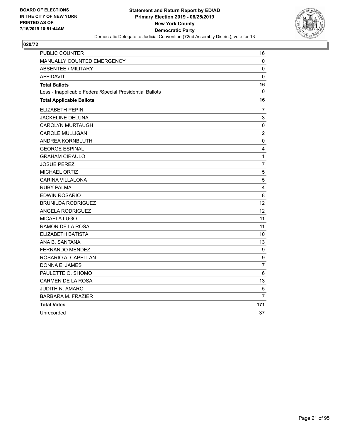

| PUBLIC COUNTER                                           | 16               |
|----------------------------------------------------------|------------------|
| <b>MANUALLY COUNTED EMERGENCY</b>                        | 0                |
| <b>ABSENTEE / MILITARY</b>                               | 0                |
| <b>AFFIDAVIT</b>                                         | 0                |
| <b>Total Ballots</b>                                     | 16               |
| Less - Inapplicable Federal/Special Presidential Ballots | $\mathbf 0$      |
| <b>Total Applicable Ballots</b>                          | 16               |
| ELIZABETH PEPIN                                          | 7                |
| <b>JACKELINE DELUNA</b>                                  | 3                |
| <b>CAROLYN MURTAUGH</b>                                  | 0                |
| <b>CAROLE MULLIGAN</b>                                   | $\overline{2}$   |
| ANDREA KORNBLUTH                                         | $\pmb{0}$        |
| <b>GEORGE ESPINAL</b>                                    | 4                |
| <b>GRAHAM CIRAULO</b>                                    | $\mathbf{1}$     |
| <b>JOSUE PEREZ</b>                                       | $\overline{7}$   |
| <b>MICHAEL ORTIZ</b>                                     | 5                |
| <b>CARINA VILLALONA</b>                                  | 5                |
| <b>RUBY PALMA</b>                                        | $\overline{4}$   |
| EDWIN ROSARIO                                            | 8                |
| <b>BRUNILDA RODRIGUEZ</b>                                | 12               |
| ANGELA RODRIGUEZ                                         | 12               |
| MICAELA LUGO                                             | 11               |
| RAMON DE LA ROSA                                         | 11               |
| ELIZABETH BATISTA                                        | 10               |
| ANA B. SANTANA                                           | 13               |
| <b>FERNANDO MENDEZ</b>                                   | 9                |
| ROSARIO A. CAPELLAN                                      | $\boldsymbol{9}$ |
| DONNA E. JAMES                                           | $\overline{7}$   |
| PAULETTE O. SHOMO                                        | 6                |
| CARMEN DE LA ROSA                                        | 13               |
| JUDITH N. AMARO                                          | 5                |
| <b>BARBARA M. FRAZIER</b>                                | 7                |
| <b>Total Votes</b>                                       | 171              |
| Unrecorded                                               | 37               |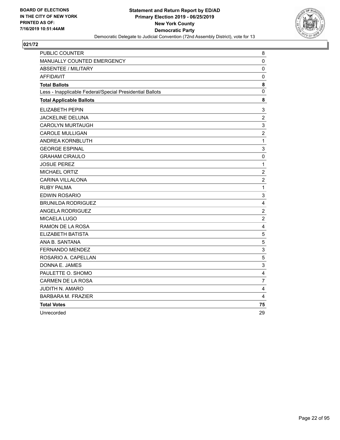

| PUBLIC COUNTER                                           | 8                       |
|----------------------------------------------------------|-------------------------|
| <b>MANUALLY COUNTED EMERGENCY</b>                        | 0                       |
| <b>ABSENTEE / MILITARY</b>                               | 0                       |
| <b>AFFIDAVIT</b>                                         | 0                       |
| <b>Total Ballots</b>                                     | 8                       |
| Less - Inapplicable Federal/Special Presidential Ballots | 0                       |
| <b>Total Applicable Ballots</b>                          | 8                       |
| ELIZABETH PEPIN                                          | 3                       |
| JACKELINE DELUNA                                         | $\overline{c}$          |
| <b>CAROLYN MURTAUGH</b>                                  | 3                       |
| <b>CAROLE MULLIGAN</b>                                   | $\overline{c}$          |
| ANDREA KORNBLUTH                                         | $\mathbf 1$             |
| <b>GEORGE ESPINAL</b>                                    | 3                       |
| <b>GRAHAM CIRAULO</b>                                    | $\pmb{0}$               |
| <b>JOSUE PEREZ</b>                                       | $\mathbf{1}$            |
| <b>MICHAEL ORTIZ</b>                                     | $\overline{c}$          |
| <b>CARINA VILLALONA</b>                                  | $\overline{2}$          |
| <b>RUBY PALMA</b>                                        | $\mathbf{1}$            |
| EDWIN ROSARIO                                            | 3                       |
| <b>BRUNILDA RODRIGUEZ</b>                                | $\overline{4}$          |
| <b>ANGELA RODRIGUEZ</b>                                  | $\overline{c}$          |
| <b>MICAELA LUGO</b>                                      | $\overline{c}$          |
| RAMON DE LA ROSA                                         | 4                       |
| ELIZABETH BATISTA                                        | 5                       |
| ANA B. SANTANA                                           | $\sqrt{5}$              |
| FERNANDO MENDEZ                                          | 3                       |
| ROSARIO A. CAPELLAN                                      | 5                       |
| DONNA E. JAMES                                           | $\mathsf 3$             |
| PAULETTE O. SHOMO                                        | $\overline{\mathbf{4}}$ |
| <b>CARMEN DE LA ROSA</b>                                 | $\overline{7}$          |
| JUDITH N. AMARO                                          | $\overline{\mathbf{4}}$ |
| <b>BARBARA M. FRAZIER</b>                                | 4                       |
| <b>Total Votes</b>                                       | 75                      |
| Unrecorded                                               | 29                      |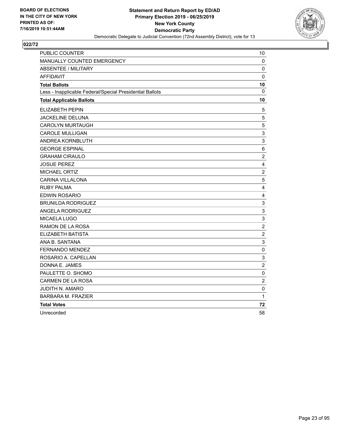

| PUBLIC COUNTER                                           | 10                        |
|----------------------------------------------------------|---------------------------|
| MANUALLY COUNTED EMERGENCY                               | 0                         |
| <b>ABSENTEE / MILITARY</b>                               | 0                         |
| <b>AFFIDAVIT</b>                                         | $\mathbf 0$               |
| <b>Total Ballots</b>                                     | 10                        |
| Less - Inapplicable Federal/Special Presidential Ballots | $\mathbf{0}$              |
| <b>Total Applicable Ballots</b>                          | 10                        |
| <b>ELIZABETH PEPIN</b>                                   | 5                         |
| <b>JACKELINE DELUNA</b>                                  | 5                         |
| <b>CAROLYN MURTAUGH</b>                                  | $\mathbf 5$               |
| <b>CAROLE MULLIGAN</b>                                   | 3                         |
| ANDREA KORNBLUTH                                         | $\mathsf 3$               |
| <b>GEORGE ESPINAL</b>                                    | 6                         |
| <b>GRAHAM CIRAULO</b>                                    | $\overline{2}$            |
| <b>JOSUE PEREZ</b>                                       | $\overline{\mathbf{4}}$   |
| MICHAEL ORTIZ                                            | $\overline{c}$            |
| <b>CARINA VILLALONA</b>                                  | 5                         |
| <b>RUBY PALMA</b>                                        | 4                         |
| <b>EDWIN ROSARIO</b>                                     | $\overline{4}$            |
| <b>BRUNILDA RODRIGUEZ</b>                                | 3                         |
| <b>ANGELA RODRIGUEZ</b>                                  | 3                         |
| MICAELA LUGO                                             | $\ensuremath{\mathsf{3}}$ |
| RAMON DE LA ROSA                                         | $\overline{c}$            |
| ELIZABETH BATISTA                                        | $\overline{c}$            |
| ANA B. SANTANA                                           | $\mathsf 3$               |
| <b>FERNANDO MENDEZ</b>                                   | $\mathbf 0$               |
| ROSARIO A. CAPELLAN                                      | $\mathsf 3$               |
| DONNA E. JAMES                                           | $\overline{c}$            |
| PAULETTE O. SHOMO                                        | 0                         |
| CARMEN DE LA ROSA                                        | $\overline{2}$            |
| JUDITH N. AMARO                                          | $\pmb{0}$                 |
| <b>BARBARA M. FRAZIER</b>                                | 1                         |
| <b>Total Votes</b>                                       | 72                        |
| Unrecorded                                               | 58                        |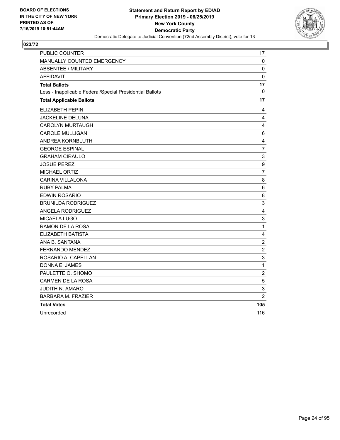

| <b>PUBLIC COUNTER</b>                                    | 17                        |
|----------------------------------------------------------|---------------------------|
| MANUALLY COUNTED EMERGENCY                               | 0                         |
| <b>ABSENTEE / MILITARY</b>                               | 0                         |
| <b>AFFIDAVIT</b>                                         | $\mathbf 0$               |
| <b>Total Ballots</b>                                     | 17                        |
| Less - Inapplicable Federal/Special Presidential Ballots | $\mathbf{0}$              |
| <b>Total Applicable Ballots</b>                          | 17                        |
| ELIZABETH PEPIN                                          | 4                         |
| <b>JACKELINE DELUNA</b>                                  | $\overline{4}$            |
| <b>CAROLYN MURTAUGH</b>                                  | 4                         |
| <b>CAROLE MULLIGAN</b>                                   | 6                         |
| ANDREA KORNBLUTH                                         | $\overline{\mathbf{4}}$   |
| <b>GEORGE ESPINAL</b>                                    | $\overline{7}$            |
| <b>GRAHAM CIRAULO</b>                                    | $\ensuremath{\mathsf{3}}$ |
| <b>JOSUE PEREZ</b>                                       | 9                         |
| MICHAEL ORTIZ                                            | $\overline{7}$            |
| <b>CARINA VILLALONA</b>                                  | 8                         |
| <b>RUBY PALMA</b>                                        | 6                         |
| <b>EDWIN ROSARIO</b>                                     | 8                         |
| <b>BRUNILDA RODRIGUEZ</b>                                | 3                         |
| <b>ANGELA RODRIGUEZ</b>                                  | $\overline{4}$            |
| <b>MICAELA LUGO</b>                                      | 3                         |
| RAMON DE LA ROSA                                         | $\mathbf 1$               |
| ELIZABETH BATISTA                                        | $\overline{\mathbf{4}}$   |
| ANA B. SANTANA                                           | $\boldsymbol{2}$          |
| <b>FERNANDO MENDEZ</b>                                   | $\boldsymbol{2}$          |
| ROSARIO A. CAPELLAN                                      | 3                         |
| DONNA E. JAMES                                           | $\mathbf{1}$              |
| PAULETTE O. SHOMO                                        | $\overline{c}$            |
| CARMEN DE LA ROSA                                        | $\sqrt{5}$                |
| JUDITH N. AMARO                                          | 3                         |
| <b>BARBARA M. FRAZIER</b>                                | $\overline{2}$            |
| <b>Total Votes</b>                                       | 105                       |
| Unrecorded                                               | 116                       |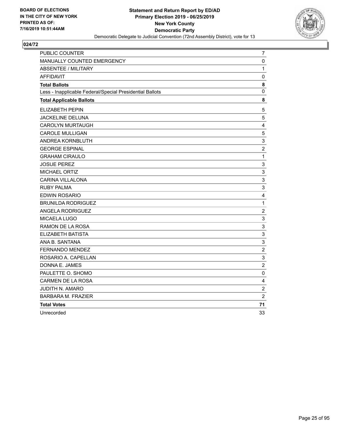

| PUBLIC COUNTER                                           | $\overline{7}$            |
|----------------------------------------------------------|---------------------------|
| MANUALLY COUNTED EMERGENCY                               | $\pmb{0}$                 |
| <b>ABSENTEE / MILITARY</b>                               | 1                         |
| <b>AFFIDAVIT</b>                                         | 0                         |
| <b>Total Ballots</b>                                     | 8                         |
| Less - Inapplicable Federal/Special Presidential Ballots | 0                         |
| <b>Total Applicable Ballots</b>                          | 8                         |
| <b>ELIZABETH PEPIN</b>                                   | 5                         |
| JACKELINE DELUNA                                         | 5                         |
| CAROLYN MURTAUGH                                         | $\overline{\mathbf{4}}$   |
| <b>CAROLE MULLIGAN</b>                                   | $\sqrt{5}$                |
| ANDREA KORNBLUTH                                         | $\ensuremath{\mathsf{3}}$ |
| <b>GEORGE ESPINAL</b>                                    | $\sqrt{2}$                |
| <b>GRAHAM CIRAULO</b>                                    | $\mathbf{1}$              |
| <b>JOSUE PEREZ</b>                                       | 3                         |
| <b>MICHAEL ORTIZ</b>                                     | 3                         |
| <b>CARINA VILLALONA</b>                                  | $\mathsf 3$               |
| <b>RUBY PALMA</b>                                        | 3                         |
| <b>EDWIN ROSARIO</b>                                     | $\overline{4}$            |
| <b>BRUNILDA RODRIGUEZ</b>                                | $\mathbf 1$               |
| <b>ANGELA RODRIGUEZ</b>                                  | $\overline{c}$            |
| MICAELA LUGO                                             | $\mathsf 3$               |
| RAMON DE LA ROSA                                         | 3                         |
| ELIZABETH BATISTA                                        | 3                         |
| ANA B. SANTANA                                           | $\ensuremath{\mathsf{3}}$ |
| FERNANDO MENDEZ                                          | $\overline{c}$            |
| ROSARIO A. CAPELLAN                                      | $\ensuremath{\mathsf{3}}$ |
| DONNA E. JAMES                                           | $\overline{2}$            |
| PAULETTE O. SHOMO                                        | 0                         |
| <b>CARMEN DE LA ROSA</b>                                 | 4                         |
| <b>JUDITH N. AMARO</b>                                   | $\overline{2}$            |
| <b>BARBARA M. FRAZIER</b>                                | $\overline{c}$            |
| <b>Total Votes</b>                                       | 71                        |
| Unrecorded                                               | 33                        |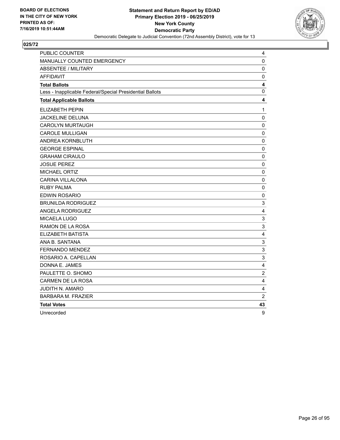

| PUBLIC COUNTER                                           | 4                       |
|----------------------------------------------------------|-------------------------|
| MANUALLY COUNTED EMERGENCY                               | 0                       |
| <b>ABSENTEE / MILITARY</b>                               | $\mathbf 0$             |
| <b>AFFIDAVIT</b>                                         | $\pmb{0}$               |
| <b>Total Ballots</b>                                     | 4                       |
| Less - Inapplicable Federal/Special Presidential Ballots | 0                       |
| <b>Total Applicable Ballots</b>                          | 4                       |
| ELIZABETH PEPIN                                          | 1                       |
| JACKELINE DELUNA                                         | $\pmb{0}$               |
| <b>CAROLYN MURTAUGH</b>                                  | 0                       |
| <b>CAROLE MULLIGAN</b>                                   | $\pmb{0}$               |
| ANDREA KORNBLUTH                                         | $\mathbf 0$             |
| <b>GEORGE ESPINAL</b>                                    | $\pmb{0}$               |
| <b>GRAHAM CIRAULO</b>                                    | $\pmb{0}$               |
| <b>JOSUE PEREZ</b>                                       | 0                       |
| <b>MICHAEL ORTIZ</b>                                     | 0                       |
| <b>CARINA VILLALONA</b>                                  | $\mathbf 0$             |
| <b>RUBY PALMA</b>                                        | 0                       |
| EDWIN ROSARIO                                            | $\pmb{0}$               |
| <b>BRUNILDA RODRIGUEZ</b>                                | 3                       |
| <b>ANGELA RODRIGUEZ</b>                                  | $\overline{\mathbf{4}}$ |
| MICAELA LUGO                                             | $\mathsf 3$             |
| RAMON DE LA ROSA                                         | 3                       |
| ELIZABETH BATISTA                                        | $\overline{\mathbf{4}}$ |
| ANA B. SANTANA                                           | 3                       |
| <b>FERNANDO MENDEZ</b>                                   | 3                       |
| ROSARIO A. CAPELLAN                                      | $\mathsf 3$             |
| DONNA E. JAMES                                           | 4                       |
| PAULETTE O. SHOMO                                        | $\overline{\mathbf{c}}$ |
| <b>CARMEN DE LA ROSA</b>                                 | $\overline{\mathbf{4}}$ |
| JUDITH N. AMARO                                          | $\overline{\mathbf{4}}$ |
| <b>BARBARA M. FRAZIER</b>                                | $\overline{c}$          |
| <b>Total Votes</b>                                       | 43                      |
| Unrecorded                                               | 9                       |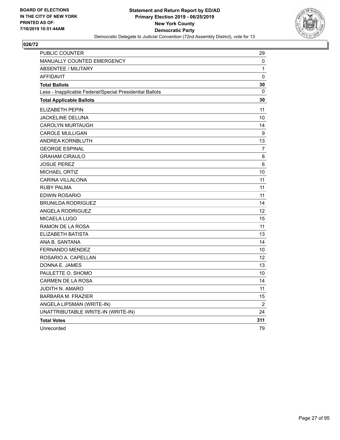

| PUBLIC COUNTER                                           | 29             |
|----------------------------------------------------------|----------------|
| <b>MANUALLY COUNTED EMERGENCY</b>                        | 0              |
| ABSENTEE / MILITARY                                      | 1              |
| <b>AFFIDAVIT</b>                                         | 0              |
| <b>Total Ballots</b>                                     | 30             |
| Less - Inapplicable Federal/Special Presidential Ballots | 0              |
| <b>Total Applicable Ballots</b>                          | 30             |
| <b>ELIZABETH PEPIN</b>                                   | 11             |
| <b>JACKELINE DELUNA</b>                                  | 10             |
| <b>CAROLYN MURTAUGH</b>                                  | 14             |
| CAROLE MULLIGAN                                          | 9              |
| ANDREA KORNBLUTH                                         | 13             |
| <b>GEORGE ESPINAL</b>                                    | $\overline{7}$ |
| <b>GRAHAM CIRAULO</b>                                    | 8              |
| <b>JOSUE PEREZ</b>                                       | 6              |
| <b>MICHAEL ORTIZ</b>                                     | 10             |
| <b>CARINA VILLALONA</b>                                  | 11             |
| <b>RUBY PALMA</b>                                        | 11             |
| <b>EDWIN ROSARIO</b>                                     | 11             |
| <b>BRUNILDA RODRIGUEZ</b>                                | 14             |
| ANGELA RODRIGUEZ                                         | 12             |
| <b>MICAELA LUGO</b>                                      | 15             |
| RAMON DE LA ROSA                                         | 11             |
| ELIZABETH BATISTA                                        | 13             |
| ANA B. SANTANA                                           | 14             |
| FERNANDO MENDEZ                                          | 10             |
| ROSARIO A. CAPELLAN                                      | 12             |
| DONNA E. JAMES                                           | 13             |
| PAULETTE O. SHOMO                                        | 10             |
| CARMEN DE LA ROSA                                        | 14             |
| JUDITH N. AMARO                                          | 11             |
| <b>BARBARA M. FRAZIER</b>                                | 15             |
| ANGELA LIPSMAN (WRITE-IN)                                | $\overline{c}$ |
| UNATTRIBUTABLE WRITE-IN (WRITE-IN)                       | 24             |
| <b>Total Votes</b>                                       | 311            |
| Unrecorded                                               | 79             |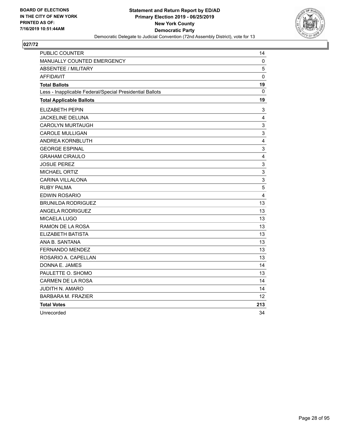

| PUBLIC COUNTER                                           | 14                        |
|----------------------------------------------------------|---------------------------|
| MANUALLY COUNTED EMERGENCY                               | 0                         |
| <b>ABSENTEE / MILITARY</b>                               | 5                         |
| <b>AFFIDAVIT</b>                                         | $\mathbf{0}$              |
| <b>Total Ballots</b>                                     | 19                        |
| Less - Inapplicable Federal/Special Presidential Ballots | 0                         |
| <b>Total Applicable Ballots</b>                          | 19                        |
| ELIZABETH PEPIN                                          | $\mathbf{3}$              |
| <b>JACKELINE DELUNA</b>                                  | 4                         |
| <b>CAROLYN MURTAUGH</b>                                  | 3                         |
| <b>CAROLE MULLIGAN</b>                                   | 3                         |
| ANDREA KORNBLUTH                                         | 4                         |
| <b>GEORGE ESPINAL</b>                                    | $\ensuremath{\mathsf{3}}$ |
| <b>GRAHAM CIRAULO</b>                                    | $\overline{\mathbf{4}}$   |
| <b>JOSUE PEREZ</b>                                       | $\ensuremath{\mathsf{3}}$ |
| <b>MICHAEL ORTIZ</b>                                     | 3                         |
| <b>CARINA VILLALONA</b>                                  | 3                         |
| <b>RUBY PALMA</b>                                        | 5                         |
| EDWIN ROSARIO                                            | $\overline{4}$            |
| <b>BRUNILDA RODRIGUEZ</b>                                | 13                        |
| <b>ANGELA RODRIGUEZ</b>                                  | 13                        |
| MICAELA LUGO                                             | 13                        |
| RAMON DE LA ROSA                                         | 13                        |
| ELIZABETH BATISTA                                        | 13                        |
| ANA B. SANTANA                                           | 13                        |
| <b>FERNANDO MENDEZ</b>                                   | 13                        |
| ROSARIO A. CAPELLAN                                      | 13                        |
| DONNA E. JAMES                                           | 14                        |
| PAULETTE O. SHOMO                                        | 13                        |
| <b>CARMEN DE LA ROSA</b>                                 | 14                        |
| JUDITH N. AMARO                                          | 14                        |
| <b>BARBARA M. FRAZIER</b>                                | 12                        |
| <b>Total Votes</b>                                       | 213                       |
| Unrecorded                                               | 34                        |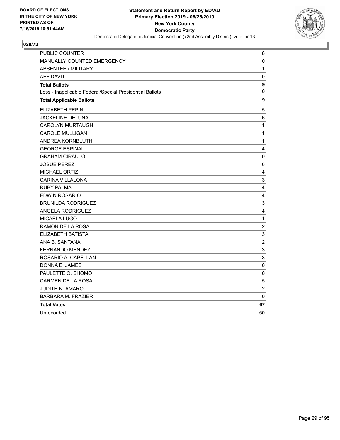

| PUBLIC COUNTER                                           | 8                         |
|----------------------------------------------------------|---------------------------|
| MANUALLY COUNTED EMERGENCY                               | $\pmb{0}$                 |
| <b>ABSENTEE / MILITARY</b>                               | 1                         |
| <b>AFFIDAVIT</b>                                         | 0                         |
| <b>Total Ballots</b>                                     | 9                         |
| Less - Inapplicable Federal/Special Presidential Ballots | 0                         |
| <b>Total Applicable Ballots</b>                          | 9                         |
| <b>ELIZABETH PEPIN</b>                                   | 5                         |
| JACKELINE DELUNA                                         | 6                         |
| CAROLYN MURTAUGH                                         | $\mathbf 1$               |
| <b>CAROLE MULLIGAN</b>                                   | $\mathbf 1$               |
| ANDREA KORNBLUTH                                         | 1                         |
| <b>GEORGE ESPINAL</b>                                    | 4                         |
| <b>GRAHAM CIRAULO</b>                                    | $\mathbf 0$               |
| <b>JOSUE PEREZ</b>                                       | 6                         |
| <b>MICHAEL ORTIZ</b>                                     | 4                         |
| <b>CARINA VILLALONA</b>                                  | $\mathsf 3$               |
| <b>RUBY PALMA</b>                                        | $\overline{\mathbf{4}}$   |
| <b>EDWIN ROSARIO</b>                                     | $\overline{4}$            |
| <b>BRUNILDA RODRIGUEZ</b>                                | 3                         |
| <b>ANGELA RODRIGUEZ</b>                                  | $\overline{4}$            |
| MICAELA LUGO                                             | $\mathbf 1$               |
| RAMON DE LA ROSA                                         | $\sqrt{2}$                |
| ELIZABETH BATISTA                                        | 3                         |
| ANA B. SANTANA                                           | $\overline{c}$            |
| FERNANDO MENDEZ                                          | $\mathsf 3$               |
| ROSARIO A. CAPELLAN                                      | $\ensuremath{\mathsf{3}}$ |
| DONNA E. JAMES                                           | 0                         |
| PAULETTE O. SHOMO                                        | 0                         |
| <b>CARMEN DE LA ROSA</b>                                 | $\sqrt{5}$                |
| <b>JUDITH N. AMARO</b>                                   | $\overline{2}$            |
| <b>BARBARA M. FRAZIER</b>                                | 0                         |
| <b>Total Votes</b>                                       | 67                        |
| Unrecorded                                               | 50                        |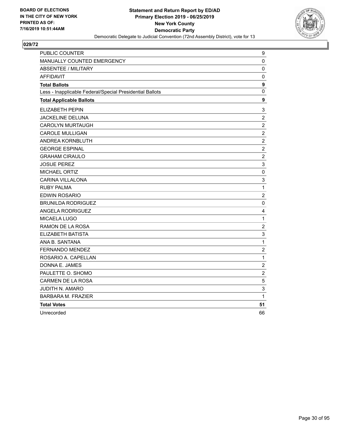

| PUBLIC COUNTER                                           | 9                         |
|----------------------------------------------------------|---------------------------|
| MANUALLY COUNTED EMERGENCY                               | 0                         |
| <b>ABSENTEE / MILITARY</b>                               | 0                         |
| <b>AFFIDAVIT</b>                                         | 0                         |
| <b>Total Ballots</b>                                     | 9                         |
| Less - Inapplicable Federal/Special Presidential Ballots | 0                         |
| <b>Total Applicable Ballots</b>                          | 9                         |
| <b>ELIZABETH PEPIN</b>                                   | 3                         |
| JACKELINE DELUNA                                         | $\overline{2}$            |
| CAROLYN MURTAUGH                                         | $\mathbf 2$               |
| <b>CAROLE MULLIGAN</b>                                   | $\overline{c}$            |
| ANDREA KORNBLUTH                                         | $\boldsymbol{2}$          |
| <b>GEORGE ESPINAL</b>                                    | $\sqrt{2}$                |
| <b>GRAHAM CIRAULO</b>                                    | $\overline{2}$            |
| <b>JOSUE PEREZ</b>                                       | $\mathbf{3}$              |
| <b>MICHAEL ORTIZ</b>                                     | $\mathbf 0$               |
| <b>CARINA VILLALONA</b>                                  | $\mathsf 3$               |
| <b>RUBY PALMA</b>                                        | $\mathbf 1$               |
| <b>EDWIN ROSARIO</b>                                     | $\overline{c}$            |
| <b>BRUNILDA RODRIGUEZ</b>                                | $\mathbf 0$               |
| <b>ANGELA RODRIGUEZ</b>                                  | $\overline{4}$            |
| MICAELA LUGO                                             | $\mathbf 1$               |
| RAMON DE LA ROSA                                         | $\overline{2}$            |
| ELIZABETH BATISTA                                        | 3                         |
| ANA B. SANTANA                                           | $\mathbf 1$               |
| FERNANDO MENDEZ                                          | $\overline{c}$            |
| ROSARIO A. CAPELLAN                                      | $\mathbf 1$               |
| DONNA E. JAMES                                           | $\overline{2}$            |
| PAULETTE O. SHOMO                                        | $\boldsymbol{2}$          |
| <b>CARMEN DE LA ROSA</b>                                 | $\sqrt{5}$                |
| <b>JUDITH N. AMARO</b>                                   | $\ensuremath{\mathsf{3}}$ |
| <b>BARBARA M. FRAZIER</b>                                | 1                         |
| <b>Total Votes</b>                                       | 51                        |
| Unrecorded                                               | 66                        |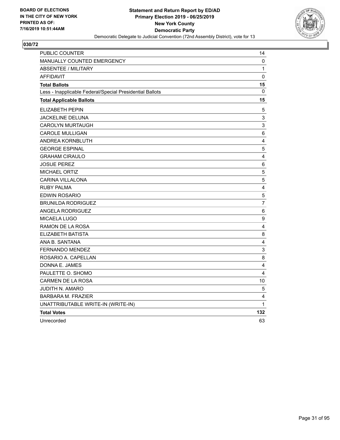

| PUBLIC COUNTER                                           | 14                      |
|----------------------------------------------------------|-------------------------|
| <b>MANUALLY COUNTED EMERGENCY</b>                        | 0                       |
| <b>ABSENTEE / MILITARY</b>                               | 1                       |
| <b>AFFIDAVIT</b>                                         | 0                       |
| <b>Total Ballots</b>                                     | 15                      |
| Less - Inapplicable Federal/Special Presidential Ballots | 0                       |
| <b>Total Applicable Ballots</b>                          | 15                      |
| <b>ELIZABETH PEPIN</b>                                   | 5                       |
| JACKELINE DELUNA                                         | 3                       |
| <b>CAROLYN MURTAUGH</b>                                  | 3                       |
| <b>CAROLE MULLIGAN</b>                                   | 6                       |
| ANDREA KORNBLUTH                                         | $\overline{\mathbf{4}}$ |
| <b>GEORGE ESPINAL</b>                                    | 5                       |
| <b>GRAHAM CIRAULO</b>                                    | $\overline{\mathbf{4}}$ |
| <b>JOSUE PEREZ</b>                                       | 6                       |
| <b>MICHAEL ORTIZ</b>                                     | $\mathbf 5$             |
| <b>CARINA VILLALONA</b>                                  | $\sqrt{5}$              |
| <b>RUBY PALMA</b>                                        | 4                       |
| EDWIN ROSARIO                                            | $\mathbf 5$             |
| <b>BRUNILDA RODRIGUEZ</b>                                | $\overline{7}$          |
| ANGELA RODRIGUEZ                                         | 6                       |
| MICAELA LUGO                                             | 9                       |
| RAMON DE LA ROSA                                         | 4                       |
| ELIZABETH BATISTA                                        | 8                       |
| ANA B. SANTANA                                           | 4                       |
| FERNANDO MENDEZ                                          | $\mathsf 3$             |
| ROSARIO A. CAPELLAN                                      | 8                       |
| DONNA E. JAMES                                           | 4                       |
| PAULETTE O. SHOMO                                        | 4                       |
| <b>CARMEN DE LA ROSA</b>                                 | 10                      |
| JUDITH N. AMARO                                          | 5                       |
| <b>BARBARA M. FRAZIER</b>                                | 4                       |
| UNATTRIBUTABLE WRITE-IN (WRITE-IN)                       | 1                       |
| <b>Total Votes</b>                                       | 132                     |
| Unrecorded                                               | 63                      |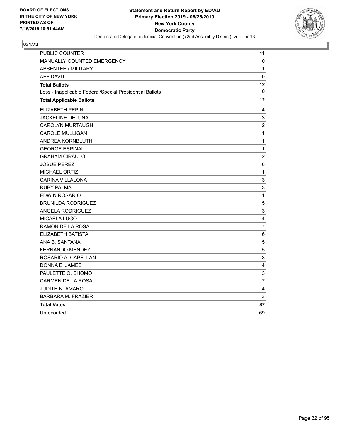

| <b>PUBLIC COUNTER</b>                                    | 11             |
|----------------------------------------------------------|----------------|
| MANUALLY COUNTED EMERGENCY                               | 0              |
| <b>ABSENTEE / MILITARY</b>                               | 1              |
| <b>AFFIDAVIT</b>                                         | 0              |
| <b>Total Ballots</b>                                     | 12             |
| Less - Inapplicable Federal/Special Presidential Ballots | $\mathbf{0}$   |
| <b>Total Applicable Ballots</b>                          | 12             |
| ELIZABETH PEPIN                                          | 4              |
| JACKELINE DELUNA                                         | 3              |
| <b>CAROLYN MURTAUGH</b>                                  | $\overline{c}$ |
| <b>CAROLE MULLIGAN</b>                                   | $\mathbf{1}$   |
| ANDREA KORNBLUTH                                         | $\mathbf 1$    |
| <b>GEORGE ESPINAL</b>                                    | $\mathbf{1}$   |
| <b>GRAHAM CIRAULO</b>                                    | $\overline{c}$ |
| <b>JOSUE PEREZ</b>                                       | 6              |
| <b>MICHAEL ORTIZ</b>                                     | $\mathbf 1$    |
| <b>CARINA VILLALONA</b>                                  | 3              |
| <b>RUBY PALMA</b>                                        | 3              |
| EDWIN ROSARIO                                            | $\mathbf{1}$   |
| <b>BRUNILDA RODRIGUEZ</b>                                | 5              |
| <b>ANGELA RODRIGUEZ</b>                                  | 3              |
| MICAELA LUGO                                             | 4              |
| RAMON DE LA ROSA                                         | $\overline{7}$ |
| ELIZABETH BATISTA                                        | $\,6$          |
| ANA B. SANTANA                                           | $\sqrt{5}$     |
| <b>FERNANDO MENDEZ</b>                                   | 5              |
| ROSARIO A. CAPELLAN                                      | 3              |
| DONNA E. JAMES                                           | 4              |
| PAULETTE O. SHOMO                                        | 3              |
| CARMEN DE LA ROSA                                        | $\overline{7}$ |
| <b>JUDITH N. AMARO</b>                                   | 4              |
| <b>BARBARA M. FRAZIER</b>                                | 3              |
| <b>Total Votes</b>                                       | 87             |
| Unrecorded                                               | 69             |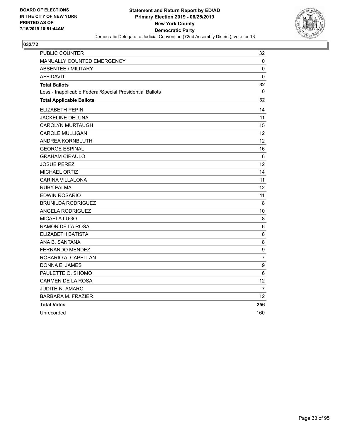

| PUBLIC COUNTER                                           | 32               |
|----------------------------------------------------------|------------------|
| MANUALLY COUNTED EMERGENCY                               | 0                |
| <b>ABSENTEE / MILITARY</b>                               | 0                |
| <b>AFFIDAVIT</b>                                         | 0                |
| <b>Total Ballots</b>                                     | 32               |
| Less - Inapplicable Federal/Special Presidential Ballots | 0                |
| <b>Total Applicable Ballots</b>                          | 32               |
| <b>ELIZABETH PEPIN</b>                                   | 14               |
| JACKELINE DELUNA                                         | 11               |
| <b>CAROLYN MURTAUGH</b>                                  | 15               |
| <b>CAROLE MULLIGAN</b>                                   | 12               |
| ANDREA KORNBLUTH                                         | 12               |
| <b>GEORGE ESPINAL</b>                                    | 16               |
| <b>GRAHAM CIRAULO</b>                                    | 6                |
| <b>JOSUE PEREZ</b>                                       | 12               |
| MICHAEL ORTIZ                                            | 14               |
| <b>CARINA VILLALONA</b>                                  | 11               |
| <b>RUBY PALMA</b>                                        | 12               |
| <b>EDWIN ROSARIO</b>                                     | 11               |
| <b>BRUNILDA RODRIGUEZ</b>                                | 8                |
| ANGELA RODRIGUEZ                                         | 10               |
| <b>MICAELA LUGO</b>                                      | 8                |
| RAMON DE LA ROSA                                         | 6                |
| ELIZABETH BATISTA                                        | 8                |
| ANA B. SANTANA                                           | 8                |
| <b>FERNANDO MENDEZ</b>                                   | 9                |
| ROSARIO A. CAPELLAN                                      | $\overline{7}$   |
| DONNA E. JAMES                                           | $\boldsymbol{9}$ |
| PAULETTE O. SHOMO                                        | 6                |
| <b>CARMEN DE LA ROSA</b>                                 | 12               |
| <b>JUDITH N. AMARO</b>                                   | 7                |
| <b>BARBARA M. FRAZIER</b>                                | 12               |
| <b>Total Votes</b>                                       | 256              |
| Unrecorded                                               | 160              |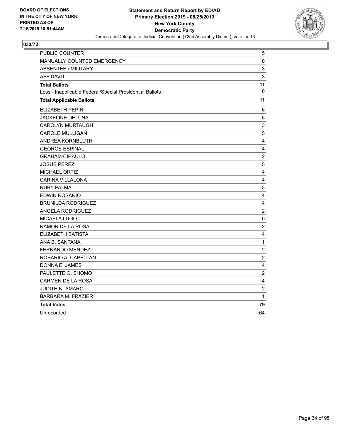

| PUBLIC COUNTER                                           | 5                       |
|----------------------------------------------------------|-------------------------|
| MANUALLY COUNTED EMERGENCY                               | 0                       |
| <b>ABSENTEE / MILITARY</b>                               | 3                       |
| <b>AFFIDAVIT</b>                                         | $\mathsf 3$             |
| <b>Total Ballots</b>                                     | 11                      |
| Less - Inapplicable Federal/Special Presidential Ballots | 0                       |
| <b>Total Applicable Ballots</b>                          | 11                      |
| <b>ELIZABETH PEPIN</b>                                   | 6                       |
| <b>JACKELINE DELUNA</b>                                  | 5                       |
| <b>CAROLYN MURTAUGH</b>                                  | 3                       |
| <b>CAROLE MULLIGAN</b>                                   | $\sqrt{5}$              |
| ANDREA KORNBLUTH                                         | 4                       |
| <b>GEORGE ESPINAL</b>                                    | 4                       |
| <b>GRAHAM CIRAULO</b>                                    | $\overline{2}$          |
| <b>JOSUE PEREZ</b>                                       | 5                       |
| MICHAEL ORTIZ                                            | $\overline{4}$          |
| <b>CARINA VILLALONA</b>                                  | 4                       |
| <b>RUBY PALMA</b>                                        | 3                       |
| <b>EDWIN ROSARIO</b>                                     | $\overline{4}$          |
| <b>BRUNILDA RODRIGUEZ</b>                                | $\overline{\mathbf{4}}$ |
| ANGELA RODRIGUEZ                                         | $\overline{c}$          |
| MICAELA LUGO                                             | $\mathbf 0$             |
| RAMON DE LA ROSA                                         | $\overline{c}$          |
| ELIZABETH BATISTA                                        | $\overline{\mathbf{4}}$ |
| ANA B. SANTANA                                           | 1                       |
| <b>FERNANDO MENDEZ</b>                                   | $\overline{c}$          |
| ROSARIO A. CAPELLAN                                      | $\overline{c}$          |
| DONNA E. JAMES                                           | 4                       |
| PAULETTE O. SHOMO                                        | $\sqrt{2}$              |
| CARMEN DE LA ROSA                                        | $\overline{\mathbf{4}}$ |
| JUDITH N. AMARO                                          | $\overline{c}$          |
| <b>BARBARA M. FRAZIER</b>                                | 1                       |
| <b>Total Votes</b>                                       | 79                      |
| Unrecorded                                               | 64                      |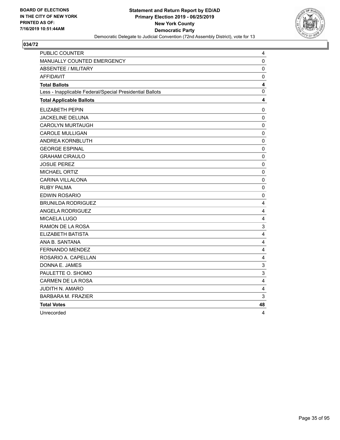

| PUBLIC COUNTER                                           | 4                       |
|----------------------------------------------------------|-------------------------|
| MANUALLY COUNTED EMERGENCY                               | 0                       |
| <b>ABSENTEE / MILITARY</b>                               | 0                       |
| <b>AFFIDAVIT</b>                                         | 0                       |
| <b>Total Ballots</b>                                     | 4                       |
| Less - Inapplicable Federal/Special Presidential Ballots | 0                       |
| <b>Total Applicable Ballots</b>                          | 4                       |
| ELIZABETH PEPIN                                          | 0                       |
| JACKELINE DELUNA                                         | 0                       |
| <b>CAROLYN MURTAUGH</b>                                  | 0                       |
| <b>CAROLE MULLIGAN</b>                                   | 0                       |
| ANDREA KORNBLUTH                                         | 0                       |
| <b>GEORGE ESPINAL</b>                                    | 0                       |
| <b>GRAHAM CIRAULO</b>                                    | $\pmb{0}$               |
| <b>JOSUE PEREZ</b>                                       | $\mathbf 0$             |
| <b>MICHAEL ORTIZ</b>                                     | 0                       |
| <b>CARINA VILLALONA</b>                                  | 0                       |
| <b>RUBY PALMA</b>                                        | 0                       |
| EDWIN ROSARIO                                            | 0                       |
| <b>BRUNILDA RODRIGUEZ</b>                                | 4                       |
| <b>ANGELA RODRIGUEZ</b>                                  | $\overline{\mathbf{4}}$ |
| <b>MICAELA LUGO</b>                                      | 4                       |
| RAMON DE LA ROSA                                         | 3                       |
| ELIZABETH BATISTA                                        | 4                       |
| ANA B. SANTANA                                           | $\overline{\mathbf{4}}$ |
| FERNANDO MENDEZ                                          | $\overline{4}$          |
| ROSARIO A. CAPELLAN                                      | 4                       |
| DONNA E. JAMES                                           | $\mathsf 3$             |
| PAULETTE O. SHOMO                                        | 3                       |
| <b>CARMEN DE LA ROSA</b>                                 | 4                       |
| JUDITH N. AMARO                                          | $\overline{\mathbf{4}}$ |
| <b>BARBARA M. FRAZIER</b>                                | 3                       |
| <b>Total Votes</b>                                       | 48                      |
| Unrecorded                                               | 4                       |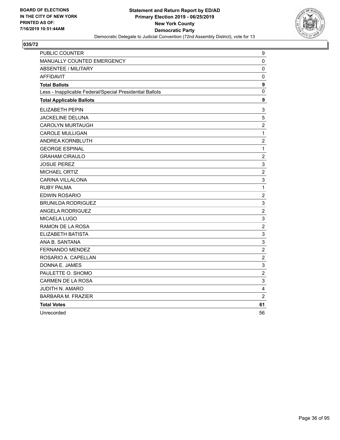

| PUBLIC COUNTER                                           | 9                         |
|----------------------------------------------------------|---------------------------|
| <b>MANUALLY COUNTED EMERGENCY</b>                        | 0                         |
| <b>ABSENTEE / MILITARY</b>                               | 0                         |
| <b>AFFIDAVIT</b>                                         | 0                         |
| <b>Total Ballots</b>                                     | $\mathbf{9}$              |
| Less - Inapplicable Federal/Special Presidential Ballots | 0                         |
| <b>Total Applicable Ballots</b>                          | 9                         |
| ELIZABETH PEPIN                                          | 3                         |
| JACKELINE DELUNA                                         | 5                         |
| <b>CAROLYN MURTAUGH</b>                                  | $\overline{c}$            |
| <b>CAROLE MULLIGAN</b>                                   | $\mathbf{1}$              |
| ANDREA KORNBLUTH                                         | $\overline{c}$            |
| <b>GEORGE ESPINAL</b>                                    | $\mathbf 1$               |
| <b>GRAHAM CIRAULO</b>                                    | $\boldsymbol{2}$          |
| <b>JOSUE PEREZ</b>                                       | 3                         |
| <b>MICHAEL ORTIZ</b>                                     | $\overline{c}$            |
| <b>CARINA VILLALONA</b>                                  | 3                         |
| <b>RUBY PALMA</b>                                        | $\mathbf{1}$              |
| EDWIN ROSARIO                                            | $\boldsymbol{2}$          |
| <b>BRUNILDA RODRIGUEZ</b>                                | 3                         |
| <b>ANGELA RODRIGUEZ</b>                                  | $\overline{c}$            |
| <b>MICAELA LUGO</b>                                      | 3                         |
| RAMON DE LA ROSA                                         | $\sqrt{2}$                |
| ELIZABETH BATISTA                                        | $\ensuremath{\mathsf{3}}$ |
| ANA B. SANTANA                                           | $\ensuremath{\mathsf{3}}$ |
| FERNANDO MENDEZ                                          | $\boldsymbol{2}$          |
| ROSARIO A. CAPELLAN                                      | $\overline{c}$            |
| DONNA E. JAMES                                           | $\mathsf 3$               |
| PAULETTE O. SHOMO                                        | $\overline{c}$            |
| <b>CARMEN DE LA ROSA</b>                                 | 3                         |
| JUDITH N. AMARO                                          | $\overline{\mathbf{4}}$   |
| <b>BARBARA M. FRAZIER</b>                                | $\overline{c}$            |
| <b>Total Votes</b>                                       | 61                        |
| Unrecorded                                               | 56                        |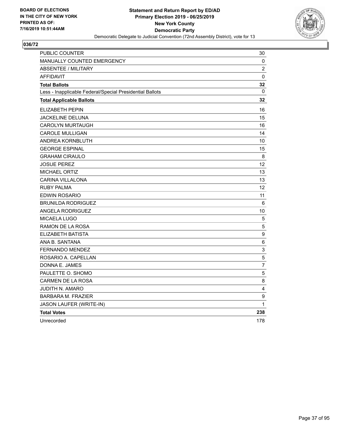

| PUBLIC COUNTER                                           | 30              |
|----------------------------------------------------------|-----------------|
| <b>MANUALLY COUNTED EMERGENCY</b>                        | 0               |
| <b>ABSENTEE / MILITARY</b>                               | $\overline{c}$  |
| <b>AFFIDAVIT</b>                                         | 0               |
| <b>Total Ballots</b>                                     | 32              |
| Less - Inapplicable Federal/Special Presidential Ballots | $\mathbf 0$     |
| <b>Total Applicable Ballots</b>                          | 32              |
| <b>ELIZABETH PEPIN</b>                                   | 16              |
| JACKELINE DELUNA                                         | 15              |
| <b>CAROLYN MURTAUGH</b>                                  | 16              |
| <b>CAROLE MULLIGAN</b>                                   | 14              |
| ANDREA KORNBLUTH                                         | 10              |
| <b>GEORGE ESPINAL</b>                                    | 15              |
| <b>GRAHAM CIRAULO</b>                                    | 8               |
| <b>JOSUE PEREZ</b>                                       | 12 <sup>2</sup> |
| <b>MICHAEL ORTIZ</b>                                     | 13              |
| CARINA VILLALONA                                         | 13              |
| <b>RUBY PALMA</b>                                        | 12              |
| EDWIN ROSARIO                                            | 11              |
| <b>BRUNILDA RODRIGUEZ</b>                                | 6               |
| <b>ANGELA RODRIGUEZ</b>                                  | 10              |
| <b>MICAELA LUGO</b>                                      | 5               |
| RAMON DE LA ROSA                                         | 5               |
| ELIZABETH BATISTA                                        | 9               |
| ANA B. SANTANA                                           | $\,6$           |
| <b>FERNANDO MENDEZ</b>                                   | 3               |
| ROSARIO A. CAPELLAN                                      | 5               |
| DONNA E. JAMES                                           | $\overline{7}$  |
| PAULETTE O. SHOMO                                        | 5               |
| <b>CARMEN DE LA ROSA</b>                                 | 8               |
| <b>JUDITH N. AMARO</b>                                   | 4               |
| <b>BARBARA M. FRAZIER</b>                                | 9               |
| JASON LAUFER (WRITE-IN)                                  | 1               |
| <b>Total Votes</b>                                       | 238             |
| Unrecorded                                               | 178             |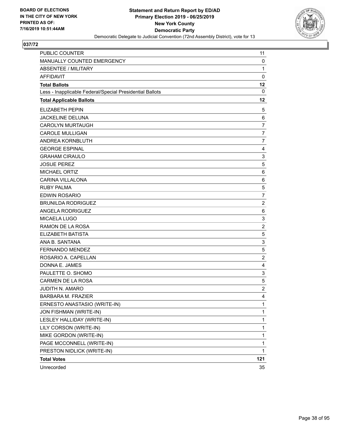

| PUBLIC COUNTER                                           | 11               |
|----------------------------------------------------------|------------------|
| MANUALLY COUNTED EMERGENCY                               | 0                |
| <b>ABSENTEE / MILITARY</b>                               | $\mathbf{1}$     |
| <b>AFFIDAVIT</b>                                         | $\mathbf 0$      |
| <b>Total Ballots</b>                                     | 12               |
| Less - Inapplicable Federal/Special Presidential Ballots | 0                |
| <b>Total Applicable Ballots</b>                          | 12               |
| <b>ELIZABETH PEPIN</b>                                   | 5                |
| <b>JACKELINE DELUNA</b>                                  | 6                |
| <b>CAROLYN MURTAUGH</b>                                  | $\overline{7}$   |
| <b>CAROLE MULLIGAN</b>                                   | $\overline{7}$   |
| ANDREA KORNBLUTH                                         | $\overline{7}$   |
| <b>GEORGE ESPINAL</b>                                    | 4                |
| <b>GRAHAM CIRAULO</b>                                    | 3                |
| <b>JOSUE PEREZ</b>                                       | 5                |
| MICHAEL ORTIZ                                            | 6                |
| <b>CARINA VILLALONA</b>                                  | 6                |
| <b>RUBY PALMA</b>                                        | 5                |
| <b>EDWIN ROSARIO</b>                                     | $\overline{7}$   |
| <b>BRUNILDA RODRIGUEZ</b>                                | $\overline{2}$   |
| ANGELA RODRIGUEZ                                         | 6                |
| MICAELA LUGO                                             | 3                |
| RAMON DE LA ROSA                                         | $\overline{2}$   |
| <b>ELIZABETH BATISTA</b>                                 | 5                |
| ANA B. SANTANA                                           | 3                |
| <b>FERNANDO MENDEZ</b>                                   | 5                |
| ROSARIO A. CAPELLAN                                      | $\overline{c}$   |
| DONNA E. JAMES                                           | 4                |
| PAULETTE O. SHOMO                                        | 3                |
| CARMEN DE LA ROSA                                        | 5                |
| <b>JUDITH N. AMARO</b>                                   | $\boldsymbol{2}$ |
| <b>BARBARA M. FRAZIER</b>                                | $\overline{4}$   |
| ERNESTO ANASTASIO (WRITE-IN)                             | 1                |
| JON FISHMAN (WRITE-IN)                                   | 1                |
| LESLEY HALLIDAY (WRITE-IN)                               | 1                |
| LILY CORSON (WRITE-IN)                                   | 1                |
| MIKE GORDON (WRITE-IN)                                   | $\mathbf 1$      |
| PAGE MCCONNELL (WRITE-IN)                                | 1                |
| PRESTON NIDLICK (WRITE-IN)                               | 1                |
| <b>Total Votes</b>                                       | 121              |
| Unrecorded                                               | 35               |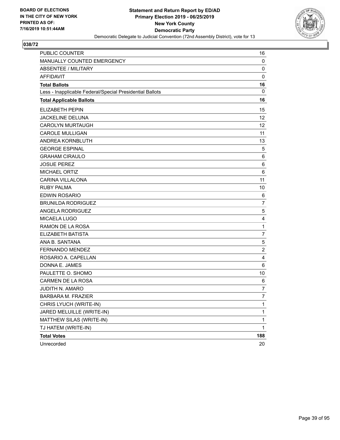

| <b>PUBLIC COUNTER</b>                                    | 16             |
|----------------------------------------------------------|----------------|
| MANUALLY COUNTED EMERGENCY                               | 0              |
| <b>ABSENTEE / MILITARY</b>                               | 0              |
| <b>AFFIDAVIT</b>                                         | $\mathbf 0$    |
| <b>Total Ballots</b>                                     | 16             |
| Less - Inapplicable Federal/Special Presidential Ballots | $\mathbf{0}$   |
| <b>Total Applicable Ballots</b>                          | 16             |
| <b>ELIZABETH PEPIN</b>                                   | 15             |
| <b>JACKELINE DELUNA</b>                                  | 12             |
| <b>CAROLYN MURTAUGH</b>                                  | 12             |
| <b>CAROLE MULLIGAN</b>                                   | 11             |
| ANDREA KORNBLUTH                                         | 13             |
| <b>GEORGE ESPINAL</b>                                    | 5              |
| <b>GRAHAM CIRAULO</b>                                    | 6              |
| <b>JOSUE PEREZ</b>                                       | 6              |
| <b>MICHAEL ORTIZ</b>                                     | 6              |
| <b>CARINA VILLALONA</b>                                  | 11             |
| <b>RUBY PALMA</b>                                        | 10             |
| <b>EDWIN ROSARIO</b>                                     | 6              |
| <b>BRUNILDA RODRIGUEZ</b>                                | $\overline{7}$ |
| ANGELA RODRIGUEZ                                         | 5              |
| MICAELA LUGO                                             | 4              |
| RAMON DE LA ROSA                                         | $\mathbf{1}$   |
| <b>ELIZABETH BATISTA</b>                                 | $\overline{7}$ |
| ANA B. SANTANA                                           | $\,$ 5 $\,$    |
| <b>FERNANDO MENDEZ</b>                                   | $\overline{c}$ |
| ROSARIO A. CAPELLAN                                      | 4              |
| DONNA E. JAMES                                           | 6              |
| PAULETTE O. SHOMO                                        | 10             |
| <b>CARMEN DE LA ROSA</b>                                 | 6              |
| <b>JUDITH N. AMARO</b>                                   | $\overline{7}$ |
| BARBARA M. FRAZIER                                       | 7              |
| CHRIS LYUCH (WRITE-IN)                                   | 1              |
| JARED MELUILLE (WRITE-IN)                                | 1              |
| MATTHEW SILAS (WRITE-IN)                                 | $\mathbf{1}$   |
| TJ HATEM (WRITE-IN)                                      | $\mathbf{1}$   |
| <b>Total Votes</b>                                       | 188            |
| Unrecorded                                               | 20             |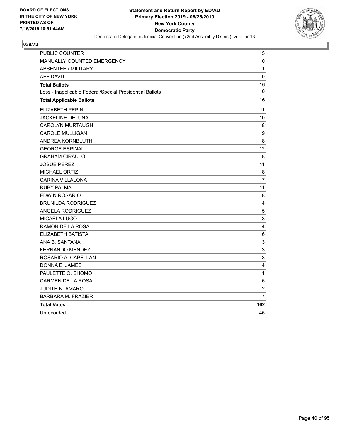

| PUBLIC COUNTER                                           | 15             |
|----------------------------------------------------------|----------------|
| MANUALLY COUNTED EMERGENCY                               | 0              |
| <b>ABSENTEE / MILITARY</b>                               | 1              |
| <b>AFFIDAVIT</b>                                         | 0              |
| <b>Total Ballots</b>                                     | 16             |
| Less - Inapplicable Federal/Special Presidential Ballots | 0              |
| <b>Total Applicable Ballots</b>                          | 16             |
| <b>ELIZABETH PEPIN</b>                                   | 11             |
| <b>JACKELINE DELUNA</b>                                  | 10             |
| <b>CAROLYN MURTAUGH</b>                                  | 8              |
| <b>CAROLE MULLIGAN</b>                                   | 9              |
| ANDREA KORNBLUTH                                         | 8              |
| <b>GEORGE ESPINAL</b>                                    | 12             |
| <b>GRAHAM CIRAULO</b>                                    | 8              |
| <b>JOSUE PEREZ</b>                                       | 11             |
| MICHAEL ORTIZ                                            | 8              |
| <b>CARINA VILLALONA</b>                                  | 7              |
| <b>RUBY PALMA</b>                                        | 11             |
| <b>EDWIN ROSARIO</b>                                     | 8              |
| <b>BRUNILDA RODRIGUEZ</b>                                | $\overline{4}$ |
| ANGELA RODRIGUEZ                                         | 5              |
| <b>MICAELA LUGO</b>                                      | 3              |
| RAMON DE LA ROSA                                         | 4              |
| ELIZABETH BATISTA                                        | 6              |
| ANA B. SANTANA                                           | 3              |
| <b>FERNANDO MENDEZ</b>                                   | 3              |
| ROSARIO A. CAPELLAN                                      | 3              |
| DONNA E. JAMES                                           | 4              |
| PAULETTE O. SHOMO                                        | $\mathbf 1$    |
| <b>CARMEN DE LA ROSA</b>                                 | 6              |
| <b>JUDITH N. AMARO</b>                                   | $\overline{c}$ |
| <b>BARBARA M. FRAZIER</b>                                | $\overline{7}$ |
| <b>Total Votes</b>                                       | 162            |
| Unrecorded                                               | 46             |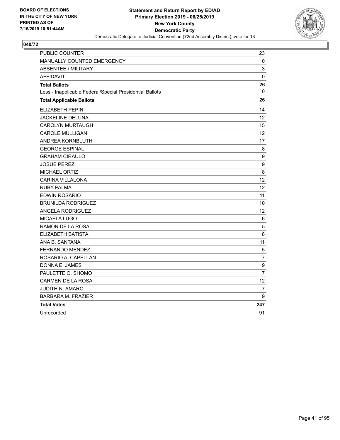

| <b>PUBLIC COUNTER</b>                                    | 23                |
|----------------------------------------------------------|-------------------|
| <b>MANUALLY COUNTED EMERGENCY</b>                        | 0                 |
| <b>ABSENTEE / MILITARY</b>                               | $\mathsf 3$       |
| <b>AFFIDAVIT</b>                                         | 0                 |
| <b>Total Ballots</b>                                     | 26                |
| Less - Inapplicable Federal/Special Presidential Ballots | $\mathbf 0$       |
| <b>Total Applicable Ballots</b>                          | 26                |
| ELIZABETH PEPIN                                          | 14                |
| <b>JACKELINE DELUNA</b>                                  | 12                |
| <b>CAROLYN MURTAUGH</b>                                  | 15                |
| <b>CAROLE MULLIGAN</b>                                   | 12                |
| ANDREA KORNBLUTH                                         | 17                |
| <b>GEORGE ESPINAL</b>                                    | 8                 |
| <b>GRAHAM CIRAULO</b>                                    | 9                 |
| <b>JOSUE PEREZ</b>                                       | 9                 |
| <b>MICHAEL ORTIZ</b>                                     | 8                 |
| <b>CARINA VILLALONA</b>                                  | 12                |
| <b>RUBY PALMA</b>                                        | $12 \overline{ }$ |
| EDWIN ROSARIO                                            | 11                |
| <b>BRUNILDA RODRIGUEZ</b>                                | 10                |
| ANGELA RODRIGUEZ                                         | 12                |
| MICAELA LUGO                                             | 6                 |
| RAMON DE LA ROSA                                         | $\mathbf 5$       |
| ELIZABETH BATISTA                                        | 8                 |
| ANA B. SANTANA                                           | 11                |
| <b>FERNANDO MENDEZ</b>                                   | 5                 |
| ROSARIO A. CAPELLAN                                      | $\overline{7}$    |
| DONNA E. JAMES                                           | 9                 |
| PAULETTE O. SHOMO                                        | $\overline{7}$    |
| CARMEN DE LA ROSA                                        | $12 \overline{ }$ |
| JUDITH N. AMARO                                          | 7                 |
| <b>BARBARA M. FRAZIER</b>                                | 9                 |
| <b>Total Votes</b>                                       | 247               |
| Unrecorded                                               | 91                |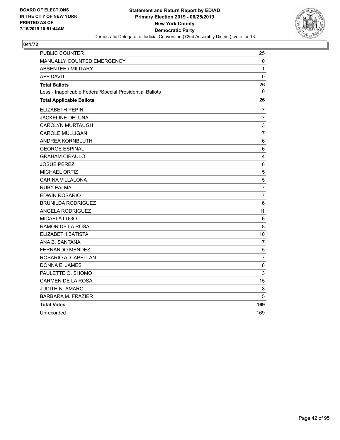

| PUBLIC COUNTER                                           | 25                      |
|----------------------------------------------------------|-------------------------|
| MANUALLY COUNTED EMERGENCY                               | 0                       |
| <b>ABSENTEE / MILITARY</b>                               | 1                       |
| <b>AFFIDAVIT</b>                                         | $\mathbf 0$             |
| <b>Total Ballots</b>                                     | 26                      |
| Less - Inapplicable Federal/Special Presidential Ballots | $\mathbf{0}$            |
| <b>Total Applicable Ballots</b>                          | 26                      |
| ELIZABETH PEPIN                                          | 7                       |
| JACKELINE DELUNA                                         | 7                       |
| <b>CAROLYN MURTAUGH</b>                                  | 3                       |
| <b>CAROLE MULLIGAN</b>                                   | $\overline{7}$          |
| ANDREA KORNBLUTH                                         | 6                       |
| <b>GEORGE ESPINAL</b>                                    | 6                       |
| <b>GRAHAM CIRAULO</b>                                    | $\overline{\mathbf{4}}$ |
| <b>JOSUE PEREZ</b>                                       | 6                       |
| <b>MICHAEL ORTIZ</b>                                     | 5                       |
| <b>CARINA VILLALONA</b>                                  | 5                       |
| <b>RUBY PALMA</b>                                        | $\overline{7}$          |
| EDWIN ROSARIO                                            | $\overline{7}$          |
| <b>BRUNILDA RODRIGUEZ</b>                                | 6                       |
| <b>ANGELA RODRIGUEZ</b>                                  | 11                      |
| <b>MICAELA LUGO</b>                                      | 6                       |
| RAMON DE LA ROSA                                         | 8                       |
| ELIZABETH BATISTA                                        | 10                      |
| ANA B. SANTANA                                           | 7                       |
| <b>FERNANDO MENDEZ</b>                                   | 5                       |
| ROSARIO A. CAPELLAN                                      | $\overline{7}$          |
| DONNA E. JAMES                                           | 8                       |
| PAULETTE O. SHOMO                                        | 3                       |
| <b>CARMEN DE LA ROSA</b>                                 | 15                      |
| <b>JUDITH N. AMARO</b>                                   | 8                       |
| <b>BARBARA M. FRAZIER</b>                                | 5                       |
| <b>Total Votes</b>                                       | 169                     |
| Unrecorded                                               | 169                     |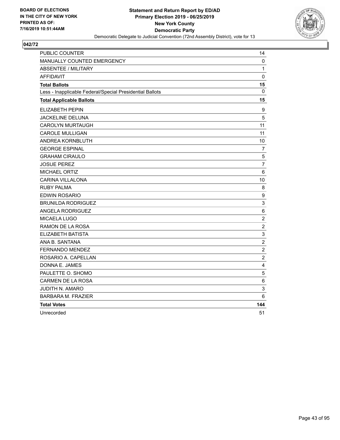

| PUBLIC COUNTER                                           | 14               |
|----------------------------------------------------------|------------------|
| <b>MANUALLY COUNTED EMERGENCY</b>                        | $\mathbf{0}$     |
| <b>ABSENTEE / MILITARY</b>                               | 1                |
| <b>AFFIDAVIT</b>                                         | 0                |
| <b>Total Ballots</b>                                     | 15               |
| Less - Inapplicable Federal/Special Presidential Ballots | $\mathbf 0$      |
| <b>Total Applicable Ballots</b>                          | 15               |
| <b>ELIZABETH PEPIN</b>                                   | 9                |
| <b>JACKELINE DELUNA</b>                                  | 5                |
| CAROLYN MURTAUGH                                         | 11               |
| <b>CAROLE MULLIGAN</b>                                   | 11               |
| ANDREA KORNBLUTH                                         | 10               |
| <b>GEORGE ESPINAL</b>                                    | $\overline{7}$   |
| <b>GRAHAM CIRAULO</b>                                    | $\sqrt{5}$       |
| <b>JOSUE PEREZ</b>                                       | $\overline{7}$   |
| <b>MICHAEL ORTIZ</b>                                     | 6                |
| <b>CARINA VILLALONA</b>                                  | 10               |
| <b>RUBY PALMA</b>                                        | 8                |
| EDWIN ROSARIO                                            | 9                |
| <b>BRUNILDA RODRIGUEZ</b>                                | 3                |
| ANGELA RODRIGUEZ                                         | $\,6$            |
| MICAELA LUGO                                             | $\boldsymbol{2}$ |
| RAMON DE LA ROSA                                         | $\sqrt{2}$       |
| ELIZABETH BATISTA                                        | 3                |
| ANA B. SANTANA                                           | $\overline{c}$   |
| <b>FERNANDO MENDEZ</b>                                   | $\overline{c}$   |
| ROSARIO A. CAPELLAN                                      | $\overline{c}$   |
| DONNA E. JAMES                                           | 4                |
| PAULETTE O. SHOMO                                        | 5                |
| CARMEN DE LA ROSA                                        | $\,6\,$          |
| <b>JUDITH N. AMARO</b>                                   | 3                |
| <b>BARBARA M. FRAZIER</b>                                | 6                |
| <b>Total Votes</b>                                       | 144              |
| Unrecorded                                               | 51               |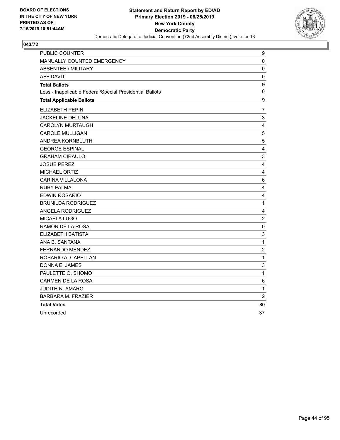

| PUBLIC COUNTER                                           | 9                       |
|----------------------------------------------------------|-------------------------|
| <b>MANUALLY COUNTED EMERGENCY</b>                        | 0                       |
| <b>ABSENTEE / MILITARY</b>                               | 0                       |
| <b>AFFIDAVIT</b>                                         | 0                       |
| <b>Total Ballots</b>                                     | $\mathbf{9}$            |
| Less - Inapplicable Federal/Special Presidential Ballots | 0                       |
| <b>Total Applicable Ballots</b>                          | 9                       |
| ELIZABETH PEPIN                                          | 7                       |
| JACKELINE DELUNA                                         | 3                       |
| <b>CAROLYN MURTAUGH</b>                                  | $\overline{\mathbf{4}}$ |
| <b>CAROLE MULLIGAN</b>                                   | 5                       |
| ANDREA KORNBLUTH                                         | 5                       |
| <b>GEORGE ESPINAL</b>                                    | 4                       |
| <b>GRAHAM CIRAULO</b>                                    | $\mathsf 3$             |
| <b>JOSUE PEREZ</b>                                       | $\overline{4}$          |
| <b>MICHAEL ORTIZ</b>                                     | $\overline{\mathbf{4}}$ |
| <b>CARINA VILLALONA</b>                                  | 6                       |
| <b>RUBY PALMA</b>                                        | 4                       |
| EDWIN ROSARIO                                            | 4                       |
| <b>BRUNILDA RODRIGUEZ</b>                                | 1                       |
| <b>ANGELA RODRIGUEZ</b>                                  | $\overline{4}$          |
| <b>MICAELA LUGO</b>                                      | $\overline{c}$          |
| <b>RAMON DE LA ROSA</b>                                  | $\pmb{0}$               |
| ELIZABETH BATISTA                                        | 3                       |
| ANA B. SANTANA                                           | $\mathbf 1$             |
| FERNANDO MENDEZ                                          | $\boldsymbol{2}$        |
| ROSARIO A. CAPELLAN                                      | $\mathbf 1$             |
| DONNA E. JAMES                                           | $\mathsf 3$             |
| PAULETTE O. SHOMO                                        | $\mathbf 1$             |
| <b>CARMEN DE LA ROSA</b>                                 | 6                       |
| JUDITH N. AMARO                                          | $\mathbf 1$             |
| <b>BARBARA M. FRAZIER</b>                                | $\overline{c}$          |
| <b>Total Votes</b>                                       | 80                      |
| Unrecorded                                               | 37                      |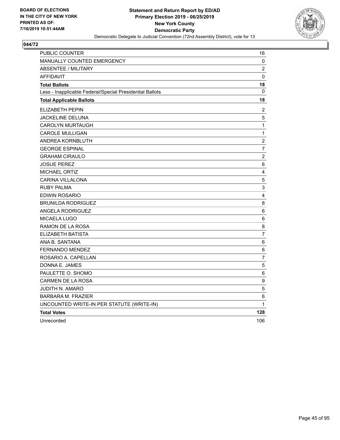

| PUBLIC COUNTER                                           | 16                      |
|----------------------------------------------------------|-------------------------|
| MANUALLY COUNTED EMERGENCY                               | 0                       |
| ABSENTEE / MILITARY                                      | $\overline{\mathbf{c}}$ |
| <b>AFFIDAVIT</b>                                         | $\mathbf 0$             |
| <b>Total Ballots</b>                                     | 18                      |
| Less - Inapplicable Federal/Special Presidential Ballots | $\Omega$                |
| <b>Total Applicable Ballots</b>                          | 18                      |
| <b>ELIZABETH PEPIN</b>                                   | $\overline{c}$          |
| JACKELINE DELUNA                                         | 5                       |
| <b>CAROLYN MURTAUGH</b>                                  | $\mathbf{1}$            |
| <b>CAROLE MULLIGAN</b>                                   | 1                       |
| ANDREA KORNBLUTH                                         | $\overline{\mathbf{c}}$ |
| <b>GEORGE ESPINAL</b>                                    | $\overline{7}$          |
| <b>GRAHAM CIRAULO</b>                                    | $\boldsymbol{2}$        |
| <b>JOSUE PEREZ</b>                                       | 6                       |
| <b>MICHAEL ORTIZ</b>                                     | $\overline{\mathbf{4}}$ |
| <b>CARINA VILLALONA</b>                                  | $\sqrt{5}$              |
| <b>RUBY PALMA</b>                                        | $\mathsf 3$             |
| <b>EDWIN ROSARIO</b>                                     | 4                       |
| <b>BRUNILDA RODRIGUEZ</b>                                | 8                       |
| ANGELA RODRIGUEZ                                         | 6                       |
| <b>MICAELA LUGO</b>                                      | $\,6$                   |
| RAMON DE LA ROSA                                         | 8                       |
| ELIZABETH BATISTA                                        | $\overline{7}$          |
| ANA B. SANTANA                                           | $\,6\,$                 |
| <b>FERNANDO MENDEZ</b>                                   | 6                       |
| ROSARIO A. CAPELLAN                                      | $\overline{7}$          |
| DONNA E. JAMES                                           | 5                       |
| PAULETTE O. SHOMO                                        | 6                       |
| <b>CARMEN DE LA ROSA</b>                                 | 9                       |
| JUDITH N. AMARO                                          | 5                       |
| <b>BARBARA M. FRAZIER</b>                                | 6                       |
| UNCOUNTED WRITE-IN PER STATUTE (WRITE-IN)                | 1                       |
| <b>Total Votes</b>                                       | 128                     |
| Unrecorded                                               | 106                     |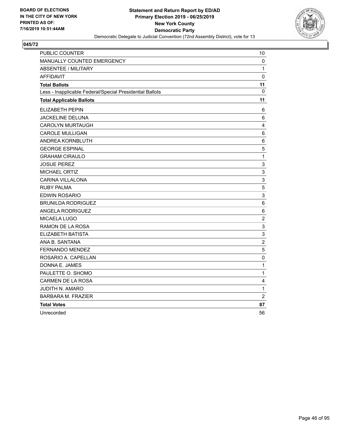

| PUBLIC COUNTER                                           | 10             |
|----------------------------------------------------------|----------------|
| MANUALLY COUNTED EMERGENCY                               | 0              |
| <b>ABSENTEE / MILITARY</b>                               | 1              |
| <b>AFFIDAVIT</b>                                         | $\mathbf 0$    |
| <b>Total Ballots</b>                                     | 11             |
| Less - Inapplicable Federal/Special Presidential Ballots | 0              |
| <b>Total Applicable Ballots</b>                          | 11             |
| ELIZABETH PEPIN                                          | 6              |
| <b>JACKELINE DELUNA</b>                                  | 6              |
| <b>CAROLYN MURTAUGH</b>                                  | 4              |
| <b>CAROLE MULLIGAN</b>                                   | 6              |
| ANDREA KORNBLUTH                                         | $\,6$          |
| <b>GEORGE ESPINAL</b>                                    | 5              |
| <b>GRAHAM CIRAULO</b>                                    | $\mathbf{1}$   |
| <b>JOSUE PEREZ</b>                                       | 3              |
| <b>MICHAEL ORTIZ</b>                                     | $\mathsf 3$    |
| <b>CARINA VILLALONA</b>                                  | $\mathsf 3$    |
| <b>RUBY PALMA</b>                                        | 5              |
| <b>EDWIN ROSARIO</b>                                     | 3              |
| <b>BRUNILDA RODRIGUEZ</b>                                | 6              |
| ANGELA RODRIGUEZ                                         | 6              |
| <b>MICAELA LUGO</b>                                      | $\overline{c}$ |
| RAMON DE LA ROSA                                         | $\mathsf 3$    |
| ELIZABETH BATISTA                                        | 3              |
| ANA B. SANTANA                                           | $\overline{c}$ |
| <b>FERNANDO MENDEZ</b>                                   | 5              |
| ROSARIO A. CAPELLAN                                      | 0              |
| DONNA E. JAMES                                           | 1              |
| PAULETTE O. SHOMO                                        | 1              |
| CARMEN DE LA ROSA                                        | 4              |
| JUDITH N. AMARO                                          | $\mathbf{1}$   |
| <b>BARBARA M. FRAZIER</b>                                | $\overline{c}$ |
| <b>Total Votes</b>                                       | 87             |
| Unrecorded                                               | 56             |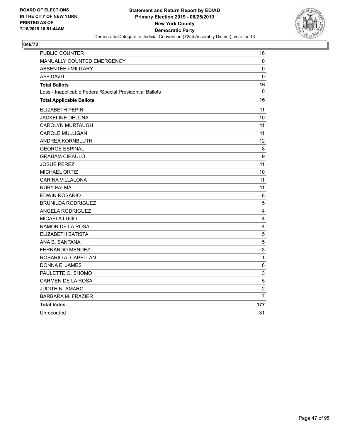

| <b>PUBLIC COUNTER</b>                                    | 16                      |
|----------------------------------------------------------|-------------------------|
| <b>MANUALLY COUNTED EMERGENCY</b>                        | 0                       |
| <b>ABSENTEE / MILITARY</b>                               | 0                       |
| <b>AFFIDAVIT</b>                                         | $\mathbf 0$             |
| <b>Total Ballots</b>                                     | 16                      |
| Less - Inapplicable Federal/Special Presidential Ballots | 0                       |
| <b>Total Applicable Ballots</b>                          | 16                      |
| <b>ELIZABETH PEPIN</b>                                   | 11                      |
| <b>JACKELINE DELUNA</b>                                  | 10                      |
| <b>CAROLYN MURTAUGH</b>                                  | 11                      |
| <b>CAROLE MULLIGAN</b>                                   | 11                      |
| ANDREA KORNBLUTH                                         | 12                      |
| <b>GEORGE ESPINAL</b>                                    | 8                       |
| <b>GRAHAM CIRAULO</b>                                    | 9                       |
| <b>JOSUE PEREZ</b>                                       | 11                      |
| <b>MICHAEL ORTIZ</b>                                     | 10                      |
| <b>CARINA VILLALONA</b>                                  | 11                      |
| <b>RUBY PALMA</b>                                        | 11                      |
| <b>EDWIN ROSARIO</b>                                     | 8                       |
| <b>BRUNILDA RODRIGUEZ</b>                                | 5                       |
| ANGELA RODRIGUEZ                                         | $\overline{\mathbf{4}}$ |
| <b>MICAELA LUGO</b>                                      | 4                       |
| RAMON DE LA ROSA                                         | 4                       |
| ELIZABETH BATISTA                                        | 5                       |
| ANA B. SANTANA                                           | 5                       |
| <b>FERNANDO MENDEZ</b>                                   | 3                       |
| ROSARIO A. CAPELLAN                                      | $\mathbf{1}$            |
| DONNA E. JAMES                                           | 6                       |
| PAULETTE O. SHOMO                                        | 3                       |
| <b>CARMEN DE LA ROSA</b>                                 | 5                       |
| <b>JUDITH N. AMARO</b>                                   | $\overline{c}$          |
| <b>BARBARA M. FRAZIER</b>                                | $\overline{7}$          |
| <b>Total Votes</b>                                       | 177                     |
| Unrecorded                                               | 31                      |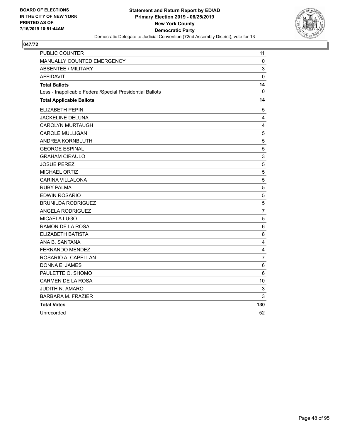

| PUBLIC COUNTER                                           | 11                        |
|----------------------------------------------------------|---------------------------|
| MANUALLY COUNTED EMERGENCY                               | 0                         |
| <b>ABSENTEE / MILITARY</b>                               | 3                         |
| <b>AFFIDAVIT</b>                                         | $\mathbf 0$               |
| <b>Total Ballots</b>                                     | 14                        |
| Less - Inapplicable Federal/Special Presidential Ballots | $\mathbf{0}$              |
| <b>Total Applicable Ballots</b>                          | 14                        |
| <b>ELIZABETH PEPIN</b>                                   | 5                         |
| <b>JACKELINE DELUNA</b>                                  | $\overline{4}$            |
| <b>CAROLYN MURTAUGH</b>                                  | 4                         |
| <b>CAROLE MULLIGAN</b>                                   | $\sqrt{5}$                |
| ANDREA KORNBLUTH                                         | 5                         |
| <b>GEORGE ESPINAL</b>                                    | 5                         |
| <b>GRAHAM CIRAULO</b>                                    | $\ensuremath{\mathsf{3}}$ |
| <b>JOSUE PEREZ</b>                                       | 5                         |
| MICHAEL ORTIZ                                            | $\sqrt{5}$                |
| <b>CARINA VILLALONA</b>                                  | 5                         |
| <b>RUBY PALMA</b>                                        | 5                         |
| <b>EDWIN ROSARIO</b>                                     | $\sqrt{5}$                |
| <b>BRUNILDA RODRIGUEZ</b>                                | 5                         |
| <b>ANGELA RODRIGUEZ</b>                                  | $\overline{7}$            |
| <b>MICAELA LUGO</b>                                      | 5                         |
| RAMON DE LA ROSA                                         | 6                         |
| ELIZABETH BATISTA                                        | 8                         |
| ANA B. SANTANA                                           | 4                         |
| <b>FERNANDO MENDEZ</b>                                   | $\overline{4}$            |
| ROSARIO A. CAPELLAN                                      | $\overline{7}$            |
| DONNA E. JAMES                                           | 6                         |
| PAULETTE O. SHOMO                                        | 6                         |
| CARMEN DE LA ROSA                                        | 10                        |
| JUDITH N. AMARO                                          | 3                         |
| <b>BARBARA M. FRAZIER</b>                                | 3                         |
| <b>Total Votes</b>                                       | 130                       |
| Unrecorded                                               | 52                        |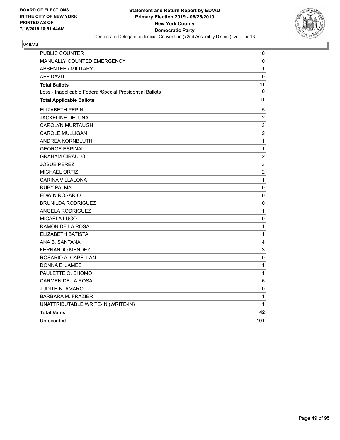

| <b>PUBLIC COUNTER</b>                                    | 10             |
|----------------------------------------------------------|----------------|
| <b>MANUALLY COUNTED EMERGENCY</b>                        | 0              |
| <b>ABSENTEE / MILITARY</b>                               | 1              |
| <b>AFFIDAVIT</b>                                         | 0              |
| <b>Total Ballots</b>                                     | 11             |
| Less - Inapplicable Federal/Special Presidential Ballots | $\mathbf{0}$   |
| <b>Total Applicable Ballots</b>                          | 11             |
| <b>ELIZABETH PEPIN</b>                                   | 5              |
| JACKELINE DELUNA                                         | 2              |
| <b>CAROLYN MURTAUGH</b>                                  | 3              |
| <b>CAROLE MULLIGAN</b>                                   | $\overline{c}$ |
| ANDREA KORNBLUTH                                         | 1              |
| <b>GEORGE ESPINAL</b>                                    | $\mathbf{1}$   |
| <b>GRAHAM CIRAULO</b>                                    | $\overline{c}$ |
| <b>JOSUE PEREZ</b>                                       | 3              |
| <b>MICHAEL ORTIZ</b>                                     | $\overline{c}$ |
| CARINA VILLALONA                                         | $\mathbf{1}$   |
| RUBY PALMA                                               | 0              |
| <b>EDWIN ROSARIO</b>                                     | $\pmb{0}$      |
| <b>BRUNILDA RODRIGUEZ</b>                                | 0              |
| ANGELA RODRIGUEZ                                         | $\mathbf{1}$   |
| MICAELA LUGO                                             | 0              |
| RAMON DE LA ROSA                                         | 1              |
| ELIZABETH BATISTA                                        | 1              |
| ANA B. SANTANA                                           | 4              |
| <b>FERNANDO MENDEZ</b>                                   | 3              |
| ROSARIO A. CAPELLAN                                      | 0              |
| DONNA E. JAMES                                           | 1              |
| PAULETTE O. SHOMO                                        | 1              |
| CARMEN DE LA ROSA                                        | 6              |
| <b>JUDITH N. AMARO</b>                                   | 0              |
| <b>BARBARA M. FRAZIER</b>                                | $\mathbf{1}$   |
| UNATTRIBUTABLE WRITE-IN (WRITE-IN)                       | 1              |
| <b>Total Votes</b>                                       | 42             |
| Unrecorded                                               | 101            |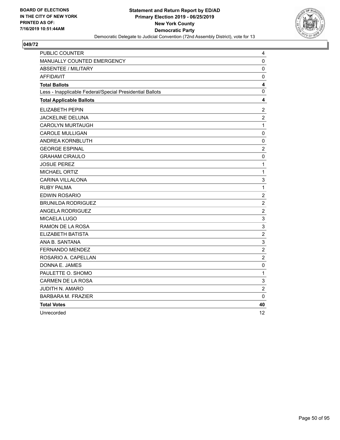

| <b>PUBLIC COUNTER</b>                                    | 4                         |
|----------------------------------------------------------|---------------------------|
| MANUALLY COUNTED EMERGENCY                               | 0                         |
| <b>ABSENTEE / MILITARY</b>                               | $\mathbf 0$               |
| <b>AFFIDAVIT</b>                                         | $\pmb{0}$                 |
| <b>Total Ballots</b>                                     | 4                         |
| Less - Inapplicable Federal/Special Presidential Ballots | 0                         |
| <b>Total Applicable Ballots</b>                          | 4                         |
| <b>ELIZABETH PEPIN</b>                                   | $\overline{c}$            |
| <b>JACKELINE DELUNA</b>                                  | $\overline{2}$            |
| <b>CAROLYN MURTAUGH</b>                                  | $\mathbf{1}$              |
| <b>CAROLE MULLIGAN</b>                                   | 0                         |
| ANDREA KORNBLUTH                                         | $\pmb{0}$                 |
| <b>GEORGE ESPINAL</b>                                    | $\overline{c}$            |
| <b>GRAHAM CIRAULO</b>                                    | $\mathbf 0$               |
| <b>JOSUE PEREZ</b>                                       | $\mathbf{1}$              |
| MICHAEL ORTIZ                                            | $\mathbf{1}$              |
| <b>CARINA VILLALONA</b>                                  | 3                         |
| <b>RUBY PALMA</b>                                        | 1                         |
| <b>EDWIN ROSARIO</b>                                     | $\overline{2}$            |
| <b>BRUNILDA RODRIGUEZ</b>                                | $\overline{c}$            |
| <b>ANGELA RODRIGUEZ</b>                                  | $\overline{c}$            |
| MICAELA LUGO                                             | $\ensuremath{\mathsf{3}}$ |
| RAMON DE LA ROSA                                         | 3                         |
| ELIZABETH BATISTA                                        | $\overline{c}$            |
| ANA B. SANTANA                                           | $\mathsf 3$               |
| <b>FERNANDO MENDEZ</b>                                   | $\overline{c}$            |
| ROSARIO A. CAPELLAN                                      | $\overline{c}$            |
| DONNA E. JAMES                                           | $\mathbf 0$               |
| PAULETTE O. SHOMO                                        | 1                         |
| CARMEN DE LA ROSA                                        | $\mathsf 3$               |
| JUDITH N. AMARO                                          | $\overline{c}$            |
| <b>BARBARA M. FRAZIER</b>                                | 0                         |
| <b>Total Votes</b>                                       | 40                        |
| Unrecorded                                               | 12                        |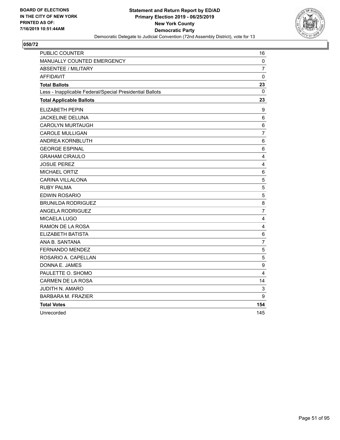

| PUBLIC COUNTER                                           | 16                      |
|----------------------------------------------------------|-------------------------|
| <b>MANUALLY COUNTED EMERGENCY</b>                        | 0                       |
| <b>ABSENTEE / MILITARY</b>                               | $\overline{7}$          |
| <b>AFFIDAVIT</b>                                         | $\mathbf{0}$            |
| <b>Total Ballots</b>                                     | 23                      |
| Less - Inapplicable Federal/Special Presidential Ballots | $\mathbf{0}$            |
| <b>Total Applicable Ballots</b>                          | 23                      |
| ELIZABETH PEPIN                                          | $\boldsymbol{9}$        |
| JACKELINE DELUNA                                         | 6                       |
| <b>CAROLYN MURTAUGH</b>                                  | 6                       |
| <b>CAROLE MULLIGAN</b>                                   | 7                       |
| ANDREA KORNBLUTH                                         | 6                       |
| <b>GEORGE ESPINAL</b>                                    | 6                       |
| <b>GRAHAM CIRAULO</b>                                    | $\overline{\mathbf{4}}$ |
| <b>JOSUE PEREZ</b>                                       | $\overline{4}$          |
| <b>MICHAEL ORTIZ</b>                                     | 6                       |
| <b>CARINA VILLALONA</b>                                  | 5                       |
| <b>RUBY PALMA</b>                                        | 5                       |
| EDWIN ROSARIO                                            | $\sqrt{5}$              |
| <b>BRUNILDA RODRIGUEZ</b>                                | 8                       |
| <b>ANGELA RODRIGUEZ</b>                                  | $\overline{7}$          |
| <b>MICAELA LUGO</b>                                      | 4                       |
| RAMON DE LA ROSA                                         | 4                       |
| ELIZABETH BATISTA                                        | 6                       |
| ANA B. SANTANA                                           | $\overline{7}$          |
| <b>FERNANDO MENDEZ</b>                                   | 5                       |
| ROSARIO A. CAPELLAN                                      | $\sqrt{5}$              |
| DONNA E. JAMES                                           | 9                       |
| PAULETTE O. SHOMO                                        | 4                       |
| <b>CARMEN DE LA ROSA</b>                                 | 14                      |
| JUDITH N. AMARO                                          | 3                       |
| <b>BARBARA M. FRAZIER</b>                                | 9                       |
| <b>Total Votes</b>                                       | 154                     |
| Unrecorded                                               | 145                     |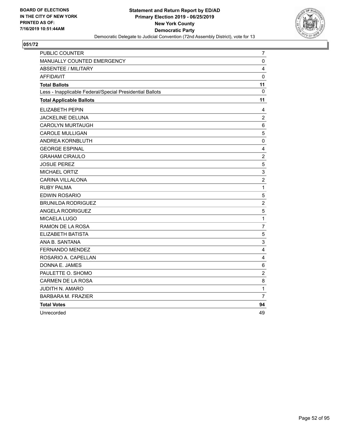

| PUBLIC COUNTER                                           | $\overline{7}$          |
|----------------------------------------------------------|-------------------------|
| MANUALLY COUNTED EMERGENCY                               | $\pmb{0}$               |
| <b>ABSENTEE / MILITARY</b>                               | 4                       |
| <b>AFFIDAVIT</b>                                         | $\mathbf{0}$            |
| <b>Total Ballots</b>                                     | 11                      |
| Less - Inapplicable Federal/Special Presidential Ballots | $\mathbf{0}$            |
| <b>Total Applicable Ballots</b>                          | 11                      |
| <b>ELIZABETH PEPIN</b>                                   | 4                       |
| JACKELINE DELUNA                                         | $\overline{2}$          |
| CAROLYN MURTAUGH                                         | $\,6$                   |
| <b>CAROLE MULLIGAN</b>                                   | $\sqrt{5}$              |
| ANDREA KORNBLUTH                                         | $\pmb{0}$               |
| <b>GEORGE ESPINAL</b>                                    | 4                       |
| <b>GRAHAM CIRAULO</b>                                    | $\overline{c}$          |
| <b>JOSUE PEREZ</b>                                       | 5                       |
| MICHAEL ORTIZ                                            | 3                       |
| <b>CARINA VILLALONA</b>                                  | $\overline{c}$          |
| <b>RUBY PALMA</b>                                        | $\mathbf 1$             |
| <b>EDWIN ROSARIO</b>                                     | 5                       |
| <b>BRUNILDA RODRIGUEZ</b>                                | $\overline{c}$          |
| ANGELA RODRIGUEZ                                         | 5                       |
| MICAELA LUGO                                             | $\mathbf 1$             |
| RAMON DE LA ROSA                                         | $\overline{7}$          |
| ELIZABETH BATISTA                                        | 5                       |
| ANA B. SANTANA                                           | 3                       |
| FERNANDO MENDEZ                                          | $\overline{4}$          |
| ROSARIO A. CAPELLAN                                      | $\overline{\mathbf{4}}$ |
| DONNA E. JAMES                                           | 6                       |
| PAULETTE O. SHOMO                                        | $\overline{c}$          |
| <b>CARMEN DE LA ROSA</b>                                 | 8                       |
| <b>JUDITH N. AMARO</b>                                   | $\mathbf{1}$            |
| <b>BARBARA M. FRAZIER</b>                                | $\overline{7}$          |
| <b>Total Votes</b>                                       | 94                      |
| Unrecorded                                               | 49                      |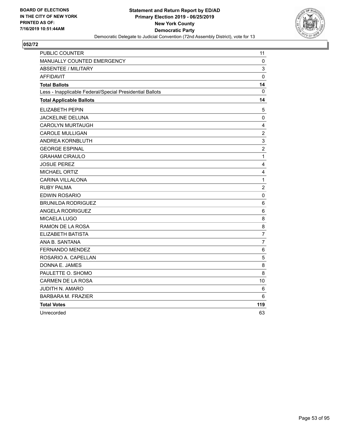

| PUBLIC COUNTER                                           | 11               |
|----------------------------------------------------------|------------------|
| <b>MANUALLY COUNTED EMERGENCY</b>                        | 0                |
| <b>ABSENTEE / MILITARY</b>                               | 3                |
| <b>AFFIDAVIT</b>                                         | $\mathbf{0}$     |
| <b>Total Ballots</b>                                     | 14               |
| Less - Inapplicable Federal/Special Presidential Ballots | 0                |
| <b>Total Applicable Ballots</b>                          | 14               |
| <b>ELIZABETH PEPIN</b>                                   | 5                |
| JACKELINE DELUNA                                         | $\pmb{0}$        |
| CAROLYN MURTAUGH                                         | 4                |
| <b>CAROLE MULLIGAN</b>                                   | $\overline{c}$   |
| ANDREA KORNBLUTH                                         | $\mathsf 3$      |
| <b>GEORGE ESPINAL</b>                                    | $\boldsymbol{2}$ |
| <b>GRAHAM CIRAULO</b>                                    | $\mathbf{1}$     |
| <b>JOSUE PEREZ</b>                                       | $\overline{4}$   |
| <b>MICHAEL ORTIZ</b>                                     | 4                |
| <b>CARINA VILLALONA</b>                                  | 1                |
| <b>RUBY PALMA</b>                                        | $\overline{c}$   |
| <b>EDWIN ROSARIO</b>                                     | $\mathbf 0$      |
| <b>BRUNILDA RODRIGUEZ</b>                                | 6                |
| ANGELA RODRIGUEZ                                         | 6                |
| <b>MICAELA LUGO</b>                                      | 8                |
| RAMON DE LA ROSA                                         | 8                |
| ELIZABETH BATISTA                                        | $\overline{7}$   |
| ANA B. SANTANA                                           | $\overline{7}$   |
| <b>FERNANDO MENDEZ</b>                                   | 6                |
| ROSARIO A. CAPELLAN                                      | 5                |
| DONNA E. JAMES                                           | 8                |
| PAULETTE O. SHOMO                                        | 8                |
| <b>CARMEN DE LA ROSA</b>                                 | 10               |
| <b>JUDITH N. AMARO</b>                                   | 6                |
| <b>BARBARA M. FRAZIER</b>                                | 6                |
| <b>Total Votes</b>                                       | 119              |
| Unrecorded                                               | 63               |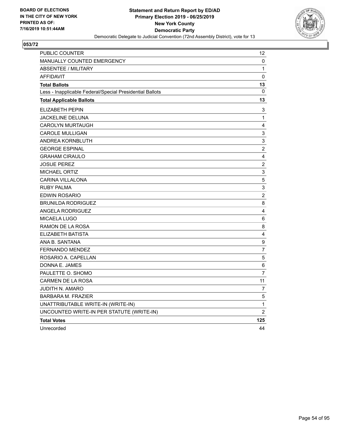

| PUBLIC COUNTER                                           | 12                        |
|----------------------------------------------------------|---------------------------|
| MANUALLY COUNTED EMERGENCY                               | 0                         |
| ABSENTEE / MILITARY                                      | $\mathbf{1}$              |
| <b>AFFIDAVIT</b>                                         | 0                         |
| <b>Total Ballots</b>                                     | 13                        |
| Less - Inapplicable Federal/Special Presidential Ballots | 0                         |
| <b>Total Applicable Ballots</b>                          | 13                        |
| <b>ELIZABETH PEPIN</b>                                   | 3                         |
| JACKELINE DELUNA                                         | $\mathbf 1$               |
| <b>CAROLYN MURTAUGH</b>                                  | 4                         |
| <b>CAROLE MULLIGAN</b>                                   | 3                         |
| ANDREA KORNBLUTH                                         | 3                         |
| <b>GEORGE ESPINAL</b>                                    | $\overline{2}$            |
| <b>GRAHAM CIRAULO</b>                                    | 4                         |
| <b>JOSUE PEREZ</b>                                       | $\overline{c}$            |
| <b>MICHAEL ORTIZ</b>                                     | $\ensuremath{\mathsf{3}}$ |
| <b>CARINA VILLALONA</b>                                  | 5                         |
| <b>RUBY PALMA</b>                                        | 3                         |
| EDWIN ROSARIO                                            | 2                         |
| <b>BRUNILDA RODRIGUEZ</b>                                | 8                         |
| ANGELA RODRIGUEZ                                         | 4                         |
| <b>MICAELA LUGO</b>                                      | 6                         |
| RAMON DE LA ROSA                                         | 8                         |
| ELIZABETH BATISTA                                        | $\overline{\mathbf{4}}$   |
| ANA B. SANTANA                                           | 9                         |
| <b>FERNANDO MENDEZ</b>                                   | $\overline{7}$            |
| ROSARIO A. CAPELLAN                                      | 5                         |
| DONNA E. JAMES                                           | 6                         |
| PAULETTE O. SHOMO                                        | 7                         |
| <b>CARMEN DE LA ROSA</b>                                 | 11                        |
| JUDITH N. AMARO                                          | 7                         |
| <b>BARBARA M. FRAZIER</b>                                | 5                         |
| UNATTRIBUTABLE WRITE-IN (WRITE-IN)                       | $\mathbf{1}$              |
| UNCOUNTED WRITE-IN PER STATUTE (WRITE-IN)                | $\overline{2}$            |
| <b>Total Votes</b>                                       | 125                       |
| Unrecorded                                               | 44                        |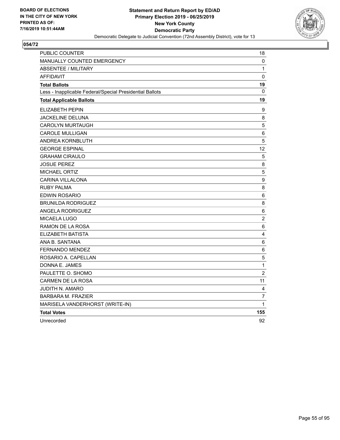

| <b>PUBLIC COUNTER</b>                                    | 18             |
|----------------------------------------------------------|----------------|
| <b>MANUALLY COUNTED EMERGENCY</b>                        | 0              |
| <b>ABSENTEE / MILITARY</b>                               | 1              |
| <b>AFFIDAVIT</b>                                         | 0              |
| <b>Total Ballots</b>                                     | 19             |
| Less - Inapplicable Federal/Special Presidential Ballots | $\mathbf{0}$   |
| <b>Total Applicable Ballots</b>                          | 19             |
| ELIZABETH PEPIN                                          | 9              |
| <b>JACKELINE DELUNA</b>                                  | 8              |
| <b>CAROLYN MURTAUGH</b>                                  | 5              |
| <b>CAROLE MULLIGAN</b>                                   | 6              |
| ANDREA KORNBLUTH                                         | 5              |
| <b>GEORGE ESPINAL</b>                                    | 12             |
| <b>GRAHAM CIRAULO</b>                                    | 5              |
| <b>JOSUE PEREZ</b>                                       | 8              |
| <b>MICHAEL ORTIZ</b>                                     | $\sqrt{5}$     |
| <b>CARINA VILLALONA</b>                                  | 9              |
| <b>RUBY PALMA</b>                                        | 8              |
| EDWIN ROSARIO                                            | 6              |
| <b>BRUNILDA RODRIGUEZ</b>                                | 8              |
| <b>ANGELA RODRIGUEZ</b>                                  | 6              |
| MICAELA LUGO                                             | $\overline{c}$ |
| RAMON DE LA ROSA                                         | 6              |
| ELIZABETH BATISTA                                        | 4              |
| ANA B. SANTANA                                           | 6              |
| FERNANDO MENDEZ                                          | 6              |
| ROSARIO A. CAPELLAN                                      | 5              |
| DONNA E. JAMES                                           | 1              |
| PAULETTE O. SHOMO                                        | $\overline{c}$ |
| <b>CARMEN DE LA ROSA</b>                                 | 11             |
| JUDITH N. AMARO                                          | 4              |
| <b>BARBARA M. FRAZIER</b>                                | $\overline{7}$ |
| MARISELA VANDERHORST (WRITE-IN)                          | 1              |
| <b>Total Votes</b>                                       | 155            |
| Unrecorded                                               | 92             |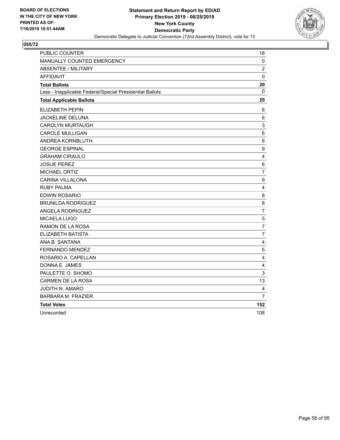

| PUBLIC COUNTER                                           | 18                      |
|----------------------------------------------------------|-------------------------|
| <b>MANUALLY COUNTED EMERGENCY</b>                        | 0                       |
| <b>ABSENTEE / MILITARY</b>                               | $\overline{c}$          |
| <b>AFFIDAVIT</b>                                         | $\Omega$                |
| <b>Total Ballots</b>                                     | 20                      |
| Less - Inapplicable Federal/Special Presidential Ballots | $\mathbf{0}$            |
| <b>Total Applicable Ballots</b>                          | 20                      |
| ELIZABETH PEPIN                                          | 6                       |
| JACKELINE DELUNA                                         | 6                       |
| CAROLYN MURTAUGH                                         | 3                       |
| <b>CAROLE MULLIGAN</b>                                   | 6                       |
| ANDREA KORNBLUTH                                         | $\,6$                   |
| <b>GEORGE ESPINAL</b>                                    | 9                       |
| <b>GRAHAM CIRAULO</b>                                    | $\overline{\mathbf{4}}$ |
| <b>JOSUE PEREZ</b>                                       | 6                       |
| <b>MICHAEL ORTIZ</b>                                     | $\overline{7}$          |
| <b>CARINA VILLALONA</b>                                  | $\boldsymbol{9}$        |
| <b>RUBY PALMA</b>                                        | $\overline{\mathbf{4}}$ |
| <b>EDWIN ROSARIO</b>                                     | 8                       |
| <b>BRUNILDA RODRIGUEZ</b>                                | 8                       |
| <b>ANGELA RODRIGUEZ</b>                                  | $\overline{7}$          |
| <b>MICAELA LUGO</b>                                      | 5                       |
| RAMON DE LA ROSA                                         | $\overline{7}$          |
| ELIZABETH BATISTA                                        | $\overline{7}$          |
| ANA B. SANTANA                                           | $\overline{4}$          |
| <b>FERNANDO MENDEZ</b>                                   | 5                       |
| ROSARIO A. CAPELLAN                                      | $\overline{\mathbf{4}}$ |
| DONNA E. JAMES                                           | 4                       |
| PAULETTE O. SHOMO                                        | 3                       |
| <b>CARMEN DE LA ROSA</b>                                 | 13                      |
| <b>JUDITH N. AMARO</b>                                   | 4                       |
| <b>BARBARA M. FRAZIER</b>                                | $\overline{7}$          |
| <b>Total Votes</b>                                       | 152                     |
| Unrecorded                                               | 108                     |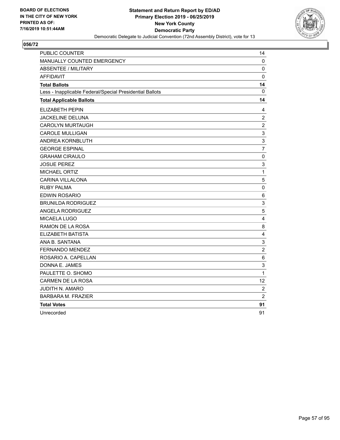

| PUBLIC COUNTER                                           | 14               |
|----------------------------------------------------------|------------------|
| <b>MANUALLY COUNTED EMERGENCY</b>                        | 0                |
| <b>ABSENTEE / MILITARY</b>                               | 0                |
| <b>AFFIDAVIT</b>                                         | $\mathbf{0}$     |
| <b>Total Ballots</b>                                     | 14               |
| Less - Inapplicable Federal/Special Presidential Ballots | 0                |
| <b>Total Applicable Ballots</b>                          | 14               |
| ELIZABETH PEPIN                                          | 4                |
| JACKELINE DELUNA                                         | $\overline{2}$   |
| <b>CAROLYN MURTAUGH</b>                                  | $\boldsymbol{2}$ |
| <b>CAROLE MULLIGAN</b>                                   | $\mathsf 3$      |
| ANDREA KORNBLUTH                                         | 3                |
| <b>GEORGE ESPINAL</b>                                    | $\overline{7}$   |
| <b>GRAHAM CIRAULO</b>                                    | $\pmb{0}$        |
| <b>JOSUE PEREZ</b>                                       | 3                |
| <b>MICHAEL ORTIZ</b>                                     | $\mathbf 1$      |
| <b>CARINA VILLALONA</b>                                  | 5                |
| <b>RUBY PALMA</b>                                        | 0                |
| EDWIN ROSARIO                                            | 6                |
| <b>BRUNILDA RODRIGUEZ</b>                                | 3                |
| <b>ANGELA RODRIGUEZ</b>                                  | 5                |
| <b>MICAELA LUGO</b>                                      | 4                |
| RAMON DE LA ROSA                                         | 8                |
| ELIZABETH BATISTA                                        | 4                |
| ANA B. SANTANA                                           | $\mathsf 3$      |
| <b>FERNANDO MENDEZ</b>                                   | $\overline{c}$   |
| ROSARIO A. CAPELLAN                                      | 6                |
| DONNA E. JAMES                                           | 3                |
| PAULETTE O. SHOMO                                        | 1                |
| <b>CARMEN DE LA ROSA</b>                                 | 12               |
| JUDITH N. AMARO                                          | $\boldsymbol{2}$ |
| <b>BARBARA M. FRAZIER</b>                                | $\overline{c}$   |
| <b>Total Votes</b>                                       | 91               |
| Unrecorded                                               | 91               |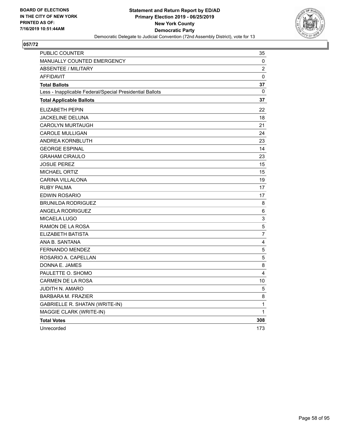

| <b>PUBLIC COUNTER</b>                                    | 35           |
|----------------------------------------------------------|--------------|
| MANUALLY COUNTED EMERGENCY                               | 0            |
| <b>ABSENTEE / MILITARY</b>                               | 2            |
| <b>AFFIDAVIT</b>                                         | 0            |
| <b>Total Ballots</b>                                     | 37           |
| Less - Inapplicable Federal/Special Presidential Ballots | $\mathbf{0}$ |
| <b>Total Applicable Ballots</b>                          | 37           |
| <b>ELIZABETH PEPIN</b>                                   | 22           |
| JACKELINE DELUNA                                         | 18           |
| <b>CAROLYN MURTAUGH</b>                                  | 21           |
| <b>CAROLE MULLIGAN</b>                                   | 24           |
| ANDREA KORNBLUTH                                         | 23           |
| <b>GEORGE ESPINAL</b>                                    | 14           |
| <b>GRAHAM CIRAULO</b>                                    | 23           |
| <b>JOSUE PEREZ</b>                                       | 15           |
| <b>MICHAEL ORTIZ</b>                                     | 15           |
| <b>CARINA VILLALONA</b>                                  | 19           |
| <b>RUBY PALMA</b>                                        | 17           |
| <b>EDWIN ROSARIO</b>                                     | 17           |
| <b>BRUNILDA RODRIGUEZ</b>                                | 8            |
| ANGELA RODRIGUEZ                                         | 6            |
| MICAELA LUGO                                             | 3            |
| RAMON DE LA ROSA                                         | 5            |
| ELIZABETH BATISTA                                        | 7            |
| ANA B. SANTANA                                           | 4            |
| <b>FERNANDO MENDEZ</b>                                   | 5            |
| ROSARIO A. CAPELLAN                                      | 5            |
| DONNA E. JAMES                                           | 8            |
| PAULETTE O. SHOMO                                        | 4            |
| CARMEN DE LA ROSA                                        | 10           |
| JUDITH N. AMARO                                          | 5            |
| <b>BARBARA M. FRAZIER</b>                                | 8            |
| <b>GABRIELLE R. SHATAN (WRITE-IN)</b>                    | 1            |
| MAGGIE CLARK (WRITE-IN)                                  | $\mathbf{1}$ |
| <b>Total Votes</b>                                       | 308          |
| Unrecorded                                               | 173          |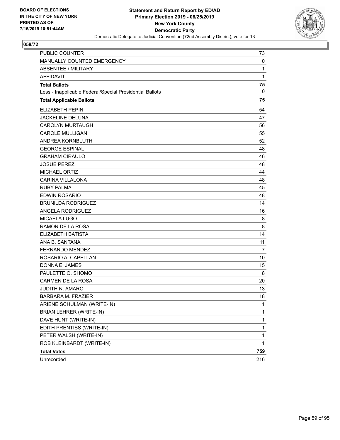

| <b>PUBLIC COUNTER</b>                                    | 73             |
|----------------------------------------------------------|----------------|
| MANUALLY COUNTED EMERGENCY                               | 0              |
| <b>ABSENTEE / MILITARY</b>                               | $\mathbf{1}$   |
| <b>AFFIDAVIT</b>                                         | $\mathbf{1}$   |
| <b>Total Ballots</b>                                     | 75             |
| Less - Inapplicable Federal/Special Presidential Ballots | 0              |
| <b>Total Applicable Ballots</b>                          | 75             |
| <b>ELIZABETH PEPIN</b>                                   | 54             |
| <b>JACKELINE DELUNA</b>                                  | 47             |
| <b>CAROLYN MURTAUGH</b>                                  | 56             |
| <b>CAROLE MULLIGAN</b>                                   | 55             |
| ANDREA KORNBLUTH                                         | 52             |
| <b>GEORGE ESPINAL</b>                                    | 48             |
| <b>GRAHAM CIRAULO</b>                                    | 46             |
| <b>JOSUE PEREZ</b>                                       | 48             |
| <b>MICHAEL ORTIZ</b>                                     | 44             |
| <b>CARINA VILLALONA</b>                                  | 48             |
| <b>RUBY PALMA</b>                                        | 45             |
| <b>EDWIN ROSARIO</b>                                     | 48             |
| <b>BRUNILDA RODRIGUEZ</b>                                | 14             |
| ANGELA RODRIGUEZ                                         | 16             |
| <b>MICAELA LUGO</b>                                      | 8              |
| RAMON DE LA ROSA                                         | 8              |
| <b>ELIZABETH BATISTA</b>                                 | 14             |
| ANA B. SANTANA                                           | 11             |
| <b>FERNANDO MENDEZ</b>                                   | $\overline{7}$ |
| ROSARIO A. CAPELLAN                                      | 10             |
| DONNA E. JAMES                                           | 15             |
| PAULETTE O. SHOMO                                        | 8              |
| <b>CARMEN DE LA ROSA</b>                                 | 20             |
| <b>JUDITH N. AMARO</b>                                   | 13             |
| <b>BARBARA M. FRAZIER</b>                                | 18             |
| ARIENE SCHULMAN (WRITE-IN)                               | 1              |
| <b>BRIAN LEHRER (WRITE-IN)</b>                           | 1              |
| DAVE HUNT (WRITE-IN)                                     | $\mathbf 1$    |
| EDITH PRENTISS (WRITE-IN)                                | $\mathbf 1$    |
| PETER WALSH (WRITE-IN)                                   | 1              |
| ROB KLEINBARDT (WRITE-IN)                                | 1              |
| <b>Total Votes</b>                                       | 759            |
| Unrecorded                                               | 216            |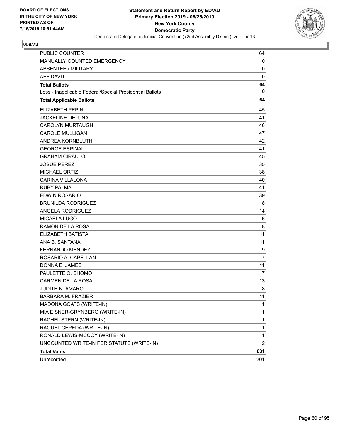

| <b>PUBLIC COUNTER</b>                                    | 64             |
|----------------------------------------------------------|----------------|
| MANUALLY COUNTED EMERGENCY                               | 0              |
| ABSENTEE / MILITARY                                      | 0              |
| <b>AFFIDAVIT</b>                                         | 0              |
| <b>Total Ballots</b>                                     | 64             |
| Less - Inapplicable Federal/Special Presidential Ballots | 0              |
| <b>Total Applicable Ballots</b>                          | 64             |
| <b>ELIZABETH PEPIN</b>                                   | 45             |
| JACKELINE DELUNA                                         | 41             |
| <b>CAROLYN MURTAUGH</b>                                  | 46             |
| <b>CAROLE MULLIGAN</b>                                   | 47             |
| ANDREA KORNBLUTH                                         | 42             |
| <b>GEORGE ESPINAL</b>                                    | 41             |
| <b>GRAHAM CIRAULO</b>                                    | 45             |
| <b>JOSUE PEREZ</b>                                       | 35             |
| <b>MICHAEL ORTIZ</b>                                     | 38             |
| <b>CARINA VILLALONA</b>                                  | 40             |
| <b>RUBY PALMA</b>                                        | 41             |
| <b>EDWIN ROSARIO</b>                                     | 39             |
| <b>BRUNILDA RODRIGUEZ</b>                                | 8              |
| ANGELA RODRIGUEZ                                         | 14             |
| <b>MICAELA LUGO</b>                                      | 6              |
| RAMON DE LA ROSA                                         | 8              |
| <b>ELIZABETH BATISTA</b>                                 | 11             |
| ANA B. SANTANA                                           | 11             |
| <b>FERNANDO MENDEZ</b>                                   | 9              |
| ROSARIO A. CAPELLAN                                      | 7              |
| DONNA E. JAMES                                           | 11             |
| PAULETTE O. SHOMO                                        | $\overline{7}$ |
| CARMEN DE LA ROSA                                        | 13             |
| <b>JUDITH N. AMARO</b>                                   | 8              |
| <b>BARBARA M. FRAZIER</b>                                | 11             |
| MADONA GOATS (WRITE-IN)                                  | 1              |
| MIA EISNER-GRYNBERG (WRITE-IN)                           | 1              |
| RACHEL STERN (WRITE-IN)                                  | 1              |
| RAQUEL CEPEDA (WRITE-IN)                                 | 1              |
| RONALD LEWIS-MCCOY (WRITE-IN)                            | $\mathbf{1}$   |
| UNCOUNTED WRITE-IN PER STATUTE (WRITE-IN)                | 2              |
| <b>Total Votes</b>                                       | 631            |
| Unrecorded                                               | 201            |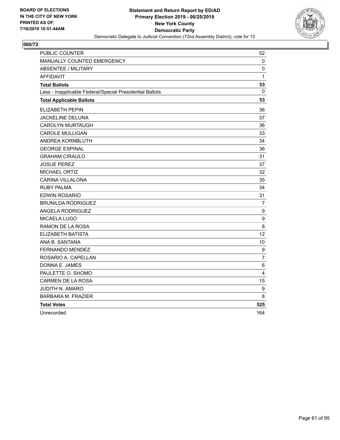

| PUBLIC COUNTER                                           | 52               |
|----------------------------------------------------------|------------------|
| MANUALLY COUNTED EMERGENCY                               | 0                |
| <b>ABSENTEE / MILITARY</b>                               | 0                |
| <b>AFFIDAVIT</b>                                         | $\mathbf{1}$     |
| <b>Total Ballots</b>                                     | 53               |
| Less - Inapplicable Federal/Special Presidential Ballots | 0                |
| <b>Total Applicable Ballots</b>                          | 53               |
| <b>ELIZABETH PEPIN</b>                                   | 36               |
| JACKELINE DELUNA                                         | 37               |
| <b>CAROLYN MURTAUGH</b>                                  | 36               |
| <b>CAROLE MULLIGAN</b>                                   | 33               |
| ANDREA KORNBLUTH                                         | 34               |
| <b>GEORGE ESPINAL</b>                                    | 36               |
| <b>GRAHAM CIRAULO</b>                                    | 31               |
| <b>JOSUE PEREZ</b>                                       | 37               |
| MICHAEL ORTIZ                                            | 32               |
| <b>CARINA VILLALONA</b>                                  | 35               |
| <b>RUBY PALMA</b>                                        | 34               |
| <b>EDWIN ROSARIO</b>                                     | 31               |
| <b>BRUNILDA RODRIGUEZ</b>                                | 7                |
| <b>ANGELA RODRIGUEZ</b>                                  | 9                |
| <b>MICAELA LUGO</b>                                      | $\boldsymbol{9}$ |
| RAMON DE LA ROSA                                         | 8                |
| ELIZABETH BATISTA                                        | 12               |
| ANA B. SANTANA                                           | 10               |
| <b>FERNANDO MENDEZ</b>                                   | 9                |
| ROSARIO A. CAPELLAN                                      | $\overline{7}$   |
| DONNA E. JAMES                                           | 6                |
| PAULETTE O. SHOMO                                        | 4                |
| CARMEN DE LA ROSA                                        | 15               |
| <b>JUDITH N. AMARO</b>                                   | 9                |
| <b>BARBARA M. FRAZIER</b>                                | 8                |
| <b>Total Votes</b>                                       | 525              |
| Unrecorded                                               | 164              |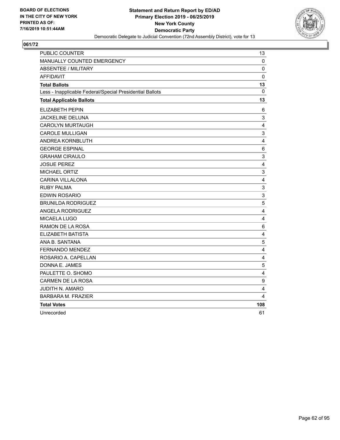

| PUBLIC COUNTER                                           | 13                        |
|----------------------------------------------------------|---------------------------|
| MANUALLY COUNTED EMERGENCY                               | 0                         |
| <b>ABSENTEE / MILITARY</b>                               | 0                         |
| <b>AFFIDAVIT</b>                                         | $\mathbf 0$               |
| <b>Total Ballots</b>                                     | 13                        |
| Less - Inapplicable Federal/Special Presidential Ballots | $\mathbf{0}$              |
| <b>Total Applicable Ballots</b>                          | 13                        |
| ELIZABETH PEPIN                                          | 6                         |
| <b>JACKELINE DELUNA</b>                                  | 3                         |
| <b>CAROLYN MURTAUGH</b>                                  | 4                         |
| <b>CAROLE MULLIGAN</b>                                   | 3                         |
| ANDREA KORNBLUTH                                         | 4                         |
| <b>GEORGE ESPINAL</b>                                    | 6                         |
| <b>GRAHAM CIRAULO</b>                                    | $\ensuremath{\mathsf{3}}$ |
| <b>JOSUE PEREZ</b>                                       | $\overline{\mathbf{4}}$   |
| MICHAEL ORTIZ                                            | 3                         |
| <b>CARINA VILLALONA</b>                                  | 4                         |
| <b>RUBY PALMA</b>                                        | 3                         |
| <b>EDWIN ROSARIO</b>                                     | 3                         |
| <b>BRUNILDA RODRIGUEZ</b>                                | 5                         |
| <b>ANGELA RODRIGUEZ</b>                                  | 4                         |
| <b>MICAELA LUGO</b>                                      | 4                         |
| RAMON DE LA ROSA                                         | $\,6$                     |
| ELIZABETH BATISTA                                        | $\overline{\mathbf{4}}$   |
| ANA B. SANTANA                                           | 5                         |
| <b>FERNANDO MENDEZ</b>                                   | $\overline{4}$            |
| ROSARIO A. CAPELLAN                                      | 4                         |
| DONNA E. JAMES                                           | 5                         |
| PAULETTE O. SHOMO                                        | $\overline{\mathbf{4}}$   |
| CARMEN DE LA ROSA                                        | 9                         |
| JUDITH N. AMARO                                          | 4                         |
| <b>BARBARA M. FRAZIER</b>                                | 4                         |
| <b>Total Votes</b>                                       | 108                       |
| Unrecorded                                               | 61                        |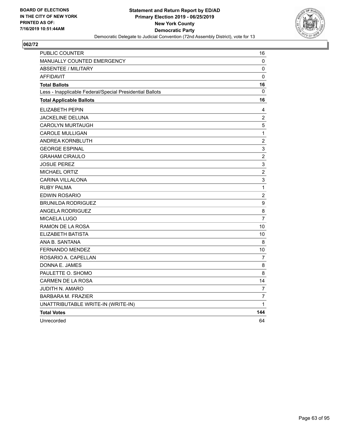

| <b>PUBLIC COUNTER</b>                                    | 16               |
|----------------------------------------------------------|------------------|
| <b>MANUALLY COUNTED EMERGENCY</b>                        | 0                |
| ABSENTEE / MILITARY                                      | 0                |
| <b>AFFIDAVIT</b>                                         | 0                |
| <b>Total Ballots</b>                                     | 16               |
| Less - Inapplicable Federal/Special Presidential Ballots | $\mathbf{0}$     |
| <b>Total Applicable Ballots</b>                          | 16               |
| <b>ELIZABETH PEPIN</b>                                   | 4                |
| <b>JACKELINE DELUNA</b>                                  | $\overline{c}$   |
| <b>CAROLYN MURTAUGH</b>                                  | 5                |
| <b>CAROLE MULLIGAN</b>                                   | 1                |
| ANDREA KORNBLUTH                                         | $\boldsymbol{2}$ |
| <b>GEORGE ESPINAL</b>                                    | 3                |
| <b>GRAHAM CIRAULO</b>                                    | $\overline{c}$   |
| <b>JOSUE PEREZ</b>                                       | 3                |
| <b>MICHAEL ORTIZ</b>                                     | $\overline{c}$   |
| <b>CARINA VILLALONA</b>                                  | 3                |
| <b>RUBY PALMA</b>                                        | $\mathbf{1}$     |
| EDWIN ROSARIO                                            | $\overline{c}$   |
| <b>BRUNILDA RODRIGUEZ</b>                                | 9                |
| <b>ANGELA RODRIGUEZ</b>                                  | 8                |
| MICAELA LUGO                                             | $\overline{7}$   |
| RAMON DE LA ROSA                                         | 10               |
| ELIZABETH BATISTA                                        | 10               |
| ANA B. SANTANA                                           | 8                |
| FERNANDO MENDEZ                                          | 10               |
| ROSARIO A. CAPELLAN                                      | 7                |
| DONNA E. JAMES                                           | 8                |
| PAULETTE O. SHOMO                                        | 8                |
| <b>CARMEN DE LA ROSA</b>                                 | 14               |
| JUDITH N. AMARO                                          | 7                |
| <b>BARBARA M. FRAZIER</b>                                | $\overline{7}$   |
| UNATTRIBUTABLE WRITE-IN (WRITE-IN)                       | $\mathbf{1}$     |
| <b>Total Votes</b>                                       | 144              |
| Unrecorded                                               | 64               |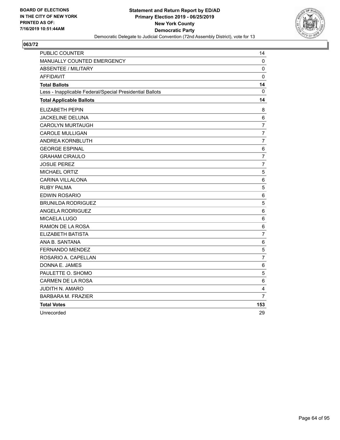

| PUBLIC COUNTER                                           | 14             |
|----------------------------------------------------------|----------------|
| <b>MANUALLY COUNTED EMERGENCY</b>                        | 0              |
| <b>ABSENTEE / MILITARY</b>                               | 0              |
| <b>AFFIDAVIT</b>                                         | $\mathbf{0}$   |
| <b>Total Ballots</b>                                     | 14             |
| Less - Inapplicable Federal/Special Presidential Ballots | 0              |
| <b>Total Applicable Ballots</b>                          | 14             |
| ELIZABETH PEPIN                                          | 8              |
| JACKELINE DELUNA                                         | 6              |
| CAROLYN MURTAUGH                                         | $\overline{7}$ |
| <b>CAROLE MULLIGAN</b>                                   | $\overline{7}$ |
| ANDREA KORNBLUTH                                         | $\overline{7}$ |
| <b>GEORGE ESPINAL</b>                                    | 6              |
| <b>GRAHAM CIRAULO</b>                                    | $\overline{7}$ |
| <b>JOSUE PEREZ</b>                                       | $\overline{7}$ |
| <b>MICHAEL ORTIZ</b>                                     | 5              |
| <b>CARINA VILLALONA</b>                                  | 6              |
| <b>RUBY PALMA</b>                                        | 5              |
| <b>EDWIN ROSARIO</b>                                     | 6              |
| <b>BRUNILDA RODRIGUEZ</b>                                | 5              |
| <b>ANGELA RODRIGUEZ</b>                                  | 6              |
| <b>MICAELA LUGO</b>                                      | $\,6$          |
| RAMON DE LA ROSA                                         | 6              |
| ELIZABETH BATISTA                                        | $\overline{7}$ |
| ANA B. SANTANA                                           | $\,6$          |
| FERNANDO MENDEZ                                          | 5              |
| ROSARIO A. CAPELLAN                                      | $\overline{7}$ |
| DONNA E. JAMES                                           | 6              |
| PAULETTE O. SHOMO                                        | 5              |
| <b>CARMEN DE LA ROSA</b>                                 | 6              |
| <b>JUDITH N. AMARO</b>                                   | 4              |
| <b>BARBARA M. FRAZIER</b>                                | $\overline{7}$ |
| <b>Total Votes</b>                                       | 153            |
| Unrecorded                                               | 29             |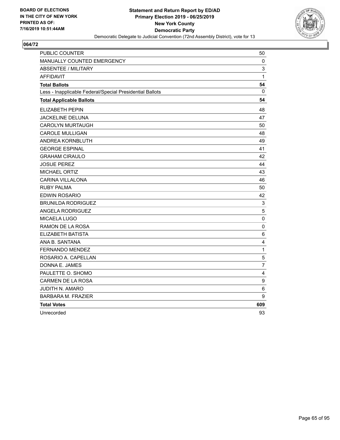

| <b>PUBLIC COUNTER</b>                                    | 50             |
|----------------------------------------------------------|----------------|
| MANUALLY COUNTED EMERGENCY                               | 0              |
| <b>ABSENTEE / MILITARY</b>                               | 3              |
| <b>AFFIDAVIT</b>                                         | 1              |
| <b>Total Ballots</b>                                     | 54             |
| Less - Inapplicable Federal/Special Presidential Ballots | 0              |
| <b>Total Applicable Ballots</b>                          | 54             |
| ELIZABETH PEPIN                                          | 48             |
| <b>JACKELINE DELUNA</b>                                  | 47             |
| <b>CAROLYN MURTAUGH</b>                                  | 50             |
| <b>CAROLE MULLIGAN</b>                                   | 48             |
| ANDREA KORNBLUTH                                         | 49             |
| <b>GEORGE ESPINAL</b>                                    | 41             |
| <b>GRAHAM CIRAULO</b>                                    | 42             |
| <b>JOSUE PEREZ</b>                                       | 44             |
| MICHAEL ORTIZ                                            | 43             |
| <b>CARINA VILLALONA</b>                                  | 46             |
| <b>RUBY PALMA</b>                                        | 50             |
| <b>EDWIN ROSARIO</b>                                     | 42             |
| <b>BRUNILDA RODRIGUEZ</b>                                | 3              |
| <b>ANGELA RODRIGUEZ</b>                                  | 5              |
| <b>MICAELA LUGO</b>                                      | $\mathbf 0$    |
| RAMON DE LA ROSA                                         | $\mathbf 0$    |
| ELIZABETH BATISTA                                        | 6              |
| ANA B. SANTANA                                           | 4              |
| <b>FERNANDO MENDEZ</b>                                   | $\mathbf{1}$   |
| ROSARIO A. CAPELLAN                                      | 5              |
| DONNA E. JAMES                                           | $\overline{7}$ |
| PAULETTE O. SHOMO                                        | 4              |
| CARMEN DE LA ROSA                                        | 9              |
| JUDITH N. AMARO                                          | 6              |
| <b>BARBARA M. FRAZIER</b>                                | 9              |
| <b>Total Votes</b>                                       | 609            |
| Unrecorded                                               | 93             |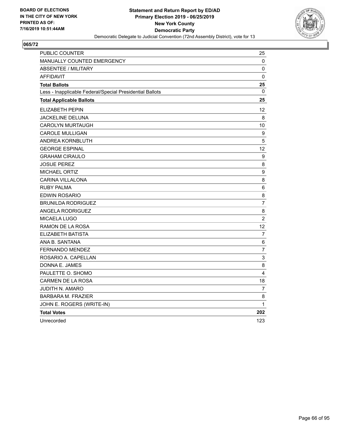

| PUBLIC COUNTER                                           | 25                      |
|----------------------------------------------------------|-------------------------|
| <b>MANUALLY COUNTED EMERGENCY</b>                        | 0                       |
| <b>ABSENTEE / MILITARY</b>                               | 0                       |
| <b>AFFIDAVIT</b>                                         | 0                       |
| <b>Total Ballots</b>                                     | 25                      |
| Less - Inapplicable Federal/Special Presidential Ballots | 0                       |
| <b>Total Applicable Ballots</b>                          | 25                      |
| <b>ELIZABETH PEPIN</b>                                   | 12                      |
| JACKELINE DELUNA                                         | 8                       |
| <b>CAROLYN MURTAUGH</b>                                  | 10                      |
| <b>CAROLE MULLIGAN</b>                                   | 9                       |
| ANDREA KORNBLUTH                                         | $\sqrt{5}$              |
| <b>GEORGE ESPINAL</b>                                    | 12                      |
| <b>GRAHAM CIRAULO</b>                                    | 9                       |
| <b>JOSUE PEREZ</b>                                       | 8                       |
| <b>MICHAEL ORTIZ</b>                                     | $\boldsymbol{9}$        |
| <b>CARINA VILLALONA</b>                                  | $\,8\,$                 |
| <b>RUBY PALMA</b>                                        | 6                       |
| EDWIN ROSARIO                                            | 8                       |
| <b>BRUNILDA RODRIGUEZ</b>                                | 7                       |
| <b>ANGELA RODRIGUEZ</b>                                  | $\,8\,$                 |
| <b>MICAELA LUGO</b>                                      | $\overline{c}$          |
| RAMON DE LA ROSA                                         | $12 \overline{ }$       |
| ELIZABETH BATISTA                                        | $\overline{7}$          |
| ANA B. SANTANA                                           | 6                       |
| FERNANDO MENDEZ                                          | $\overline{7}$          |
| ROSARIO A. CAPELLAN                                      | 3                       |
| DONNA E. JAMES                                           | 8                       |
| PAULETTE O. SHOMO                                        | $\overline{\mathbf{4}}$ |
| <b>CARMEN DE LA ROSA</b>                                 | 18                      |
| <b>JUDITH N. AMARO</b>                                   | $\overline{7}$          |
| <b>BARBARA M. FRAZIER</b>                                | 8                       |
| JOHN E. ROGERS (WRITE-IN)                                | 1                       |
| <b>Total Votes</b>                                       | 202                     |
| Unrecorded                                               | 123                     |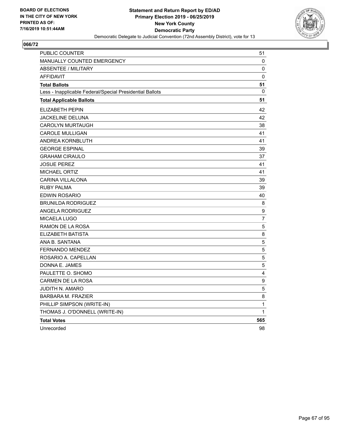

| PUBLIC COUNTER                                           | 51           |
|----------------------------------------------------------|--------------|
| <b>MANUALLY COUNTED EMERGENCY</b>                        | 0            |
| <b>ABSENTEE / MILITARY</b>                               | 0            |
| <b>AFFIDAVIT</b>                                         | $\mathbf 0$  |
| <b>Total Ballots</b>                                     | 51           |
| Less - Inapplicable Federal/Special Presidential Ballots | 0            |
| <b>Total Applicable Ballots</b>                          | 51           |
| ELIZABETH PEPIN                                          | 42           |
| <b>JACKELINE DELUNA</b>                                  | 42           |
| <b>CAROLYN MURTAUGH</b>                                  | 38           |
| <b>CAROLE MULLIGAN</b>                                   | 41           |
| ANDREA KORNBLUTH                                         | 41           |
| <b>GEORGE ESPINAL</b>                                    | 39           |
| <b>GRAHAM CIRAULO</b>                                    | 37           |
| <b>JOSUE PEREZ</b>                                       | 41           |
| <b>MICHAEL ORTIZ</b>                                     | 41           |
| <b>CARINA VILLALONA</b>                                  | 39           |
| <b>RUBY PALMA</b>                                        | 39           |
| <b>EDWIN ROSARIO</b>                                     | 40           |
| <b>BRUNILDA RODRIGUEZ</b>                                | 8            |
| ANGELA RODRIGUEZ                                         | 9            |
| <b>MICAELA LUGO</b>                                      | 7            |
| RAMON DE LA ROSA                                         | 5            |
| ELIZABETH BATISTA                                        | 8            |
| ANA B. SANTANA                                           | 5            |
| <b>FERNANDO MENDEZ</b>                                   | 5            |
| ROSARIO A. CAPELLAN                                      | 5            |
| DONNA E. JAMES                                           | 5            |
| PAULETTE O. SHOMO                                        | 4            |
| <b>CARMEN DE LA ROSA</b>                                 | 9            |
| JUDITH N. AMARO                                          | 5            |
| <b>BARBARA M. FRAZIER</b>                                | 8            |
| PHILLIP SIMPSON (WRITE-IN)                               | $\mathbf{1}$ |
| THOMAS J. O'DONNELL (WRITE-IN)                           | $\mathbf{1}$ |
| <b>Total Votes</b>                                       | 565          |
| Unrecorded                                               | 98           |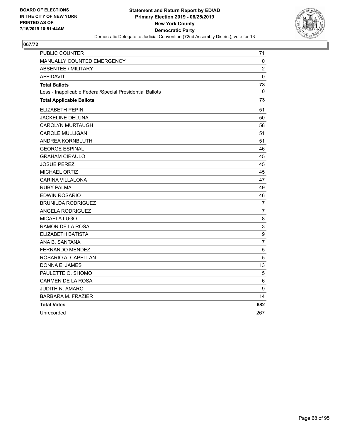

| <b>PUBLIC COUNTER</b>                                    | 71             |
|----------------------------------------------------------|----------------|
| MANUALLY COUNTED EMERGENCY                               | 0              |
| <b>ABSENTEE / MILITARY</b>                               | $\overline{c}$ |
| <b>AFFIDAVIT</b>                                         | 0              |
| <b>Total Ballots</b>                                     | 73             |
| Less - Inapplicable Federal/Special Presidential Ballots | 0              |
| <b>Total Applicable Ballots</b>                          | 73             |
| <b>ELIZABETH PEPIN</b>                                   | 51             |
| <b>JACKELINE DELUNA</b>                                  | 50             |
| <b>CAROLYN MURTAUGH</b>                                  | 58             |
| <b>CAROLE MULLIGAN</b>                                   | 51             |
| ANDREA KORNBLUTH                                         | 51             |
| <b>GEORGE ESPINAL</b>                                    | 46             |
| <b>GRAHAM CIRAULO</b>                                    | 45             |
| <b>JOSUE PEREZ</b>                                       | 45             |
| MICHAEL ORTIZ                                            | 45             |
| <b>CARINA VILLALONA</b>                                  | 47             |
| <b>RUBY PALMA</b>                                        | 49             |
| <b>EDWIN ROSARIO</b>                                     | 46             |
| <b>BRUNILDA RODRIGUEZ</b>                                | $\overline{7}$ |
| ANGELA RODRIGUEZ                                         | $\overline{7}$ |
| <b>MICAELA LUGO</b>                                      | 8              |
| RAMON DE LA ROSA                                         | 3              |
| ELIZABETH BATISTA                                        | 9              |
| ANA B. SANTANA                                           | $\overline{7}$ |
| <b>FERNANDO MENDEZ</b>                                   | 5              |
| ROSARIO A. CAPELLAN                                      | 5              |
| DONNA E. JAMES                                           | 13             |
| PAULETTE O. SHOMO                                        | 5              |
| CARMEN DE LA ROSA                                        | 6              |
| JUDITH N. AMARO                                          | 9              |
| <b>BARBARA M. FRAZIER</b>                                | 14             |
| <b>Total Votes</b>                                       | 682            |
| Unrecorded                                               | 267            |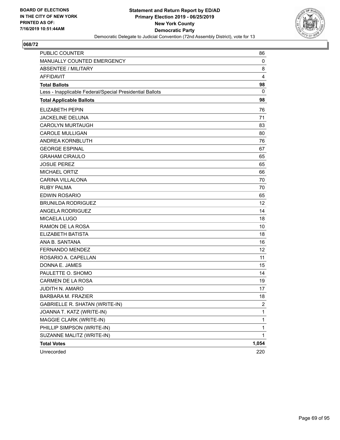

| <b>PUBLIC COUNTER</b>                                    | 86             |
|----------------------------------------------------------|----------------|
| MANUALLY COUNTED EMERGENCY                               | 0              |
| ABSENTEE / MILITARY                                      | 8              |
| <b>AFFIDAVIT</b>                                         | $\overline{4}$ |
| <b>Total Ballots</b>                                     | 98             |
| Less - Inapplicable Federal/Special Presidential Ballots | 0              |
| <b>Total Applicable Ballots</b>                          | 98             |
| <b>ELIZABETH PEPIN</b>                                   | 76             |
| <b>JACKELINE DELUNA</b>                                  | 71             |
| <b>CAROLYN MURTAUGH</b>                                  | 83             |
| <b>CAROLE MULLIGAN</b>                                   | 80             |
| ANDREA KORNBLUTH                                         | 76             |
| <b>GEORGE ESPINAL</b>                                    | 67             |
| <b>GRAHAM CIRAULO</b>                                    | 65             |
| <b>JOSUE PEREZ</b>                                       | 65             |
| <b>MICHAEL ORTIZ</b>                                     | 66             |
| <b>CARINA VILLALONA</b>                                  | 70             |
| <b>RUBY PALMA</b>                                        | 70             |
| <b>EDWIN ROSARIO</b>                                     | 65             |
| <b>BRUNILDA RODRIGUEZ</b>                                | 12             |
| ANGELA RODRIGUEZ                                         | 14             |
| <b>MICAELA LUGO</b>                                      | 18             |
| RAMON DE LA ROSA                                         | 10             |
| <b>ELIZABETH BATISTA</b>                                 | 18             |
| ANA B. SANTANA                                           | 16             |
| <b>FERNANDO MENDEZ</b>                                   | 12             |
| ROSARIO A. CAPELLAN                                      | 11             |
| DONNA E. JAMES                                           | 15             |
| PAULETTE O. SHOMO                                        | 14             |
| <b>CARMEN DE LA ROSA</b>                                 | 19             |
| <b>JUDITH N. AMARO</b>                                   | 17             |
| <b>BARBARA M. FRAZIER</b>                                | 18             |
| GABRIELLE R. SHATAN (WRITE-IN)                           | $\overline{a}$ |
| JOANNA T. KATZ (WRITE-IN)                                | 1              |
| MAGGIE CLARK (WRITE-IN)                                  | 1              |
| PHILLIP SIMPSON (WRITE-IN)                               | 1              |
| SUZANNE MALITZ (WRITE-IN)                                | 1              |
| <b>Total Votes</b>                                       | 1,054          |
| Unrecorded                                               | 220            |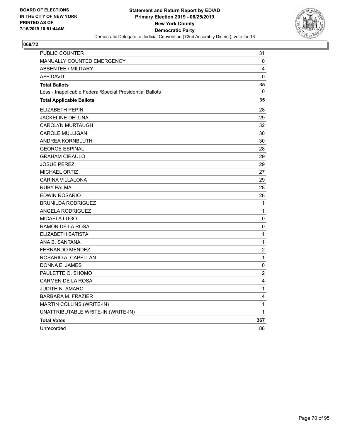

| PUBLIC COUNTER                                           | 31                      |
|----------------------------------------------------------|-------------------------|
| <b>MANUALLY COUNTED EMERGENCY</b>                        | 0                       |
| <b>ABSENTEE / MILITARY</b>                               | 4                       |
| <b>AFFIDAVIT</b>                                         | 0                       |
| <b>Total Ballots</b>                                     | 35                      |
| Less - Inapplicable Federal/Special Presidential Ballots | 0                       |
| <b>Total Applicable Ballots</b>                          | 35                      |
| <b>ELIZABETH PEPIN</b>                                   | 28                      |
| JACKELINE DELUNA                                         | 29                      |
| <b>CAROLYN MURTAUGH</b>                                  | 32                      |
| <b>CAROLE MULLIGAN</b>                                   | 30                      |
| ANDREA KORNBLUTH                                         | 30                      |
| <b>GEORGE ESPINAL</b>                                    | 28                      |
| <b>GRAHAM CIRAULO</b>                                    | 29                      |
| <b>JOSUE PEREZ</b>                                       | 29                      |
| <b>MICHAEL ORTIZ</b>                                     | 27                      |
| <b>CARINA VILLALONA</b>                                  | 29                      |
| <b>RUBY PALMA</b>                                        | 28                      |
| <b>EDWIN ROSARIO</b>                                     | 28                      |
| <b>BRUNILDA RODRIGUEZ</b>                                | 1                       |
| <b>ANGELA RODRIGUEZ</b>                                  | 1                       |
| <b>MICAELA LUGO</b>                                      | 0                       |
| RAMON DE LA ROSA                                         | 0                       |
| ELIZABETH BATISTA                                        | 1                       |
| ANA B. SANTANA                                           | 1                       |
| <b>FERNANDO MENDEZ</b>                                   | $\overline{\mathbf{c}}$ |
| ROSARIO A. CAPELLAN                                      | $\mathbf{1}$            |
| DONNA E. JAMES                                           | 0                       |
| PAULETTE O. SHOMO                                        | $\overline{c}$          |
| CARMEN DE LA ROSA                                        | 4                       |
| <b>JUDITH N. AMARO</b>                                   | $\mathbf{1}$            |
| <b>BARBARA M. FRAZIER</b>                                | 4                       |
| MARTIN COLLINS (WRITE-IN)                                | 1                       |
| UNATTRIBUTABLE WRITE-IN (WRITE-IN)                       | 1                       |
| <b>Total Votes</b>                                       | 367                     |
| Unrecorded                                               | 88                      |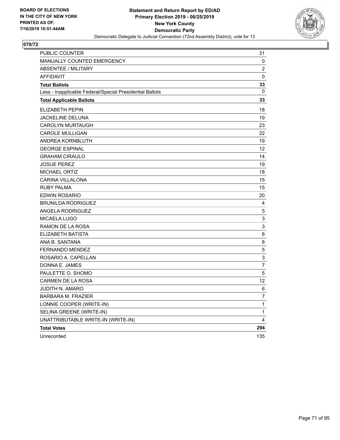

| PUBLIC COUNTER                                           | 31                |
|----------------------------------------------------------|-------------------|
| MANUALLY COUNTED EMERGENCY                               | 0                 |
| <b>ABSENTEE / MILITARY</b>                               | $\overline{2}$    |
| <b>AFFIDAVIT</b>                                         | $\mathbf 0$       |
| <b>Total Ballots</b>                                     | 33                |
| Less - Inapplicable Federal/Special Presidential Ballots | $\mathbf{0}$      |
| <b>Total Applicable Ballots</b>                          | 33                |
| <b>ELIZABETH PEPIN</b>                                   | 18                |
| <b>JACKELINE DELUNA</b>                                  | 19                |
| <b>CAROLYN MURTAUGH</b>                                  | 23                |
| CAROLE MULLIGAN                                          | 22                |
| ANDREA KORNBLUTH                                         | 19                |
| <b>GEORGE ESPINAL</b>                                    | $12 \overline{ }$ |
| <b>GRAHAM CIRAULO</b>                                    | 14                |
| <b>JOSUE PEREZ</b>                                       | 19                |
| <b>MICHAEL ORTIZ</b>                                     | 18                |
| <b>CARINA VILLALONA</b>                                  | 15                |
| <b>RUBY PALMA</b>                                        | 15                |
| EDWIN ROSARIO                                            | 20                |
| <b>BRUNILDA RODRIGUEZ</b>                                | 4                 |
| ANGELA RODRIGUEZ                                         | 5                 |
| <b>MICAELA LUGO</b>                                      | 3                 |
| RAMON DE LA ROSA                                         | 3                 |
| ELIZABETH BATISTA                                        | 6                 |
| ANA B. SANTANA                                           | 8                 |
| FERNANDO MENDEZ                                          | 5                 |
| ROSARIO A. CAPELLAN                                      | 3                 |
| DONNA E. JAMES                                           | $\overline{7}$    |
| PAULETTE O. SHOMO                                        | 5                 |
| CARMEN DE LA ROSA                                        | 12                |
| <b>JUDITH N. AMARO</b>                                   | 6                 |
| <b>BARBARA M. FRAZIER</b>                                | $\boldsymbol{7}$  |
| LONNIE COOPER (WRITE-IN)                                 | $\mathbf{1}$      |
| SELINA GREENE (WRITE-IN)                                 | 1                 |
| UNATTRIBUTABLE WRITE-IN (WRITE-IN)                       | 4                 |
| <b>Total Votes</b>                                       | 294               |
| Unrecorded                                               | 135               |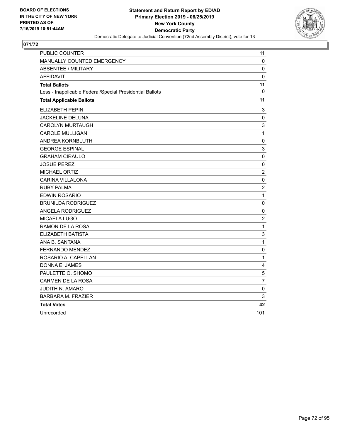

| <b>PUBLIC COUNTER</b>                                    | 11                        |
|----------------------------------------------------------|---------------------------|
| MANUALLY COUNTED EMERGENCY                               | 0                         |
| <b>ABSENTEE / MILITARY</b>                               | 0                         |
| <b>AFFIDAVIT</b>                                         | 0                         |
| <b>Total Ballots</b>                                     | 11                        |
| Less - Inapplicable Federal/Special Presidential Ballots | $\mathbf{0}$              |
| <b>Total Applicable Ballots</b>                          | 11                        |
| <b>ELIZABETH PEPIN</b>                                   | 3                         |
| <b>JACKELINE DELUNA</b>                                  | $\pmb{0}$                 |
| <b>CAROLYN MURTAUGH</b>                                  | 3                         |
| <b>CAROLE MULLIGAN</b>                                   | 1                         |
| ANDREA KORNBLUTH                                         | $\pmb{0}$                 |
| <b>GEORGE ESPINAL</b>                                    | $\ensuremath{\mathsf{3}}$ |
| <b>GRAHAM CIRAULO</b>                                    | $\pmb{0}$                 |
| <b>JOSUE PEREZ</b>                                       | 0                         |
| <b>MICHAEL ORTIZ</b>                                     | $\overline{2}$            |
| <b>CARINA VILLALONA</b>                                  | $\pmb{0}$                 |
| <b>RUBY PALMA</b>                                        | $\sqrt{2}$                |
| EDWIN ROSARIO                                            | $\mathbf{1}$              |
| <b>BRUNILDA RODRIGUEZ</b>                                | $\pmb{0}$                 |
| ANGELA RODRIGUEZ                                         | 0                         |
| MICAELA LUGO                                             | $\overline{2}$            |
| RAMON DE LA ROSA                                         | $\mathbf{1}$              |
| ELIZABETH BATISTA                                        | 3                         |
| ANA B. SANTANA                                           | $\mathbf 1$               |
| <b>FERNANDO MENDEZ</b>                                   | 0                         |
| ROSARIO A. CAPELLAN                                      | $\mathbf 1$               |
| DONNA E. JAMES                                           | 4                         |
| PAULETTE O. SHOMO                                        | 5                         |
| CARMEN DE LA ROSA                                        | $\overline{7}$            |
| <b>JUDITH N. AMARO</b>                                   | $\mathbf 0$               |
| <b>BARBARA M. FRAZIER</b>                                | 3                         |
| <b>Total Votes</b>                                       | 42                        |
| Unrecorded                                               | 101                       |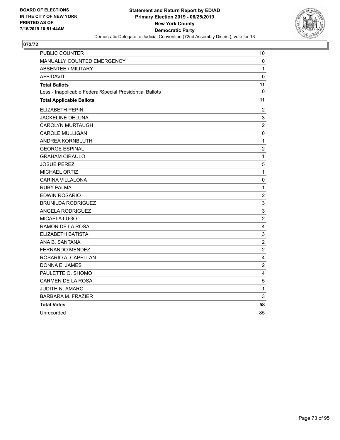

| PUBLIC COUNTER                                           | 10                        |
|----------------------------------------------------------|---------------------------|
| <b>MANUALLY COUNTED EMERGENCY</b>                        | 0                         |
| <b>ABSENTEE / MILITARY</b>                               | 1                         |
| <b>AFFIDAVIT</b>                                         | 0                         |
| <b>Total Ballots</b>                                     | 11                        |
| Less - Inapplicable Federal/Special Presidential Ballots | $\mathbf{0}$              |
| <b>Total Applicable Ballots</b>                          | 11                        |
| ELIZABETH PEPIN                                          | $\boldsymbol{2}$          |
| JACKELINE DELUNA                                         | 3                         |
| CAROLYN MURTAUGH                                         | $\overline{c}$            |
| <b>CAROLE MULLIGAN</b>                                   | 0                         |
| ANDREA KORNBLUTH                                         | $\mathbf 1$               |
| <b>GEORGE ESPINAL</b>                                    | $\sqrt{2}$                |
| <b>GRAHAM CIRAULO</b>                                    | $\mathbf 1$               |
| <b>JOSUE PEREZ</b>                                       | 5                         |
| <b>MICHAEL ORTIZ</b>                                     | $\mathbf 1$               |
| <b>CARINA VILLALONA</b>                                  | 0                         |
| <b>RUBY PALMA</b>                                        | $\mathbf{1}$              |
| EDWIN ROSARIO                                            | $\boldsymbol{2}$          |
| <b>BRUNILDA RODRIGUEZ</b>                                | 3                         |
| <b>ANGELA RODRIGUEZ</b>                                  | 3                         |
| <b>MICAELA LUGO</b>                                      | $\overline{c}$            |
| <b>RAMON DE LA ROSA</b>                                  | 4                         |
| ELIZABETH BATISTA                                        | $\ensuremath{\mathsf{3}}$ |
| ANA B. SANTANA                                           | $\overline{c}$            |
| FERNANDO MENDEZ                                          | $\boldsymbol{2}$          |
| ROSARIO A. CAPELLAN                                      | 4                         |
| DONNA E. JAMES                                           | $\overline{2}$            |
| PAULETTE O. SHOMO                                        | $\overline{\mathbf{4}}$   |
| <b>CARMEN DE LA ROSA</b>                                 | 5                         |
| JUDITH N. AMARO                                          | $\mathbf 1$               |
| <b>BARBARA M. FRAZIER</b>                                | 3                         |
| <b>Total Votes</b>                                       | 58                        |
| Unrecorded                                               | 85                        |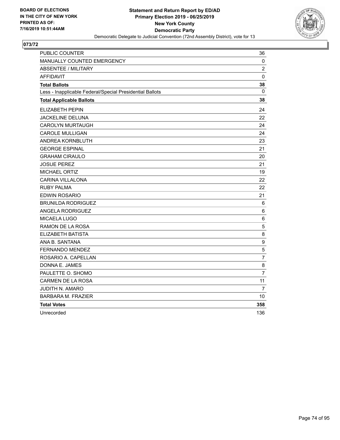

| PUBLIC COUNTER                                           | 36               |
|----------------------------------------------------------|------------------|
| MANUALLY COUNTED EMERGENCY                               | 0                |
| <b>ABSENTEE / MILITARY</b>                               | 2                |
| <b>AFFIDAVIT</b>                                         | $\mathbf 0$      |
| <b>Total Ballots</b>                                     | 38               |
| Less - Inapplicable Federal/Special Presidential Ballots | 0                |
| <b>Total Applicable Ballots</b>                          | 38               |
| ELIZABETH PEPIN                                          | 24               |
| JACKELINE DELUNA                                         | 22               |
| <b>CAROLYN MURTAUGH</b>                                  | 24               |
| <b>CAROLE MULLIGAN</b>                                   | 24               |
| ANDREA KORNBLUTH                                         | 23               |
| <b>GEORGE ESPINAL</b>                                    | 21               |
| <b>GRAHAM CIRAULO</b>                                    | 20               |
| <b>JOSUE PEREZ</b>                                       | 21               |
| MICHAEL ORTIZ                                            | 19               |
| CARINA VILLALONA                                         | 22               |
| <b>RUBY PALMA</b>                                        | 22               |
| <b>EDWIN ROSARIO</b>                                     | 21               |
| <b>BRUNILDA RODRIGUEZ</b>                                | 6                |
| <b>ANGELA RODRIGUEZ</b>                                  | 6                |
| MICAELA LUGO                                             | 6                |
| RAMON DE LA ROSA                                         | 5                |
| ELIZABETH BATISTA                                        | 8                |
| ANA B. SANTANA                                           | $\boldsymbol{9}$ |
| <b>FERNANDO MENDEZ</b>                                   | 5                |
| ROSARIO A. CAPELLAN                                      | $\overline{7}$   |
| DONNA E. JAMES                                           | 8                |
| PAULETTE O. SHOMO                                        | $\overline{7}$   |
| CARMEN DE LA ROSA                                        | 11               |
| <b>JUDITH N. AMARO</b>                                   | 7                |
| <b>BARBARA M. FRAZIER</b>                                | 10               |
| <b>Total Votes</b>                                       | 358              |
| Unrecorded                                               | 136              |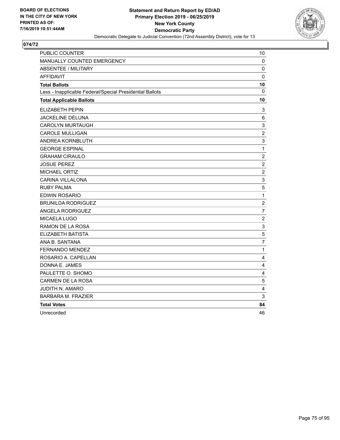

| PUBLIC COUNTER                                           | 10                      |
|----------------------------------------------------------|-------------------------|
| MANUALLY COUNTED EMERGENCY                               | 0                       |
| <b>ABSENTEE / MILITARY</b>                               | 0                       |
| <b>AFFIDAVIT</b>                                         | $\Omega$                |
| <b>Total Ballots</b>                                     | 10                      |
| Less - Inapplicable Federal/Special Presidential Ballots | 0                       |
| <b>Total Applicable Ballots</b>                          | 10                      |
| ELIZABETH PEPIN                                          | 3                       |
| JACKELINE DELUNA                                         | 6                       |
| <b>CAROLYN MURTAUGH</b>                                  | 3                       |
| <b>CAROLE MULLIGAN</b>                                   | $\overline{c}$          |
| ANDREA KORNBLUTH                                         | $\mathsf 3$             |
| <b>GEORGE ESPINAL</b>                                    | $\mathbf 1$             |
| <b>GRAHAM CIRAULO</b>                                    | $\overline{c}$          |
| <b>JOSUE PEREZ</b>                                       | $\overline{c}$          |
| <b>MICHAEL ORTIZ</b>                                     | $\overline{2}$          |
| <b>CARINA VILLALONA</b>                                  | 3                       |
| <b>RUBY PALMA</b>                                        | $\mathbf 5$             |
| EDWIN ROSARIO                                            | $\mathbf 1$             |
| <b>BRUNILDA RODRIGUEZ</b>                                | $\overline{c}$          |
| <b>ANGELA RODRIGUEZ</b>                                  | $\overline{7}$          |
| MICAELA LUGO                                             | $\overline{c}$          |
| RAMON DE LA ROSA                                         | 3                       |
| ELIZABETH BATISTA                                        | 5                       |
| ANA B. SANTANA                                           | $\overline{7}$          |
| <b>FERNANDO MENDEZ</b>                                   | $\mathbf{1}$            |
| ROSARIO A. CAPELLAN                                      | 4                       |
| DONNA E. JAMES                                           | 4                       |
| PAULETTE O. SHOMO                                        | 4                       |
| <b>CARMEN DE LA ROSA</b>                                 | $\sqrt{5}$              |
| JUDITH N. AMARO                                          | $\overline{\mathbf{4}}$ |
| <b>BARBARA M. FRAZIER</b>                                | 3                       |
| <b>Total Votes</b>                                       | 84                      |
| Unrecorded                                               | 46                      |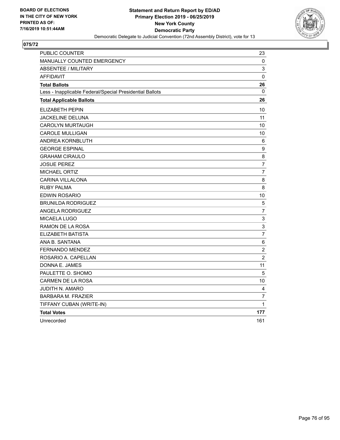

| PUBLIC COUNTER                                           | 23             |
|----------------------------------------------------------|----------------|
| <b>MANUALLY COUNTED EMERGENCY</b>                        | 0              |
| <b>ABSENTEE / MILITARY</b>                               | 3              |
| <b>AFFIDAVIT</b>                                         | 0              |
| <b>Total Ballots</b>                                     | 26             |
| Less - Inapplicable Federal/Special Presidential Ballots | 0              |
| <b>Total Applicable Ballots</b>                          | 26             |
| ELIZABETH PEPIN                                          | 10             |
| JACKELINE DELUNA                                         | 11             |
| <b>CAROLYN MURTAUGH</b>                                  | 10             |
| <b>CAROLE MULLIGAN</b>                                   | 10             |
| ANDREA KORNBLUTH                                         | 6              |
| <b>GEORGE ESPINAL</b>                                    | 9              |
| <b>GRAHAM CIRAULO</b>                                    | 8              |
| <b>JOSUE PEREZ</b>                                       | $\overline{7}$ |
| <b>MICHAEL ORTIZ</b>                                     | 7              |
| <b>CARINA VILLALONA</b>                                  | 8              |
| <b>RUBY PALMA</b>                                        | 8              |
| <b>EDWIN ROSARIO</b>                                     | 10             |
| <b>BRUNILDA RODRIGUEZ</b>                                | 5              |
| <b>ANGELA RODRIGUEZ</b>                                  | $\overline{7}$ |
| MICAELA LUGO                                             | 3              |
| RAMON DE LA ROSA                                         | 3              |
| ELIZABETH BATISTA                                        | $\overline{7}$ |
| ANA B. SANTANA                                           | 6              |
| <b>FERNANDO MENDEZ</b>                                   | $\overline{c}$ |
| ROSARIO A. CAPELLAN                                      | $\overline{2}$ |
| DONNA E. JAMES                                           | 11             |
| PAULETTE O. SHOMO                                        | 5              |
| <b>CARMEN DE LA ROSA</b>                                 | 10             |
| <b>JUDITH N. AMARO</b>                                   | 4              |
| <b>BARBARA M. FRAZIER</b>                                | $\overline{7}$ |
| TIFFANY CUBAN (WRITE-IN)                                 | 1              |
| <b>Total Votes</b>                                       | 177            |
| Unrecorded                                               | 161            |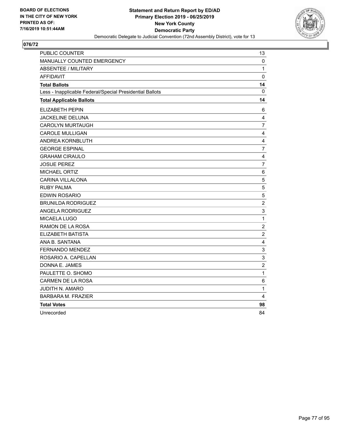

| <b>PUBLIC COUNTER</b>                                    | 13                      |
|----------------------------------------------------------|-------------------------|
| MANUALLY COUNTED EMERGENCY                               | 0                       |
| <b>ABSENTEE / MILITARY</b>                               | 1                       |
| <b>AFFIDAVIT</b>                                         | 0                       |
| <b>Total Ballots</b>                                     | 14                      |
| Less - Inapplicable Federal/Special Presidential Ballots | $\mathbf{0}$            |
| <b>Total Applicable Ballots</b>                          | 14                      |
| <b>ELIZABETH PEPIN</b>                                   | 6                       |
| JACKELINE DELUNA                                         | 4                       |
| <b>CAROLYN MURTAUGH</b>                                  | $\overline{7}$          |
| <b>CAROLE MULLIGAN</b>                                   | 4                       |
| ANDREA KORNBLUTH                                         | $\overline{\mathbf{4}}$ |
| <b>GEORGE ESPINAL</b>                                    | $\overline{7}$          |
| <b>GRAHAM CIRAULO</b>                                    | $\overline{\mathbf{4}}$ |
| <b>JOSUE PEREZ</b>                                       | $\overline{7}$          |
| <b>MICHAEL ORTIZ</b>                                     | 6                       |
| <b>CARINA VILLALONA</b>                                  | 5                       |
| <b>RUBY PALMA</b>                                        | 5                       |
| EDWIN ROSARIO                                            | 5                       |
| <b>BRUNILDA RODRIGUEZ</b>                                | $\boldsymbol{2}$        |
| ANGELA RODRIGUEZ                                         | 3                       |
| MICAELA LUGO                                             | 1                       |
| RAMON DE LA ROSA                                         | $\boldsymbol{2}$        |
| ELIZABETH BATISTA                                        | $\overline{c}$          |
| ANA B. SANTANA                                           | $\overline{\mathbf{4}}$ |
| <b>FERNANDO MENDEZ</b>                                   | 3                       |
| ROSARIO A. CAPELLAN                                      | $\mathsf 3$             |
| DONNA E. JAMES                                           | $\overline{c}$          |
| PAULETTE O. SHOMO                                        | 1                       |
| CARMEN DE LA ROSA                                        | 6                       |
| <b>JUDITH N. AMARO</b>                                   | $\mathbf{1}$            |
| <b>BARBARA M. FRAZIER</b>                                | 4                       |
| <b>Total Votes</b>                                       | 98                      |
| Unrecorded                                               | 84                      |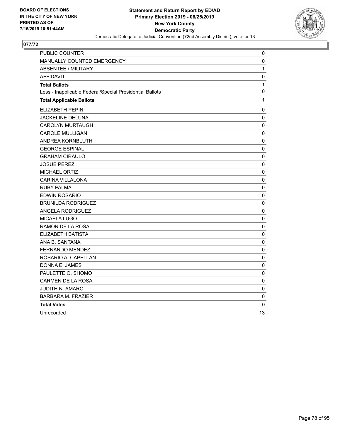

| PUBLIC COUNTER                                           | 0           |
|----------------------------------------------------------|-------------|
| MANUALLY COUNTED EMERGENCY                               | $\pmb{0}$   |
| <b>ABSENTEE / MILITARY</b>                               | 1           |
| <b>AFFIDAVIT</b>                                         | 0           |
| <b>Total Ballots</b>                                     | 1           |
| Less - Inapplicable Federal/Special Presidential Ballots | 0           |
| <b>Total Applicable Ballots</b>                          | 1           |
| <b>ELIZABETH PEPIN</b>                                   | 0           |
| JACKELINE DELUNA                                         | 0           |
| CAROLYN MURTAUGH                                         | 0           |
| <b>CAROLE MULLIGAN</b>                                   | 0           |
| ANDREA KORNBLUTH                                         | $\pmb{0}$   |
| <b>GEORGE ESPINAL</b>                                    | $\pmb{0}$   |
| <b>GRAHAM CIRAULO</b>                                    | 0           |
| <b>JOSUE PEREZ</b>                                       | $\pmb{0}$   |
| <b>MICHAEL ORTIZ</b>                                     | 0           |
| <b>CARINA VILLALONA</b>                                  | 0           |
| <b>RUBY PALMA</b>                                        | 0           |
| <b>EDWIN ROSARIO</b>                                     | $\mathbf 0$ |
| <b>BRUNILDA RODRIGUEZ</b>                                | $\pmb{0}$   |
| <b>ANGELA RODRIGUEZ</b>                                  | 0           |
| MICAELA LUGO                                             | 0           |
| RAMON DE LA ROSA                                         | $\mathbf 0$ |
| ELIZABETH BATISTA                                        | 0           |
| ANA B. SANTANA                                           | $\pmb{0}$   |
| FERNANDO MENDEZ                                          | $\mathbf 0$ |
| ROSARIO A. CAPELLAN                                      | 0           |
| DONNA E. JAMES                                           | 0           |
| PAULETTE O. SHOMO                                        | 0           |
| <b>CARMEN DE LA ROSA</b>                                 | 0           |
| <b>JUDITH N. AMARO</b>                                   | 0           |
| <b>BARBARA M. FRAZIER</b>                                | 0           |
| <b>Total Votes</b>                                       | 0           |
| Unrecorded                                               | 13          |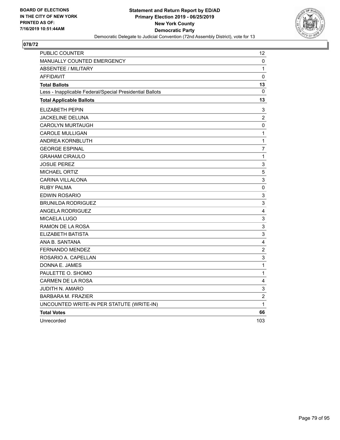

| PUBLIC COUNTER                                           | 12                        |
|----------------------------------------------------------|---------------------------|
| <b>MANUALLY COUNTED EMERGENCY</b>                        | 0                         |
| <b>ABSENTEE / MILITARY</b>                               | 1                         |
| <b>AFFIDAVIT</b>                                         | 0                         |
| <b>Total Ballots</b>                                     | 13                        |
| Less - Inapplicable Federal/Special Presidential Ballots | 0                         |
| <b>Total Applicable Ballots</b>                          | 13                        |
| <b>ELIZABETH PEPIN</b>                                   | 3                         |
| JACKELINE DELUNA                                         | $\overline{2}$            |
| <b>CAROLYN MURTAUGH</b>                                  | 0                         |
| <b>CAROLE MULLIGAN</b>                                   | 1                         |
| ANDREA KORNBLUTH                                         | $\mathbf 1$               |
| <b>GEORGE ESPINAL</b>                                    | $\overline{7}$            |
| <b>GRAHAM CIRAULO</b>                                    | $\mathbf{1}$              |
| <b>JOSUE PEREZ</b>                                       | 3                         |
| <b>MICHAEL ORTIZ</b>                                     | $\sqrt{5}$                |
| <b>CARINA VILLALONA</b>                                  | $\mathsf 3$               |
| <b>RUBY PALMA</b>                                        | $\pmb{0}$                 |
| EDWIN ROSARIO                                            | 3                         |
| <b>BRUNILDA RODRIGUEZ</b>                                | 3                         |
| ANGELA RODRIGUEZ                                         | $\overline{4}$            |
| MICAELA LUGO                                             | $\ensuremath{\mathsf{3}}$ |
| RAMON DE LA ROSA                                         | $\ensuremath{\mathsf{3}}$ |
| ELIZABETH BATISTA                                        | 3                         |
| ANA B. SANTANA                                           | 4                         |
| <b>FERNANDO MENDEZ</b>                                   | $\overline{c}$            |
| ROSARIO A. CAPELLAN                                      | 3                         |
| DONNA E. JAMES                                           | $\mathbf{1}$              |
| PAULETTE O. SHOMO                                        | 1                         |
| <b>CARMEN DE LA ROSA</b>                                 | $\overline{\mathbf{4}}$   |
| JUDITH N. AMARO                                          | 3                         |
| <b>BARBARA M. FRAZIER</b>                                | $\overline{c}$            |
| UNCOUNTED WRITE-IN PER STATUTE (WRITE-IN)                | 1                         |
| <b>Total Votes</b>                                       | 66                        |
| Unrecorded                                               | 103                       |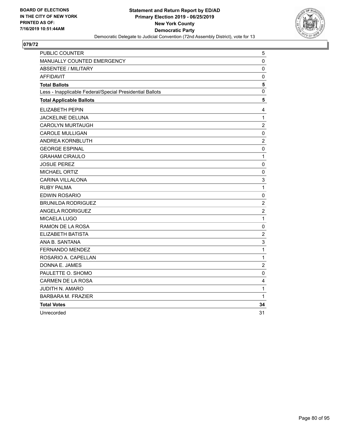

| PUBLIC COUNTER                                           | 5              |
|----------------------------------------------------------|----------------|
| MANUALLY COUNTED EMERGENCY                               | 0              |
| <b>ABSENTEE / MILITARY</b>                               | 0              |
| <b>AFFIDAVIT</b>                                         | 0              |
| <b>Total Ballots</b>                                     | 5              |
| Less - Inapplicable Federal/Special Presidential Ballots | $\mathbf 0$    |
| <b>Total Applicable Ballots</b>                          | 5              |
| <b>ELIZABETH PEPIN</b>                                   | 4              |
| JACKELINE DELUNA                                         | $\mathbf{1}$   |
| CAROLYN MURTAUGH                                         | $\overline{c}$ |
| <b>CAROLE MULLIGAN</b>                                   | $\pmb{0}$      |
| ANDREA KORNBLUTH                                         | $\overline{c}$ |
| <b>GEORGE ESPINAL</b>                                    | 0              |
| <b>GRAHAM CIRAULO</b>                                    | $\mathbf{1}$   |
| <b>JOSUE PEREZ</b>                                       | $\pmb{0}$      |
| <b>MICHAEL ORTIZ</b>                                     | 0              |
| <b>CARINA VILLALONA</b>                                  | 3              |
| <b>RUBY PALMA</b>                                        | $\mathbf 1$    |
| <b>EDWIN ROSARIO</b>                                     | $\mathbf 0$    |
| <b>BRUNILDA RODRIGUEZ</b>                                | $\overline{c}$ |
| <b>ANGELA RODRIGUEZ</b>                                  | $\overline{c}$ |
| MICAELA LUGO                                             | $\mathbf{1}$   |
| RAMON DE LA ROSA                                         | $\pmb{0}$      |
| ELIZABETH BATISTA                                        | $\sqrt{2}$     |
| ANA B. SANTANA                                           | 3              |
| FERNANDO MENDEZ                                          | $\mathbf{1}$   |
| ROSARIO A. CAPELLAN                                      | $\mathbf 1$    |
| DONNA E. JAMES                                           | $\overline{2}$ |
| PAULETTE O. SHOMO                                        | 0              |
| <b>CARMEN DE LA ROSA</b>                                 | 4              |
| <b>JUDITH N. AMARO</b>                                   | 1              |
| <b>BARBARA M. FRAZIER</b>                                | 1              |
| <b>Total Votes</b>                                       | 34             |
| Unrecorded                                               | 31             |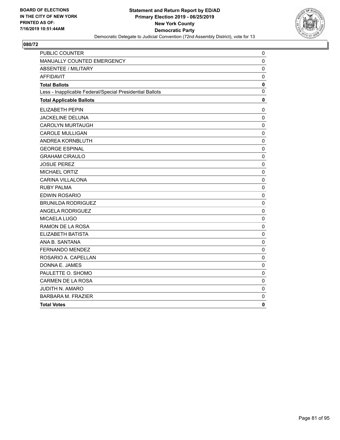

| PUBLIC COUNTER                                           | $\pmb{0}$   |
|----------------------------------------------------------|-------------|
| MANUALLY COUNTED EMERGENCY                               | 0           |
| <b>ABSENTEE / MILITARY</b>                               | $\mathbf 0$ |
| <b>AFFIDAVIT</b>                                         | 0           |
| <b>Total Ballots</b>                                     | $\mathbf 0$ |
| Less - Inapplicable Federal/Special Presidential Ballots | 0           |
| <b>Total Applicable Ballots</b>                          | 0           |
| <b>ELIZABETH PEPIN</b>                                   | 0           |
| <b>JACKELINE DELUNA</b>                                  | $\mathbf 0$ |
| <b>CAROLYN MURTAUGH</b>                                  | 0           |
| <b>CAROLE MULLIGAN</b>                                   | 0           |
| ANDREA KORNBLUTH                                         | 0           |
| <b>GEORGE ESPINAL</b>                                    | 0           |
| <b>GRAHAM CIRAULO</b>                                    | 0           |
| <b>JOSUE PEREZ</b>                                       | 0           |
| <b>MICHAEL ORTIZ</b>                                     | 0           |
| <b>CARINA VILLALONA</b>                                  | 0           |
| <b>RUBY PALMA</b>                                        | $\mathbf 0$ |
| EDWIN ROSARIO                                            | 0           |
| <b>BRUNILDA RODRIGUEZ</b>                                | 0           |
| ANGELA RODRIGUEZ                                         | 0           |
| MICAELA LUGO                                             | $\mathbf 0$ |
| RAMON DE LA ROSA                                         | 0           |
| ELIZABETH BATISTA                                        | $\mathbf 0$ |
| ANA B. SANTANA                                           | $\mathbf 0$ |
| FERNANDO MENDEZ                                          | $\mathbf 0$ |
| ROSARIO A. CAPELLAN                                      | $\mathbf 0$ |
| DONNA E. JAMES                                           | $\mathbf 0$ |
| PAULETTE O. SHOMO                                        | 0           |
| <b>CARMEN DE LA ROSA</b>                                 | 0           |
| JUDITH N. AMARO                                          | 0           |
| <b>BARBARA M. FRAZIER</b>                                | $\mathbf 0$ |
| <b>Total Votes</b>                                       | 0           |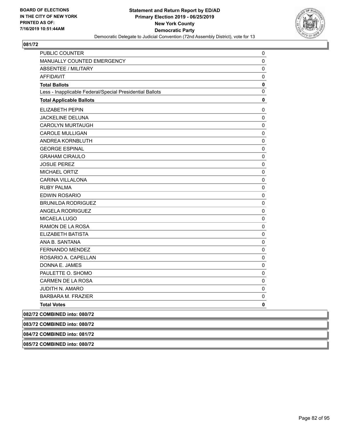

| <b>PUBLIC COUNTER</b>                                    | 0           |
|----------------------------------------------------------|-------------|
| MANUALLY COUNTED EMERGENCY                               | 0           |
| <b>ABSENTEE / MILITARY</b>                               | 0           |
| <b>AFFIDAVIT</b>                                         | 0           |
| <b>Total Ballots</b>                                     | $\mathbf 0$ |
| Less - Inapplicable Federal/Special Presidential Ballots | 0           |
| <b>Total Applicable Ballots</b>                          | 0           |
| <b>ELIZABETH PEPIN</b>                                   | 0           |
| JACKELINE DELUNA                                         | 0           |
| <b>CAROLYN MURTAUGH</b>                                  | 0           |
| <b>CAROLE MULLIGAN</b>                                   | 0           |
| ANDREA KORNBLUTH                                         | 0           |
| <b>GEORGE ESPINAL</b>                                    | 0           |
| <b>GRAHAM CIRAULO</b>                                    | 0           |
| <b>JOSUE PEREZ</b>                                       | 0           |
| <b>MICHAEL ORTIZ</b>                                     | 0           |
| <b>CARINA VILLALONA</b>                                  | 0           |
| RUBY PAI MA                                              | 0           |
| <b>EDWIN ROSARIO</b>                                     | 0           |
| <b>BRUNILDA RODRIGUEZ</b>                                | 0           |
| ANGELA RODRIGUEZ                                         | 0           |
| <b>MICAELA LUGO</b>                                      | 0           |
| RAMON DE LA ROSA                                         | 0           |
| ELIZABETH BATISTA                                        | 0           |
| ANA B. SANTANA                                           | 0           |
| FERNANDO MENDEZ                                          | 0           |
| ROSARIO A. CAPELLAN                                      | 0           |
| DONNA E. JAMES                                           | 0           |
| PAULETTE O. SHOMO                                        | 0           |
| <b>CARMEN DE LA ROSA</b>                                 | 0           |
| <b>JUDITH N. AMARO</b>                                   | 0           |
| <b>BARBARA M. FRAZIER</b>                                | $\Omega$    |
| <b>Total Votes</b>                                       | 0           |
| 082/72 COMBINED into: 080/72                             |             |
| 083/72 COMBINED into: 080/72                             |             |
| 084/72 COMBINED into: 081/72                             |             |
| 085/72 COMBINED into: 080/72                             |             |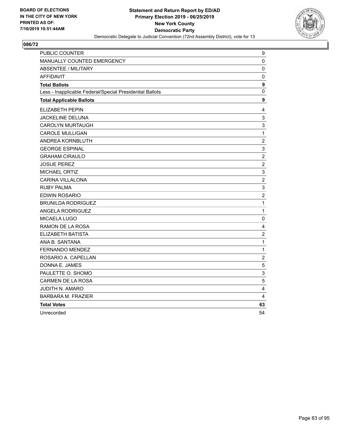

| PUBLIC COUNTER                                           | 9                         |
|----------------------------------------------------------|---------------------------|
| <b>MANUALLY COUNTED EMERGENCY</b>                        | 0                         |
| <b>ABSENTEE / MILITARY</b>                               | 0                         |
| <b>AFFIDAVIT</b>                                         | 0                         |
| <b>Total Ballots</b>                                     | $\mathbf{9}$              |
| Less - Inapplicable Federal/Special Presidential Ballots | 0                         |
| <b>Total Applicable Ballots</b>                          | 9                         |
| ELIZABETH PEPIN                                          | 4                         |
| JACKELINE DELUNA                                         | 3                         |
| <b>CAROLYN MURTAUGH</b>                                  | 3                         |
| <b>CAROLE MULLIGAN</b>                                   | $\mathbf{1}$              |
| ANDREA KORNBLUTH                                         | $\overline{2}$            |
| <b>GEORGE ESPINAL</b>                                    | 3                         |
| <b>GRAHAM CIRAULO</b>                                    | $\boldsymbol{2}$          |
| <b>JOSUE PEREZ</b>                                       | $\overline{c}$            |
| <b>MICHAEL ORTIZ</b>                                     | $\ensuremath{\mathsf{3}}$ |
| <b>CARINA VILLALONA</b>                                  | $\overline{c}$            |
| <b>RUBY PALMA</b>                                        | 3                         |
| EDWIN ROSARIO                                            | $\boldsymbol{2}$          |
| <b>BRUNILDA RODRIGUEZ</b>                                | $\mathbf{1}$              |
| <b>ANGELA RODRIGUEZ</b>                                  | $\mathbf{1}$              |
| <b>MICAELA LUGO</b>                                      | $\mathbf 0$               |
| RAMON DE LA ROSA                                         | 4                         |
| ELIZABETH BATISTA                                        | $\sqrt{2}$                |
| ANA B. SANTANA                                           | $\mathbf 1$               |
| FERNANDO MENDEZ                                          | $\mathbf{1}$              |
| ROSARIO A. CAPELLAN                                      | $\overline{c}$            |
| DONNA E. JAMES                                           | 5                         |
| PAULETTE O. SHOMO                                        | 3                         |
| <b>CARMEN DE LA ROSA</b>                                 | 5                         |
| JUDITH N. AMARO                                          | 4                         |
| <b>BARBARA M. FRAZIER</b>                                | 4                         |
| <b>Total Votes</b>                                       | 63                        |
| Unrecorded                                               | 54                        |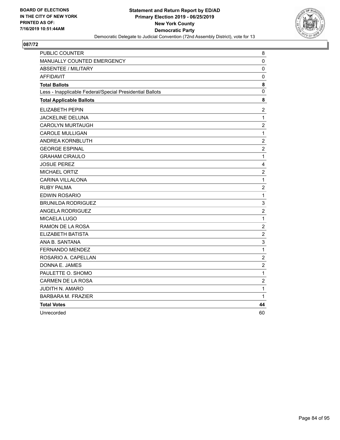

| PUBLIC COUNTER                                           | 8                         |
|----------------------------------------------------------|---------------------------|
| MANUALLY COUNTED EMERGENCY                               | $\pmb{0}$                 |
| <b>ABSENTEE / MILITARY</b>                               | 0                         |
| <b>AFFIDAVIT</b>                                         | 0                         |
| <b>Total Ballots</b>                                     | 8                         |
| Less - Inapplicable Federal/Special Presidential Ballots | 0                         |
| <b>Total Applicable Ballots</b>                          | 8                         |
| <b>ELIZABETH PEPIN</b>                                   | $\boldsymbol{2}$          |
| JACKELINE DELUNA                                         | 1                         |
| <b>CAROLYN MURTAUGH</b>                                  | $\overline{c}$            |
| <b>CAROLE MULLIGAN</b>                                   | $\mathbf 1$               |
| ANDREA KORNBLUTH                                         | $\overline{2}$            |
| <b>GEORGE ESPINAL</b>                                    | $\overline{c}$            |
| <b>GRAHAM CIRAULO</b>                                    | $\mathbf{1}$              |
| <b>JOSUE PEREZ</b>                                       | $\overline{\mathbf{4}}$   |
| MICHAEL ORTIZ                                            | $\overline{2}$            |
| <b>CARINA VILLALONA</b>                                  | $\mathbf 1$               |
| <b>RUBY PALMA</b>                                        | $\boldsymbol{2}$          |
| <b>EDWIN ROSARIO</b>                                     | $\mathbf{1}$              |
| <b>BRUNILDA RODRIGUEZ</b>                                | 3                         |
| ANGELA RODRIGUEZ                                         | $\overline{c}$            |
| MICAELA LUGO                                             | 1                         |
| RAMON DE LA ROSA                                         | $\boldsymbol{2}$          |
| ELIZABETH BATISTA                                        | $\boldsymbol{2}$          |
| ANA B. SANTANA                                           | $\ensuremath{\mathsf{3}}$ |
| <b>FERNANDO MENDEZ</b>                                   | $\mathbf{1}$              |
| ROSARIO A. CAPELLAN                                      | $\overline{c}$            |
| DONNA E. JAMES                                           | $\overline{c}$            |
| PAULETTE O. SHOMO                                        | $\mathbf 1$               |
| <b>CARMEN DE LA ROSA</b>                                 | $\overline{2}$            |
| <b>JUDITH N. AMARO</b>                                   | $\mathbf{1}$              |
| <b>BARBARA M. FRAZIER</b>                                | 1                         |
| <b>Total Votes</b>                                       | 44                        |
| Unrecorded                                               | 60                        |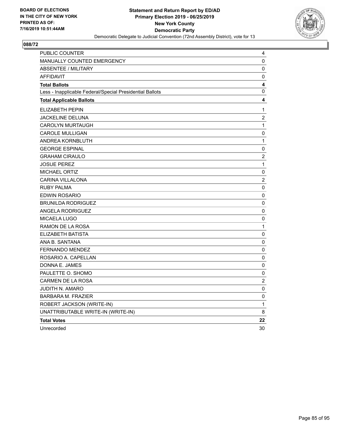

| PUBLIC COUNTER                                           | 4              |
|----------------------------------------------------------|----------------|
| <b>MANUALLY COUNTED EMERGENCY</b>                        | 0              |
| <b>ABSENTEE / MILITARY</b>                               | $\pmb{0}$      |
| <b>AFFIDAVIT</b>                                         | 0              |
| <b>Total Ballots</b>                                     | 4              |
| Less - Inapplicable Federal/Special Presidential Ballots | 0              |
| <b>Total Applicable Ballots</b>                          | 4              |
| <b>ELIZABETH PEPIN</b>                                   | 1              |
| JACKELINE DELUNA                                         | $\overline{c}$ |
| <b>CAROLYN MURTAUGH</b>                                  | $\mathbf{1}$   |
| <b>CAROLE MULLIGAN</b>                                   | 0              |
| ANDREA KORNBLUTH                                         | $\mathbf{1}$   |
| <b>GEORGE ESPINAL</b>                                    | 0              |
| <b>GRAHAM CIRAULO</b>                                    | 2              |
| <b>JOSUE PEREZ</b>                                       | $\mathbf{1}$   |
| <b>MICHAEL ORTIZ</b>                                     | 0              |
| <b>CARINA VILLALONA</b>                                  | $\overline{c}$ |
| <b>RUBY PALMA</b>                                        | 0              |
| <b>EDWIN ROSARIO</b>                                     | 0              |
| <b>BRUNILDA RODRIGUEZ</b>                                | 0              |
| ANGELA RODRIGUEZ                                         | 0              |
| <b>MICAELA LUGO</b>                                      | 0              |
| RAMON DE LA ROSA                                         | 1              |
| ELIZABETH BATISTA                                        | 0              |
| ANA B. SANTANA                                           | 0              |
| <b>FERNANDO MENDEZ</b>                                   | 0              |
| ROSARIO A. CAPELLAN                                      | 0              |
| DONNA E. JAMES                                           | 0              |
| PAULETTE O. SHOMO                                        | 0              |
| <b>CARMEN DE LA ROSA</b>                                 | 2              |
| <b>JUDITH N. AMARO</b>                                   | 0              |
| <b>BARBARA M. FRAZIER</b>                                | 0              |
| ROBERT JACKSON (WRITE-IN)                                | $\mathbf{1}$   |
| UNATTRIBUTABLE WRITE-IN (WRITE-IN)                       | 8              |
| <b>Total Votes</b>                                       | 22             |
| Unrecorded                                               | 30             |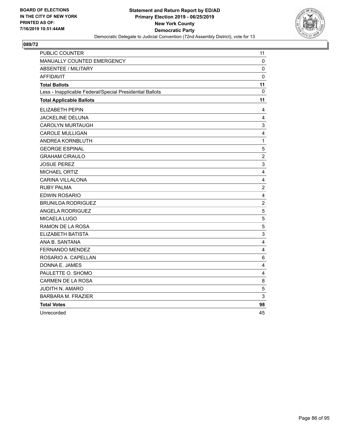

| <b>PUBLIC COUNTER</b>                                    | 11                      |
|----------------------------------------------------------|-------------------------|
| MANUALLY COUNTED EMERGENCY                               | 0                       |
| <b>ABSENTEE / MILITARY</b>                               | 0                       |
| <b>AFFIDAVIT</b>                                         | 0                       |
| <b>Total Ballots</b>                                     | 11                      |
| Less - Inapplicable Federal/Special Presidential Ballots | $\mathbf{0}$            |
| <b>Total Applicable Ballots</b>                          | 11                      |
| <b>ELIZABETH PEPIN</b>                                   | 4                       |
| JACKELINE DELUNA                                         | 4                       |
| <b>CAROLYN MURTAUGH</b>                                  | 3                       |
| <b>CAROLE MULLIGAN</b>                                   | 4                       |
| ANDREA KORNBLUTH                                         | $\mathbf 1$             |
| <b>GEORGE ESPINAL</b>                                    | $\mathbf 5$             |
| <b>GRAHAM CIRAULO</b>                                    | $\overline{c}$          |
| <b>JOSUE PEREZ</b>                                       | 3                       |
| <b>MICHAEL ORTIZ</b>                                     | 4                       |
| <b>CARINA VILLALONA</b>                                  | 4                       |
| <b>RUBY PALMA</b>                                        | $\sqrt{2}$              |
| EDWIN ROSARIO                                            | $\overline{4}$          |
| <b>BRUNILDA RODRIGUEZ</b>                                | $\boldsymbol{2}$        |
| ANGELA RODRIGUEZ                                         | 5                       |
| MICAELA LUGO                                             | $\mathbf 5$             |
| RAMON DE LA ROSA                                         | 5                       |
| ELIZABETH BATISTA                                        | 3                       |
| ANA B. SANTANA                                           | $\overline{\mathbf{4}}$ |
| <b>FERNANDO MENDEZ</b>                                   | $\overline{4}$          |
| ROSARIO A. CAPELLAN                                      | 6                       |
| DONNA E. JAMES                                           | 4                       |
| PAULETTE O. SHOMO                                        | 4                       |
| CARMEN DE LA ROSA                                        | 8                       |
| <b>JUDITH N. AMARO</b>                                   | 5                       |
| <b>BARBARA M. FRAZIER</b>                                | 3                       |
| <b>Total Votes</b>                                       | 98                      |
| Unrecorded                                               | 45                      |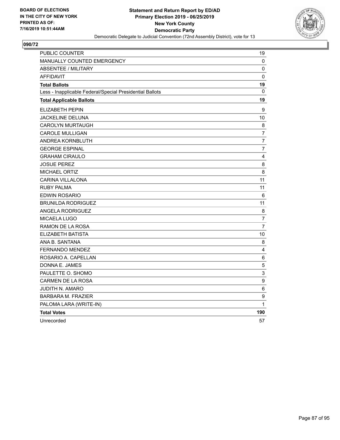

| PUBLIC COUNTER                                           | 19             |
|----------------------------------------------------------|----------------|
| <b>MANUALLY COUNTED EMERGENCY</b>                        | 0              |
| <b>ABSENTEE / MILITARY</b>                               | 0              |
| <b>AFFIDAVIT</b>                                         | 0              |
| <b>Total Ballots</b>                                     | 19             |
| Less - Inapplicable Federal/Special Presidential Ballots | $\mathbf{0}$   |
| <b>Total Applicable Ballots</b>                          | 19             |
| <b>ELIZABETH PEPIN</b>                                   | 9              |
| JACKELINE DELUNA                                         | 10             |
| <b>CAROLYN MURTAUGH</b>                                  | 8              |
| <b>CAROLE MULLIGAN</b>                                   | $\overline{7}$ |
| ANDREA KORNBLUTH                                         | $\overline{7}$ |
| <b>GEORGE ESPINAL</b>                                    | $\overline{7}$ |
| <b>GRAHAM CIRAULO</b>                                    | 4              |
| <b>JOSUE PEREZ</b>                                       | 8              |
| <b>MICHAEL ORTIZ</b>                                     | 8              |
| CARINA VILLALONA                                         | 11             |
| <b>RUBY PALMA</b>                                        | 11             |
| EDWIN ROSARIO                                            | 6              |
| <b>BRUNILDA RODRIGUEZ</b>                                | 11             |
| <b>ANGELA RODRIGUEZ</b>                                  | 8              |
| MICAELA LUGO                                             | $\overline{7}$ |
| RAMON DE LA ROSA                                         | $\overline{7}$ |
| ELIZABETH BATISTA                                        | 10             |
| ANA B. SANTANA                                           | 8              |
| <b>FERNANDO MENDEZ</b>                                   | 4              |
| ROSARIO A. CAPELLAN                                      | $\,6$          |
| DONNA E. JAMES                                           | 5              |
| PAULETTE O. SHOMO                                        | 3              |
| <b>CARMEN DE LA ROSA</b>                                 | 9              |
| <b>JUDITH N. AMARO</b>                                   | 6              |
| <b>BARBARA M. FRAZIER</b>                                | 9              |
| PALOMA LARA (WRITE-IN)                                   | $\mathbf{1}$   |
| <b>Total Votes</b>                                       | 190            |
| Unrecorded                                               | 57             |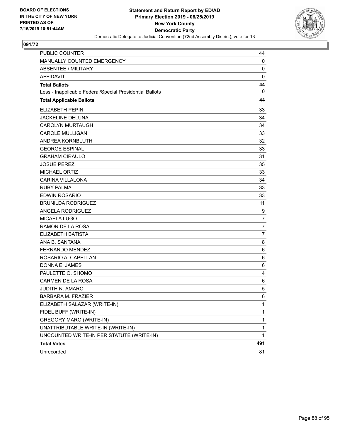

| <b>PUBLIC COUNTER</b>                                    | 44             |
|----------------------------------------------------------|----------------|
| MANUALLY COUNTED EMERGENCY                               | 0              |
| ABSENTEE / MILITARY                                      | 0              |
| <b>AFFIDAVIT</b>                                         | $\mathbf 0$    |
| <b>Total Ballots</b>                                     | 44             |
| Less - Inapplicable Federal/Special Presidential Ballots | $\mathbf 0$    |
| <b>Total Applicable Ballots</b>                          | 44             |
| <b>ELIZABETH PEPIN</b>                                   | 33             |
| <b>JACKELINE DELUNA</b>                                  | 34             |
| <b>CAROLYN MURTAUGH</b>                                  | 34             |
| <b>CAROLE MULLIGAN</b>                                   | 33             |
| ANDREA KORNBLUTH                                         | 32             |
| <b>GEORGE ESPINAL</b>                                    | 33             |
| <b>GRAHAM CIRAULO</b>                                    | 31             |
| <b>JOSUE PEREZ</b>                                       | 35             |
| <b>MICHAEL ORTIZ</b>                                     | 33             |
| <b>CARINA VILLALONA</b>                                  | 34             |
| <b>RUBY PALMA</b>                                        | 33             |
| <b>EDWIN ROSARIO</b>                                     | 33             |
| <b>BRUNILDA RODRIGUEZ</b>                                | 11             |
| ANGELA RODRIGUEZ                                         | 9              |
| MICAELA LUGO                                             | $\overline{7}$ |
| RAMON DE LA ROSA                                         | $\overline{7}$ |
| <b>ELIZABETH BATISTA</b>                                 | $\overline{7}$ |
| ANA B. SANTANA                                           | 8              |
| <b>FERNANDO MENDEZ</b>                                   | 6              |
| ROSARIO A. CAPELLAN                                      | 6              |
| DONNA E. JAMES                                           | 6              |
| PAULETTE O. SHOMO                                        | 4              |
| <b>CARMEN DE LA ROSA</b>                                 | 6              |
| <b>JUDITH N. AMARO</b>                                   | 5              |
| <b>BARBARA M. FRAZIER</b>                                | 6              |
| ELIZABETH SALAZAR (WRITE-IN)                             | 1              |
| FIDEL BUFF (WRITE-IN)                                    | 1              |
| GREGORY MARO (WRITE-IN)                                  | $\mathbf{1}$   |
| UNATTRIBUTABLE WRITE-IN (WRITE-IN)                       | 1              |
| UNCOUNTED WRITE-IN PER STATUTE (WRITE-IN)                | 1              |
| <b>Total Votes</b>                                       | 491            |
| Unrecorded                                               | 81             |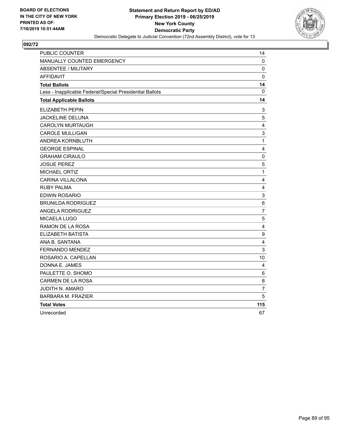

| PUBLIC COUNTER                                           | 14                        |
|----------------------------------------------------------|---------------------------|
| MANUALLY COUNTED EMERGENCY                               | 0                         |
| <b>ABSENTEE / MILITARY</b>                               | 0                         |
| <b>AFFIDAVIT</b>                                         | 0                         |
| <b>Total Ballots</b>                                     | 14                        |
| Less - Inapplicable Federal/Special Presidential Ballots | $\mathbf{0}$              |
| <b>Total Applicable Ballots</b>                          | 14                        |
| <b>ELIZABETH PEPIN</b>                                   | 3                         |
| JACKELINE DELUNA                                         | 5                         |
| <b>CAROLYN MURTAUGH</b>                                  | 4                         |
| <b>CAROLE MULLIGAN</b>                                   | 3                         |
| ANDREA KORNBLUTH                                         | $\mathbf{1}$              |
| <b>GEORGE ESPINAL</b>                                    | 4                         |
| <b>GRAHAM CIRAULO</b>                                    | $\pmb{0}$                 |
| <b>JOSUE PEREZ</b>                                       | 5                         |
| MICHAEL ORTIZ                                            | $\mathbf{1}$              |
| <b>CARINA VILLALONA</b>                                  | 4                         |
| <b>RUBY PALMA</b>                                        | 4                         |
| <b>EDWIN ROSARIO</b>                                     | $\ensuremath{\mathsf{3}}$ |
| <b>BRUNILDA RODRIGUEZ</b>                                | $\,6$                     |
| ANGELA RODRIGUEZ                                         | $\overline{7}$            |
| MICAELA LUGO                                             | 5                         |
| RAMON DE LA ROSA                                         | 4                         |
| ELIZABETH BATISTA                                        | $\boldsymbol{9}$          |
| ANA B. SANTANA                                           | 4                         |
| <b>FERNANDO MENDEZ</b>                                   | 3                         |
| ROSARIO A. CAPELLAN                                      | 10                        |
| DONNA E. JAMES                                           | 4                         |
| PAULETTE O. SHOMO                                        | 6                         |
| <b>CARMEN DE LA ROSA</b>                                 | 8                         |
| <b>JUDITH N. AMARO</b>                                   | $\overline{7}$            |
| <b>BARBARA M. FRAZIER</b>                                | 5                         |
| <b>Total Votes</b>                                       | 115                       |
| Unrecorded                                               | 67                        |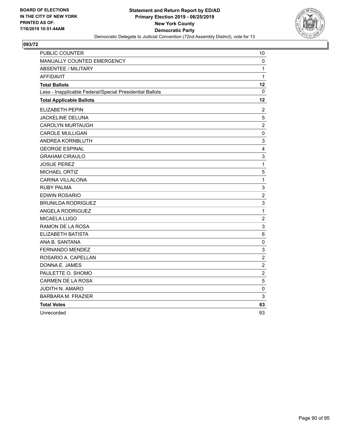

| PUBLIC COUNTER                                           | 10                        |
|----------------------------------------------------------|---------------------------|
| MANUALLY COUNTED EMERGENCY                               | 0                         |
| <b>ABSENTEE / MILITARY</b>                               | 1                         |
| <b>AFFIDAVIT</b>                                         | $\mathbf{1}$              |
| <b>Total Ballots</b>                                     | 12                        |
| Less - Inapplicable Federal/Special Presidential Ballots | $\mathbf{0}$              |
| <b>Total Applicable Ballots</b>                          | 12                        |
| <b>ELIZABETH PEPIN</b>                                   | $\overline{c}$            |
| <b>JACKELINE DELUNA</b>                                  | 5                         |
| <b>CAROLYN MURTAUGH</b>                                  | $\overline{2}$            |
| <b>CAROLE MULLIGAN</b>                                   | $\mathbf 0$               |
| ANDREA KORNBLUTH                                         | $\mathsf 3$               |
| <b>GEORGE ESPINAL</b>                                    | 4                         |
| <b>GRAHAM CIRAULO</b>                                    | $\ensuremath{\mathsf{3}}$ |
| <b>JOSUE PEREZ</b>                                       | $\mathbf{1}$              |
| MICHAEL ORTIZ                                            | $\sqrt{5}$                |
| <b>CARINA VILLALONA</b>                                  | 1                         |
| <b>RUBY PALMA</b>                                        | 3                         |
| <b>EDWIN ROSARIO</b>                                     | $\overline{2}$            |
| <b>BRUNILDA RODRIGUEZ</b>                                | 3                         |
| <b>ANGELA RODRIGUEZ</b>                                  | $\mathbf{1}$              |
| MICAELA LUGO                                             | $\overline{c}$            |
| RAMON DE LA ROSA                                         | $\mathsf 3$               |
| ELIZABETH BATISTA                                        | 6                         |
| ANA B. SANTANA                                           | 0                         |
| <b>FERNANDO MENDEZ</b>                                   | 3                         |
| ROSARIO A. CAPELLAN                                      | $\overline{c}$            |
| DONNA E. JAMES                                           | $\overline{c}$            |
| PAULETTE O. SHOMO                                        | $\sqrt{2}$                |
| CARMEN DE LA ROSA                                        | $\sqrt{5}$                |
| JUDITH N. AMARO                                          | $\pmb{0}$                 |
| <b>BARBARA M. FRAZIER</b>                                | 3                         |
| <b>Total Votes</b>                                       | 63                        |
| Unrecorded                                               | 93                        |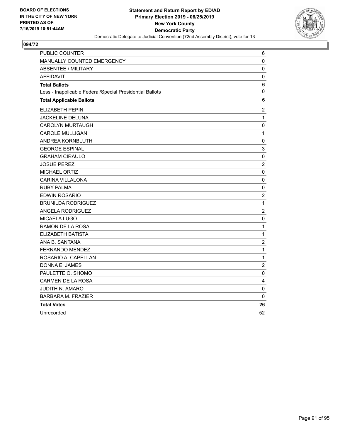

| PUBLIC COUNTER                                           | 6                |
|----------------------------------------------------------|------------------|
| <b>MANUALLY COUNTED EMERGENCY</b>                        | 0                |
| <b>ABSENTEE / MILITARY</b>                               | 0                |
| <b>AFFIDAVIT</b>                                         | 0                |
| <b>Total Ballots</b>                                     | 6                |
| Less - Inapplicable Federal/Special Presidential Ballots | 0                |
| <b>Total Applicable Ballots</b>                          | 6                |
| ELIZABETH PEPIN                                          | $\boldsymbol{2}$ |
| JACKELINE DELUNA                                         | 1                |
| <b>CAROLYN MURTAUGH</b>                                  | $\mathbf 0$      |
| <b>CAROLE MULLIGAN</b>                                   | $\mathbf{1}$     |
| ANDREA KORNBLUTH                                         | $\pmb{0}$        |
| <b>GEORGE ESPINAL</b>                                    | 3                |
| <b>GRAHAM CIRAULO</b>                                    | $\pmb{0}$        |
| <b>JOSUE PEREZ</b>                                       | $\overline{2}$   |
| <b>MICHAEL ORTIZ</b>                                     | $\pmb{0}$        |
| <b>CARINA VILLALONA</b>                                  | 0                |
| <b>RUBY PALMA</b>                                        | 0                |
| EDWIN ROSARIO                                            | $\boldsymbol{2}$ |
| <b>BRUNILDA RODRIGUEZ</b>                                | $\mathbf{1}$     |
| <b>ANGELA RODRIGUEZ</b>                                  | $\overline{c}$   |
| <b>MICAELA LUGO</b>                                      | $\mathbf 0$      |
| <b>RAMON DE LA ROSA</b>                                  | 1                |
| ELIZABETH BATISTA                                        | 1                |
| ANA B. SANTANA                                           | $\sqrt{2}$       |
| FERNANDO MENDEZ                                          | $\mathbf{1}$     |
| ROSARIO A. CAPELLAN                                      | $\mathbf{1}$     |
| DONNA E. JAMES                                           | $\overline{2}$   |
| PAULETTE O. SHOMO                                        | 0                |
| <b>CARMEN DE LA ROSA</b>                                 | 4                |
| JUDITH N. AMARO                                          | $\pmb{0}$        |
| <b>BARBARA M. FRAZIER</b>                                | 0                |
| <b>Total Votes</b>                                       | 26               |
| Unrecorded                                               | 52               |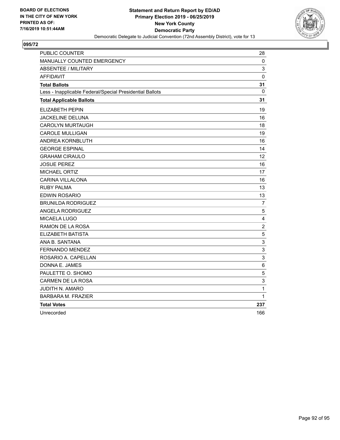

| <b>PUBLIC COUNTER</b>                                    | 28                |
|----------------------------------------------------------|-------------------|
| <b>MANUALLY COUNTED EMERGENCY</b>                        | 0                 |
| <b>ABSENTEE / MILITARY</b>                               | 3                 |
| <b>AFFIDAVIT</b>                                         | $\mathbf 0$       |
| <b>Total Ballots</b>                                     | 31                |
| Less - Inapplicable Federal/Special Presidential Ballots | $\mathbf{0}$      |
| <b>Total Applicable Ballots</b>                          | 31                |
| ELIZABETH PEPIN                                          | 19                |
| JACKELINE DELUNA                                         | 16                |
| <b>CAROLYN MURTAUGH</b>                                  | 18                |
| <b>CAROLE MULLIGAN</b>                                   | 19                |
| ANDREA KORNBLUTH                                         | 16                |
| <b>GEORGE ESPINAL</b>                                    | 14                |
| <b>GRAHAM CIRAULO</b>                                    | $12 \overline{ }$ |
| <b>JOSUE PEREZ</b>                                       | 16                |
| <b>MICHAEL ORTIZ</b>                                     | 17                |
| <b>CARINA VILLALONA</b>                                  | 16                |
| <b>RUBY PALMA</b>                                        | 13                |
| EDWIN ROSARIO                                            | 13                |
| <b>BRUNILDA RODRIGUEZ</b>                                | 7                 |
| <b>ANGELA RODRIGUEZ</b>                                  | 5                 |
| MICAELA LUGO                                             | 4                 |
| RAMON DE LA ROSA                                         | $\boldsymbol{2}$  |
| ELIZABETH BATISTA                                        | $\sqrt{5}$        |
| ANA B. SANTANA                                           | $\mathsf 3$       |
| <b>FERNANDO MENDEZ</b>                                   | 3                 |
| ROSARIO A. CAPELLAN                                      | $\mathsf 3$       |
| DONNA E. JAMES                                           | 6                 |
| PAULETTE O. SHOMO                                        | 5                 |
| CARMEN DE LA ROSA                                        | 3                 |
| <b>JUDITH N. AMARO</b>                                   | 1                 |
| <b>BARBARA M. FRAZIER</b>                                | 1                 |
| <b>Total Votes</b>                                       | 237               |
| Unrecorded                                               | 166               |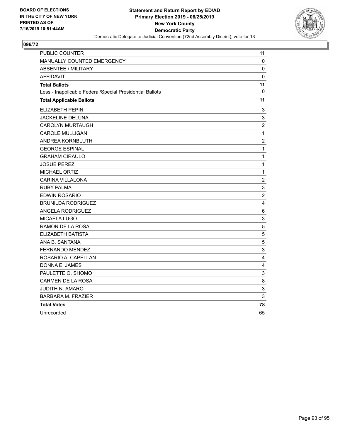

| PUBLIC COUNTER                                           | 11                      |
|----------------------------------------------------------|-------------------------|
| MANUALLY COUNTED EMERGENCY                               | 0                       |
| <b>ABSENTEE / MILITARY</b>                               | 0                       |
| <b>AFFIDAVIT</b>                                         | $\mathbf 0$             |
| <b>Total Ballots</b>                                     | 11                      |
| Less - Inapplicable Federal/Special Presidential Ballots | $\mathbf{0}$            |
| <b>Total Applicable Ballots</b>                          | 11                      |
| <b>ELIZABETH PEPIN</b>                                   | 3                       |
| <b>JACKELINE DELUNA</b>                                  | 3                       |
| <b>CAROLYN MURTAUGH</b>                                  | $\overline{c}$          |
| <b>CAROLE MULLIGAN</b>                                   | 1                       |
| ANDREA KORNBLUTH                                         | $\overline{2}$          |
| <b>GEORGE ESPINAL</b>                                    | 1                       |
| <b>GRAHAM CIRAULO</b>                                    | $\mathbf{1}$            |
| <b>JOSUE PEREZ</b>                                       | $\mathbf{1}$            |
| <b>MICHAEL ORTIZ</b>                                     | $\mathbf 1$             |
| <b>CARINA VILLALONA</b>                                  | $\overline{2}$          |
| <b>RUBY PALMA</b>                                        | 3                       |
| EDWIN ROSARIO                                            | $\overline{c}$          |
| <b>BRUNILDA RODRIGUEZ</b>                                | $\overline{\mathbf{4}}$ |
| ANGELA RODRIGUEZ                                         | 6                       |
| <b>MICAELA LUGO</b>                                      | $\mathsf 3$             |
| RAMON DE LA ROSA                                         | 5                       |
| ELIZABETH BATISTA                                        | 5                       |
| ANA B. SANTANA                                           | 5                       |
| <b>FERNANDO MENDEZ</b>                                   | 3                       |
| ROSARIO A. CAPELLAN                                      | $\overline{\mathbf{4}}$ |
| DONNA E. JAMES                                           | 4                       |
| PAULETTE O. SHOMO                                        | 3                       |
| <b>CARMEN DE LA ROSA</b>                                 | 8                       |
| <b>JUDITH N. AMARO</b>                                   | 3                       |
| <b>BARBARA M. FRAZIER</b>                                | 3                       |
| <b>Total Votes</b>                                       | 78                      |
| Unrecorded                                               | 65                      |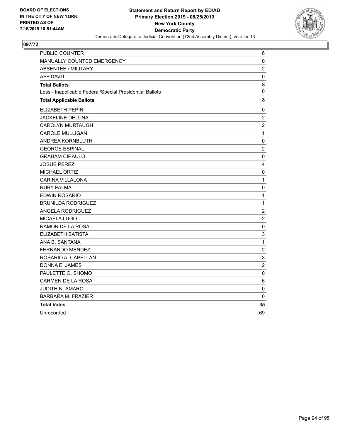

| PUBLIC COUNTER                                           | 6              |
|----------------------------------------------------------|----------------|
| MANUALLY COUNTED EMERGENCY                               | $\pmb{0}$      |
| <b>ABSENTEE / MILITARY</b>                               | $\overline{c}$ |
| <b>AFFIDAVIT</b>                                         | 0              |
| <b>Total Ballots</b>                                     | 8              |
| Less - Inapplicable Federal/Special Presidential Ballots | 0              |
| <b>Total Applicable Ballots</b>                          | 8              |
| ELIZABETH PEPIN                                          | 0              |
| JACKELINE DELUNA                                         | $\overline{2}$ |
| <b>CAROLYN MURTAUGH</b>                                  | $\overline{c}$ |
| <b>CAROLE MULLIGAN</b>                                   | $\mathbf{1}$   |
| ANDREA KORNBLUTH                                         | $\mathbf 0$    |
| <b>GEORGE ESPINAL</b>                                    | $\overline{c}$ |
| <b>GRAHAM CIRAULO</b>                                    | $\mathbf 0$    |
| <b>JOSUE PEREZ</b>                                       | $\overline{4}$ |
| <b>MICHAEL ORTIZ</b>                                     | 0              |
| <b>CARINA VILLALONA</b>                                  | 1              |
| <b>RUBY PALMA</b>                                        | 0              |
| EDWIN ROSARIO                                            | $\mathbf 1$    |
| <b>BRUNILDA RODRIGUEZ</b>                                | $\mathbf{1}$   |
| <b>ANGELA RODRIGUEZ</b>                                  | $\overline{c}$ |
| MICAELA LUGO                                             | $\overline{2}$ |
| RAMON DE LA ROSA                                         | $\pmb{0}$      |
| ELIZABETH BATISTA                                        | 3              |
| ANA B. SANTANA                                           | $\mathbf{1}$   |
| FERNANDO MENDEZ                                          | $\overline{c}$ |
| ROSARIO A. CAPELLAN                                      | 3              |
| DONNA E. JAMES                                           | $\overline{2}$ |
| PAULETTE O. SHOMO                                        | 0              |
| CARMEN DE LA ROSA                                        | 6              |
| JUDITH N. AMARO                                          | $\pmb{0}$      |
| <b>BARBARA M. FRAZIER</b>                                | $\mathbf{0}$   |
| <b>Total Votes</b>                                       | 35             |
| Unrecorded                                               | 69             |